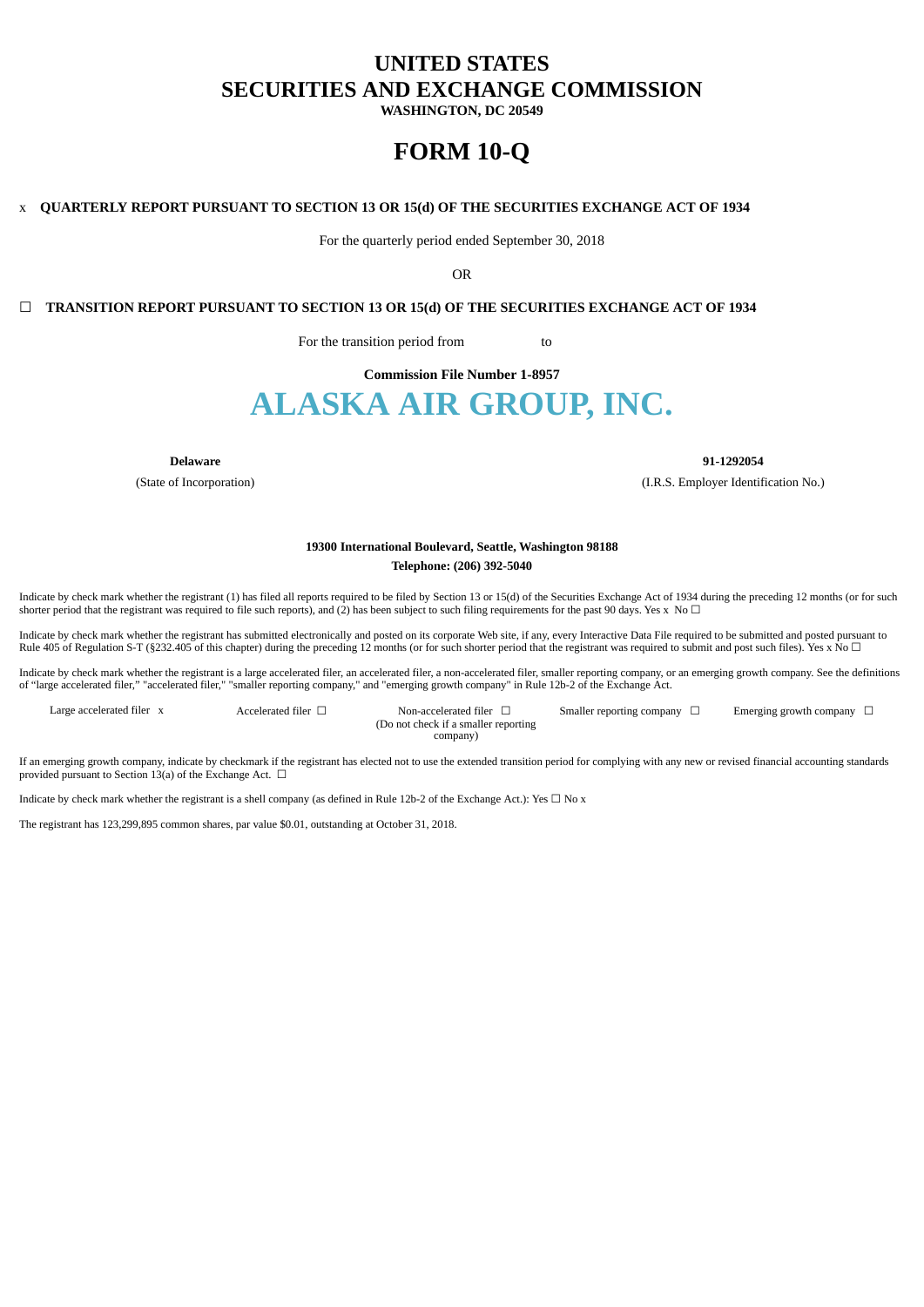## **UNITED STATES SECURITIES AND EXCHANGE COMMISSION**

**WASHINGTON, DC 20549**

## **FORM 10-Q**

#### x **QUARTERLY REPORT PURSUANT TO SECTION 13 OR 15(d) OF THE SECURITIES EXCHANGE ACT OF 1934**

For the quarterly period ended September 30, 2018

OR

☐ **TRANSITION REPORT PURSUANT TO SECTION 13 OR 15(d) OF THE SECURITIES EXCHANGE ACT OF 1934**

For the transition period from to

**Commission File Number 1-8957**

# **ALASKA AIR GROUP, INC.**

**Delaware 91-1292054**

(State of Incorporation) (I.R.S. Employer Identification No.)

#### **19300 International Boulevard, Seattle, Washington 98188 Telephone: (206) 392-5040**

Indicate by check mark whether the registrant (1) has filed all reports required to be filed by Section 13 or 15(d) of the Securities Exchange Act of 1934 during the preceding 12 months (or for such shorter period that the registrant was required to file such reports), and (2) has been subject to such filing requirements for the past 90 days. Yes x No  $\Box$ 

Indicate by check mark whether the registrant has submitted electronically and posted on its corporate Web site, if any, every Interactive Data File required to be submitted and posted pursuant to Rule 405 of Regulation S-T (§232.405 of this chapter) during the preceding 12 months (or for such shorter period that the registrant was required to submit and post such files). Yes x No  $\Box$ 

Indicate by check mark whether the registrant is a large accelerated filer, an accelerated filer, a non-accelerated filer, smaller reporting company, or an emerging growth company. See the definitions of "large accelerated filer," "accelerated filer," "smaller reporting company," and "emerging growth company" in Rule 12b-2 of the Exchange Act.

| Large accelerated filer | Accelerated filer | Non-accelerated filer                 | Smaller reporting company | Emerging growth company |
|-------------------------|-------------------|---------------------------------------|---------------------------|-------------------------|
|                         |                   | (Do not check if a smaller reporting) |                           |                         |
|                         |                   |                                       |                           |                         |

If an emerging growth company, indicate by checkmark if the registrant has elected not to use the extended transition period for complying with any new or revised financial accounting standards provided pursuant to Section 13(a) of the Exchange Act.  $\Box$ 

Indicate by check mark whether the registrant is a shell company (as defined in Rule 12b-2 of the Exchange Act.): Yes  $\Box$  No x

The registrant has 123,299,895 common shares, par value \$0.01, outstanding at October 31, 2018.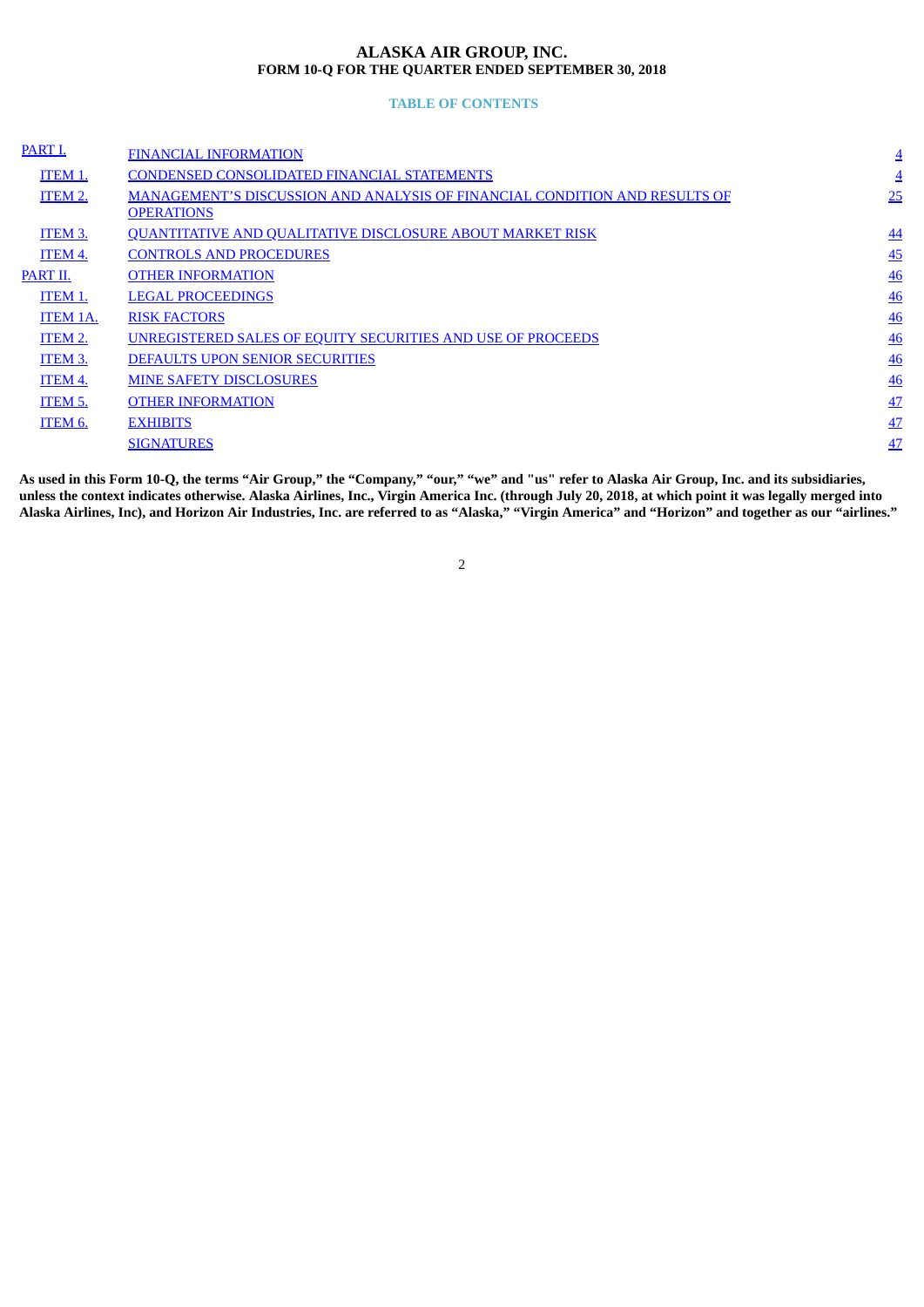### **ALASKA AIR GROUP, INC. FORM 10-Q FOR THE QUARTER ENDED SEPTEMBER 30, 2018**

## **TABLE OF CONTENTS**

| PART I.         | <b>FINANCIAL INFORMATION</b>                                                                    | $\overline{4}$ |
|-----------------|-------------------------------------------------------------------------------------------------|----------------|
| ITEM 1.         | <b>CONDENSED CONSOLIDATED FINANCIAL STATEMENTS</b>                                              | $\overline{4}$ |
| ITEM 2.         | MANAGEMENT'S DISCUSSION AND ANALYSIS OF FINANCIAL CONDITION AND RESULTS OF<br><b>OPERATIONS</b> | 25             |
| ITEM 3.         | <b>OUANTITATIVE AND QUALITATIVE DISCLOSURE ABOUT MARKET RISK</b>                                | 44             |
| ITEM 4.         | <b>CONTROLS AND PROCEDURES</b>                                                                  | 45             |
| PART II.        | <b>OTHER INFORMATION</b>                                                                        | 46             |
| ITEM 1.         | <b>LEGAL PROCEEDINGS</b>                                                                        | 46             |
| <b>ITEM 1A.</b> | <b>RISK FACTORS</b>                                                                             | 46             |
| ITEM 2.         | UNREGISTERED SALES OF EQUITY SECURITIES AND USE OF PROCEEDS                                     | 46             |
| ITEM 3.         | DEFAULTS UPON SENIOR SECURITIES                                                                 | 46             |
| ITEM 4.         | <b>MINE SAFETY DISCLOSURES</b>                                                                  | 46             |
| ITEM 5.         | <b>OTHER INFORMATION</b>                                                                        | 47             |
| ITEM 6.         | <b>EXHIBITS</b>                                                                                 | 47             |
|                 | <b>SIGNATURES</b>                                                                               | 47             |
|                 |                                                                                                 |                |

As used in this Form 10-Q, the terms "Air Group," the "Company," "our," "we" and "us" refer to Alaska Air Group, Inc. and its subsidiaries, unless the context indicates otherwise. Alaska Airlines, Inc., Virgin America Inc. (through July 20, 2018, at which point it was legally merged into Alaska Airlines, Inc), and Horizon Air Industries, Inc. are referred to as "Alaska," "Virgin America" and "Horizon" and together as our "airlines."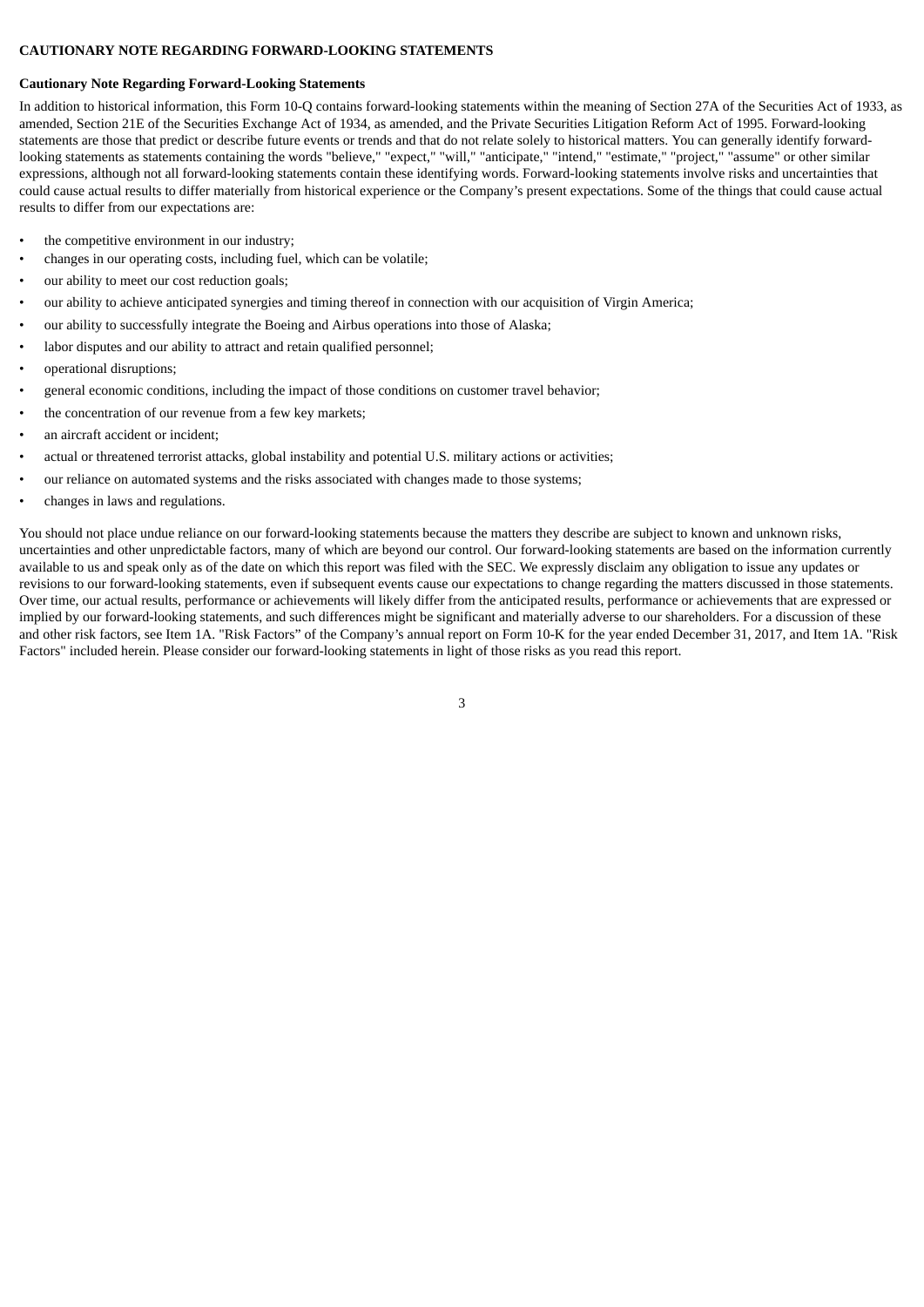## **CAUTIONARY NOTE REGARDING FORWARD-LOOKING STATEMENTS**

#### **Cautionary Note Regarding Forward-Looking Statements**

In addition to historical information, this Form 10-Q contains forward-looking statements within the meaning of Section 27A of the Securities Act of 1933, as amended, Section 21E of the Securities Exchange Act of 1934, as amended, and the Private Securities Litigation Reform Act of 1995. Forward-looking statements are those that predict or describe future events or trends and that do not relate solely to historical matters. You can generally identify forwardlooking statements as statements containing the words "believe," "expect," "will," "anticipate," "intend," "estimate," "project," "assume" or other similar expressions, although not all forward-looking statements contain these identifying words. Forward-looking statements involve risks and uncertainties that could cause actual results to differ materially from historical experience or the Company's present expectations. Some of the things that could cause actual results to differ from our expectations are:

- the competitive environment in our industry;
- changes in our operating costs, including fuel, which can be volatile;
- our ability to meet our cost reduction goals;
- our ability to achieve anticipated synergies and timing thereof in connection with our acquisition of Virgin America;
- our ability to successfully integrate the Boeing and Airbus operations into those of Alaska;
- labor disputes and our ability to attract and retain qualified personnel;
- operational disruptions;
- general economic conditions, including the impact of those conditions on customer travel behavior;
- the concentration of our revenue from a few key markets;
- an aircraft accident or incident;
- actual or threatened terrorist attacks, global instability and potential U.S. military actions or activities;
- our reliance on automated systems and the risks associated with changes made to those systems;
- changes in laws and regulations.

You should not place undue reliance on our forward-looking statements because the matters they describe are subject to known and unknown risks, uncertainties and other unpredictable factors, many of which are beyond our control. Our forward-looking statements are based on the information currently available to us and speak only as of the date on which this report was filed with the SEC. We expressly disclaim any obligation to issue any updates or revisions to our forward-looking statements, even if subsequent events cause our expectations to change regarding the matters discussed in those statements. Over time, our actual results, performance or achievements will likely differ from the anticipated results, performance or achievements that are expressed or implied by our forward-looking statements, and such differences might be significant and materially adverse to our shareholders. For a discussion of these and other risk factors, see Item 1A. "Risk Factors" of the Company's annual report on Form 10-K for the year ended December 31, 2017, and Item 1A. "Risk Factors" included herein. Please consider our forward-looking statements in light of those risks as you read this report.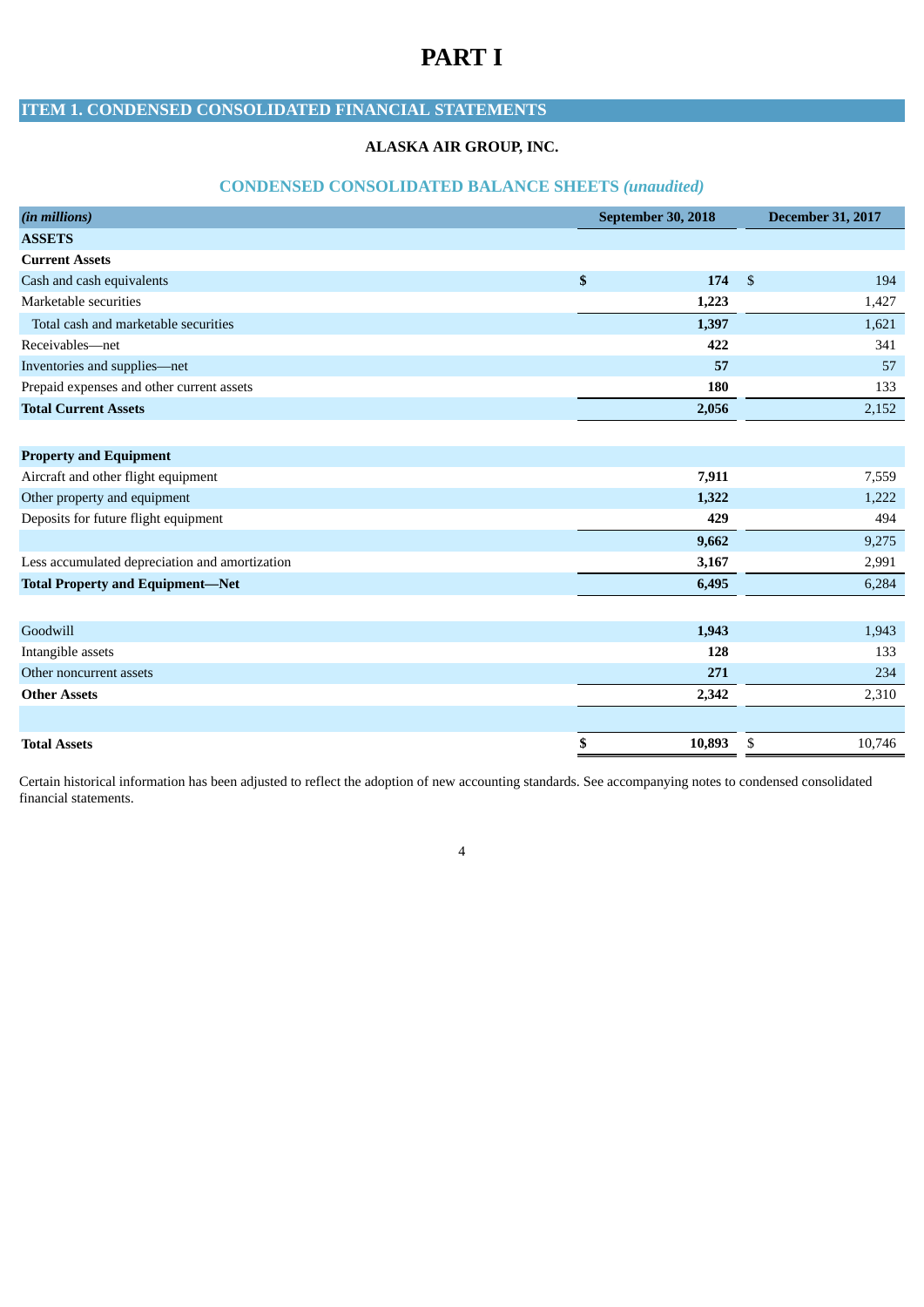## **PART I**

## <span id="page-3-1"></span><span id="page-3-0"></span>**ITEM 1. CONDENSED CONSOLIDATED FINANCIAL STATEMENTS**

## **ALASKA AIR GROUP, INC.**

## **CONDENSED CONSOLIDATED BALANCE SHEETS** *(unaudited)*

| (in millions)                                  | September 30, 2018 | <b>December 31, 2017</b>         |
|------------------------------------------------|--------------------|----------------------------------|
| <b>ASSETS</b>                                  |                    |                                  |
| <b>Current Assets</b>                          |                    |                                  |
| Cash and cash equivalents                      | \$<br>174          | $\boldsymbol{\mathsf{S}}$<br>194 |
| Marketable securities                          | 1,223              | 1,427                            |
| Total cash and marketable securities           | 1,397              | 1,621                            |
| Receivables-net                                | 422                | 341                              |
| Inventories and supplies-net                   | 57                 | 57                               |
| Prepaid expenses and other current assets      | 180                | 133                              |
| <b>Total Current Assets</b>                    | 2,056              | 2,152                            |
|                                                |                    |                                  |
| <b>Property and Equipment</b>                  |                    |                                  |
| Aircraft and other flight equipment            | 7,911              | 7,559                            |
| Other property and equipment                   | 1,322              | 1,222                            |
| Deposits for future flight equipment           | 429                | 494                              |
|                                                | 9,662              | 9,275                            |
| Less accumulated depreciation and amortization | 3,167              | 2,991                            |
| <b>Total Property and Equipment-Net</b>        | 6,495              | 6,284                            |
|                                                |                    |                                  |
| Goodwill                                       | 1,943              | 1,943                            |
| Intangible assets                              | 128                | 133                              |
| Other noncurrent assets                        | 271                | 234                              |
| <b>Other Assets</b>                            | 2,342              | 2,310                            |
|                                                |                    |                                  |
| <b>Total Assets</b>                            | \$<br>10,893       | \$<br>10,746                     |

Certain historical information has been adjusted to reflect the adoption of new accounting standards. See accompanying notes to condensed consolidated financial statements.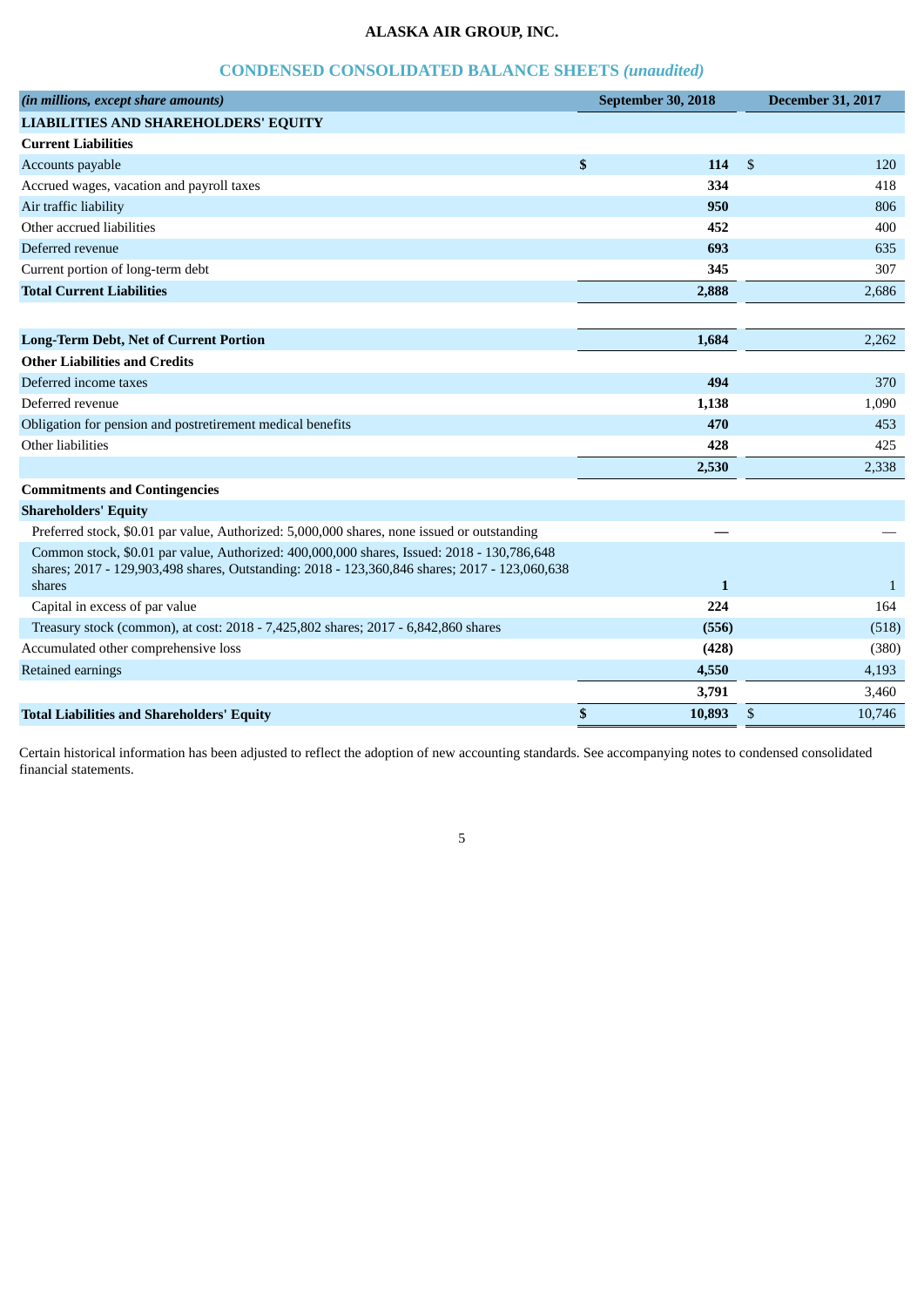## **CONDENSED CONSOLIDATED BALANCE SHEETS** *(unaudited)*

| (in millions, except share amounts)                                                           | September 30, 2018 | <b>December 31, 2017</b> |  |  |  |
|-----------------------------------------------------------------------------------------------|--------------------|--------------------------|--|--|--|
| <b>LIABILITIES AND SHAREHOLDERS' EQUITY</b>                                                   |                    |                          |  |  |  |
| <b>Current Liabilities</b>                                                                    |                    |                          |  |  |  |
| Accounts payable                                                                              | \$<br>114          | $\mathbb{S}$<br>120      |  |  |  |
| Accrued wages, vacation and payroll taxes                                                     | 334                | 418                      |  |  |  |
| Air traffic liability                                                                         | 950                | 806                      |  |  |  |
| Other accrued liabilities                                                                     | 452                | 400                      |  |  |  |
| Deferred revenue                                                                              | 693                | 635                      |  |  |  |
| Current portion of long-term debt                                                             | 345                | 307                      |  |  |  |
| <b>Total Current Liabilities</b>                                                              | 2,888              | 2,686                    |  |  |  |
|                                                                                               |                    |                          |  |  |  |
| <b>Long-Term Debt, Net of Current Portion</b>                                                 | 1,684              | 2,262                    |  |  |  |
| <b>Other Liabilities and Credits</b>                                                          |                    |                          |  |  |  |
| Deferred income taxes                                                                         | 494                | 370                      |  |  |  |
| Deferred revenue                                                                              | 1,138              | 1,090                    |  |  |  |
| Obligation for pension and postretirement medical benefits                                    | 470                | 453                      |  |  |  |
| Other liabilities                                                                             | 428                | 425                      |  |  |  |
|                                                                                               | 2,530              | 2,338                    |  |  |  |
| <b>Commitments and Contingencies</b>                                                          |                    |                          |  |  |  |
| <b>Shareholders' Equity</b>                                                                   |                    |                          |  |  |  |
| Preferred stock, \$0.01 par value, Authorized: 5,000,000 shares, none issued or outstanding   |                    |                          |  |  |  |
| Common stock, \$0.01 par value, Authorized: 400,000,000 shares, Issued: 2018 - 130,786,648    |                    |                          |  |  |  |
| shares; 2017 - 129,903,498 shares, Outstanding: 2018 - 123,360,846 shares; 2017 - 123,060,638 |                    |                          |  |  |  |
| shares                                                                                        | $\mathbf{1}$       | $\mathbf{1}$             |  |  |  |
| Capital in excess of par value                                                                | 224                | 164                      |  |  |  |
| Treasury stock (common), at cost: 2018 - 7,425,802 shares; 2017 - 6,842,860 shares            | (556)              | (518)                    |  |  |  |
| Accumulated other comprehensive loss                                                          | (428)              | (380)                    |  |  |  |
| Retained earnings                                                                             | 4,550              | 4,193                    |  |  |  |
|                                                                                               | 3,791              | 3,460                    |  |  |  |
| <b>Total Liabilities and Shareholders' Equity</b>                                             | \$<br>10,893       | \$<br>10,746             |  |  |  |

Certain historical information has been adjusted to reflect the adoption of new accounting standards. See accompanying notes to condensed consolidated financial statements.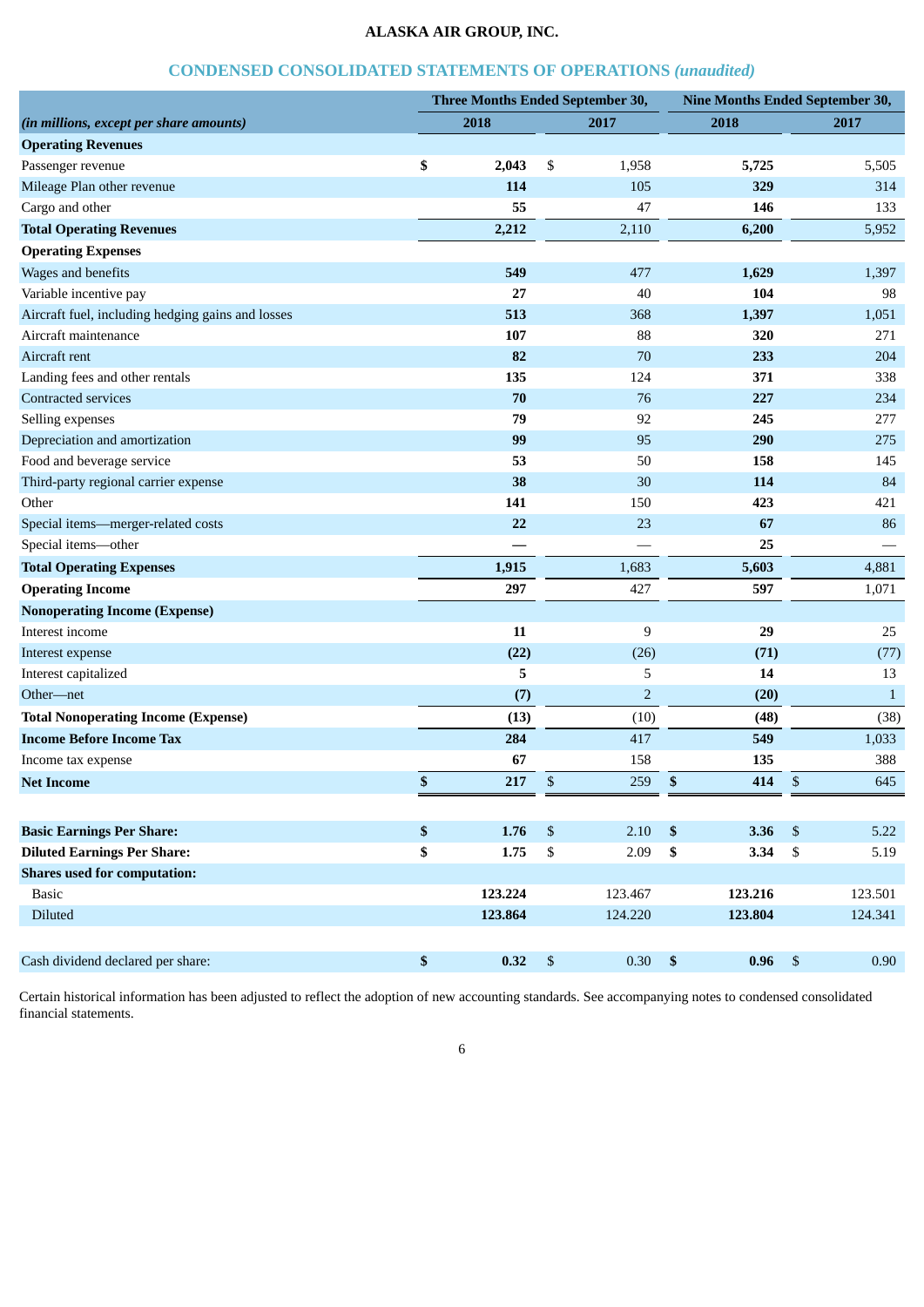## **CONDENSED CONSOLIDATED STATEMENTS OF OPERATIONS** *(unaudited)*

|                                                   | Three Months Ended September 30, |                |                | <b>Nine Months Ended September 30,</b> |         |                |              |
|---------------------------------------------------|----------------------------------|----------------|----------------|----------------------------------------|---------|----------------|--------------|
| (in millions, except per share amounts)           | 2018                             |                | 2017           |                                        | 2018    |                | 2017         |
| <b>Operating Revenues</b>                         |                                  |                |                |                                        |         |                |              |
| Passenger revenue                                 | \$<br>2,043                      | \$             | 1,958          |                                        | 5,725   |                | 5,505        |
| Mileage Plan other revenue                        | 114                              |                | 105            |                                        | 329     |                | 314          |
| Cargo and other                                   | 55                               |                | 47             |                                        | 146     |                | 133          |
| <b>Total Operating Revenues</b>                   | 2,212                            |                | 2,110          |                                        | 6,200   |                | 5,952        |
| <b>Operating Expenses</b>                         |                                  |                |                |                                        |         |                |              |
| Wages and benefits                                | 549                              |                | 477            |                                        | 1,629   |                | 1,397        |
| Variable incentive pay                            | 27                               |                | 40             |                                        | 104     |                | 98           |
| Aircraft fuel, including hedging gains and losses | 513                              |                | 368            |                                        | 1,397   |                | 1,051        |
| Aircraft maintenance                              | 107                              |                | 88             |                                        | 320     |                | 271          |
| Aircraft rent                                     | 82                               |                | 70             |                                        | 233     |                | 204          |
| Landing fees and other rentals                    | 135                              |                | 124            |                                        | 371     |                | 338          |
| Contracted services                               | 70                               |                | 76             |                                        | 227     |                | 234          |
| Selling expenses                                  | 79                               |                | 92             |                                        | 245     |                | 277          |
| Depreciation and amortization                     | 99                               |                | 95             |                                        | 290     |                | 275          |
| Food and beverage service                         | 53                               |                | 50             |                                        | 158     |                | 145          |
| Third-party regional carrier expense              | 38                               |                | 30             |                                        | 114     |                | 84           |
| Other                                             | 141                              |                | 150            |                                        | 423     |                | 421          |
| Special items-merger-related costs                | 22                               |                | 23             |                                        | 67      |                | 86           |
| Special items-other                               |                                  |                |                |                                        | 25      |                |              |
| <b>Total Operating Expenses</b>                   | 1,915                            |                | 1,683          |                                        | 5,603   |                | 4,881        |
| <b>Operating Income</b>                           | 297                              |                | 427            |                                        | 597     |                | 1,071        |
| <b>Nonoperating Income (Expense)</b>              |                                  |                |                |                                        |         |                |              |
| Interest income                                   | 11                               |                | 9              |                                        | 29      |                | 25           |
| Interest expense                                  | (22)                             |                | (26)           |                                        | (71)    |                | (77)         |
| Interest capitalized                              | 5                                |                | 5              |                                        | 14      |                | 13           |
| Other-net                                         | (7)                              |                | $\overline{2}$ |                                        | (20)    |                | $\mathbf{1}$ |
| <b>Total Nonoperating Income (Expense)</b>        | (13)                             |                | (10)           |                                        | (48)    |                | (38)         |
| <b>Income Before Income Tax</b>                   | 284                              |                | 417            |                                        | 549     |                | 1,033        |
| Income tax expense                                | 67                               |                | 158            |                                        | 135     |                | 388          |
| <b>Net Income</b>                                 | \$<br>217                        | \$             | 259            | $\mathbf{\$}$                          | 414     | $\mathbb{S}$   | 645          |
|                                                   |                                  |                |                |                                        |         |                |              |
| <b>Basic Earnings Per Share:</b>                  | \$<br>1.76                       | $\mathbb S$    | 2.10           | $\$$                                   | 3.36    | $\$$           | 5.22         |
| <b>Diluted Earnings Per Share:</b>                | \$<br>1.75                       | \$             | 2.09           | \$                                     | 3.34    | \$             | 5.19         |
| <b>Shares used for computation:</b>               |                                  |                |                |                                        |         |                |              |
| Basic                                             | 123.224                          |                | 123.467        |                                        | 123.216 |                | 123.501      |
| Diluted                                           | 123.864                          |                | 124.220        |                                        | 123.804 |                | 124.341      |
|                                                   |                                  |                |                |                                        |         |                |              |
| Cash dividend declared per share:                 | \$<br>0.32                       | $\mathfrak{s}$ | $0.30$ \$      |                                        | 0.96    | $\mathfrak{s}$ | 0.90         |

Certain historical information has been adjusted to reflect the adoption of new accounting standards. See accompanying notes to condensed consolidated financial statements.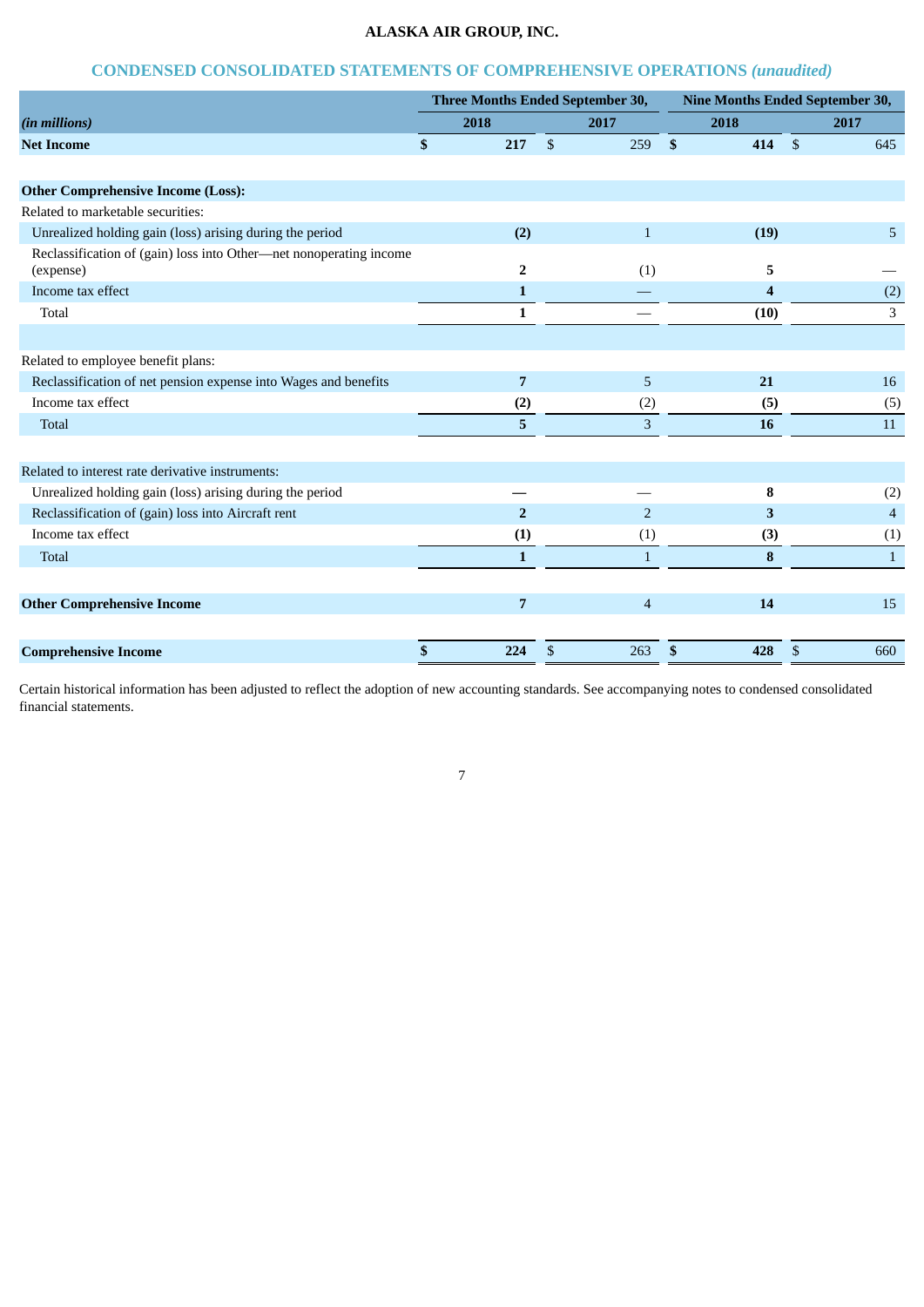## **CONDENSED CONSOLIDATED STATEMENTS OF COMPREHENSIVE OPERATIONS** *(unaudited)*

|                                                                                 |                          | Three Months Ended September 30, | <b>Nine Months Ended September 30,</b> |                       |  |  |  |
|---------------------------------------------------------------------------------|--------------------------|----------------------------------|----------------------------------------|-----------------------|--|--|--|
| (in millions)                                                                   | 2018                     | 2017                             | 2018                                   | 2017                  |  |  |  |
| <b>Net Income</b>                                                               | $\boldsymbol{\$}$<br>217 | \$<br>259                        | \$<br>414                              | $\mathfrak{F}$<br>645 |  |  |  |
|                                                                                 |                          |                                  |                                        |                       |  |  |  |
| <b>Other Comprehensive Income (Loss):</b>                                       |                          |                                  |                                        |                       |  |  |  |
| Related to marketable securities:                                               |                          |                                  |                                        |                       |  |  |  |
| Unrealized holding gain (loss) arising during the period                        | (2)                      | $\mathbf{1}$                     | (19)                                   | 5.                    |  |  |  |
| Reclassification of (gain) loss into Other-net nonoperating income<br>(expense) | $\overline{2}$           | (1)                              | 5                                      |                       |  |  |  |
| Income tax effect                                                               | $\mathbf{1}$             |                                  | $\overline{\mathbf{4}}$                | (2)                   |  |  |  |
| Total                                                                           | $\mathbf{1}$             |                                  | (10)                                   | 3                     |  |  |  |
|                                                                                 |                          |                                  |                                        |                       |  |  |  |
| Related to employee benefit plans:                                              |                          |                                  |                                        |                       |  |  |  |
| Reclassification of net pension expense into Wages and benefits                 | 7                        | 5                                | 21                                     | 16                    |  |  |  |
| Income tax effect                                                               | (2)                      | (2)                              | (5)                                    | (5)                   |  |  |  |
| <b>Total</b>                                                                    | 5                        | $\mathbf{3}$                     | 16                                     | 11                    |  |  |  |
| Related to interest rate derivative instruments:                                |                          |                                  |                                        |                       |  |  |  |
| Unrealized holding gain (loss) arising during the period                        |                          |                                  | 8                                      | (2)                   |  |  |  |
| Reclassification of (gain) loss into Aircraft rent                              | $\overline{2}$           | $\overline{2}$                   | 3                                      | $\overline{4}$        |  |  |  |
| Income tax effect                                                               | (1)                      | (1)                              | (3)                                    | (1)                   |  |  |  |
| <b>Total</b>                                                                    | $\mathbf{1}$             | $\mathbf{1}$                     | 8                                      | $\mathbf{1}$          |  |  |  |
| <b>Other Comprehensive Income</b>                                               | $\overline{7}$           | $\overline{4}$                   | 14                                     | 15                    |  |  |  |
| <b>Comprehensive Income</b>                                                     | \$<br>224                | \$<br>263                        | \$<br>428                              | \$<br>660             |  |  |  |

Certain historical information has been adjusted to reflect the adoption of new accounting standards. See accompanying notes to condensed consolidated financial statements.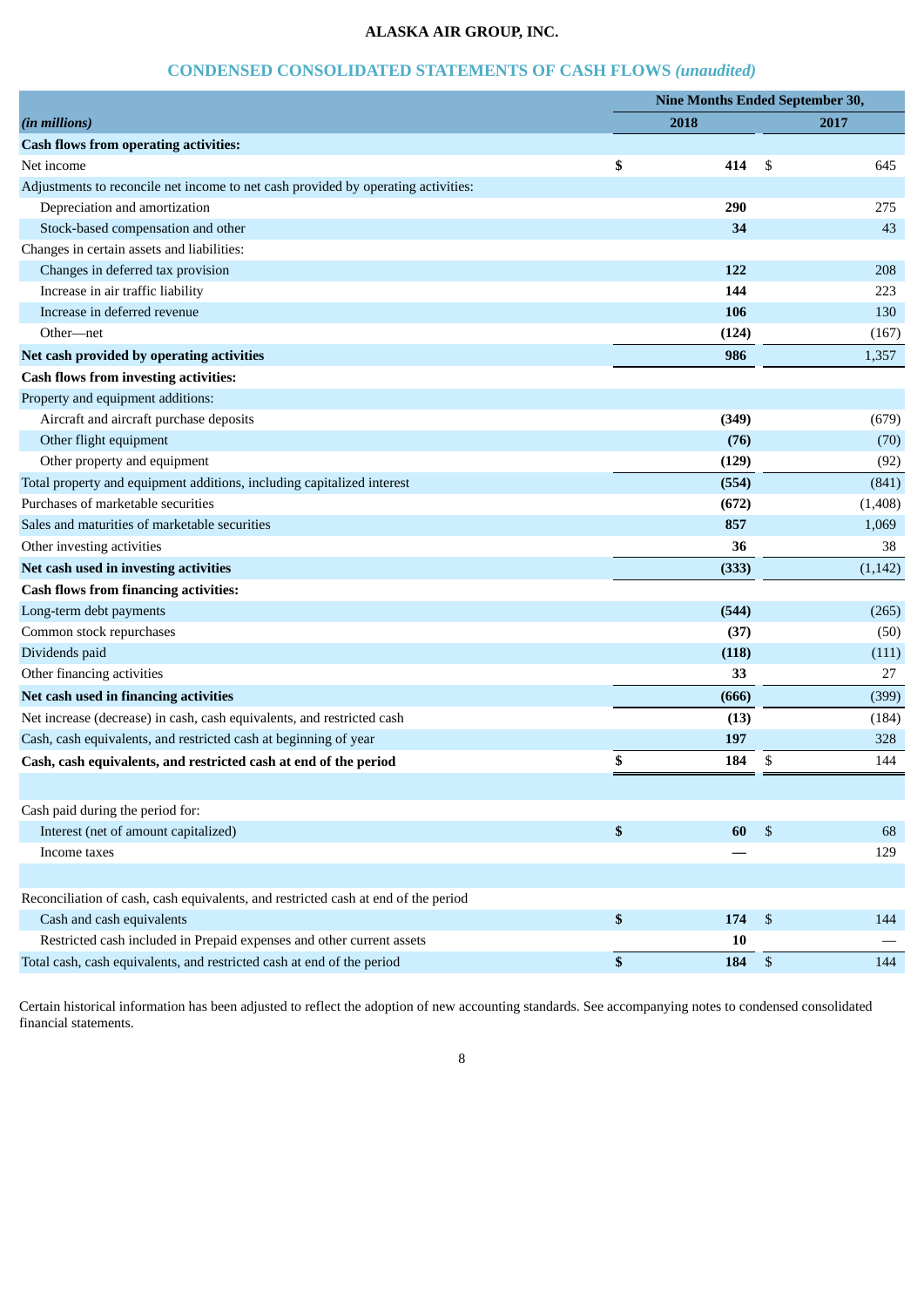## **CONDENSED CONSOLIDATED STATEMENTS OF CASH FLOWS** *(unaudited)*

|                                                                                    | <b>Nine Months Ended September 30,</b> |           |      |          |  |  |  |
|------------------------------------------------------------------------------------|----------------------------------------|-----------|------|----------|--|--|--|
| (in millions)                                                                      |                                        | 2018      |      | 2017     |  |  |  |
| <b>Cash flows from operating activities:</b>                                       |                                        |           |      |          |  |  |  |
| Net income                                                                         | \$                                     | 414       | \$   | 645      |  |  |  |
| Adjustments to reconcile net income to net cash provided by operating activities:  |                                        |           |      |          |  |  |  |
| Depreciation and amortization                                                      |                                        | 290       |      | 275      |  |  |  |
| Stock-based compensation and other                                                 |                                        | 34        |      | 43       |  |  |  |
| Changes in certain assets and liabilities:                                         |                                        |           |      |          |  |  |  |
| Changes in deferred tax provision                                                  |                                        | 122       |      | 208      |  |  |  |
| Increase in air traffic liability                                                  |                                        | 144       |      | 223      |  |  |  |
| Increase in deferred revenue                                                       |                                        | 106       |      | 130      |  |  |  |
| Other—net                                                                          |                                        | (124)     |      | (167)    |  |  |  |
| Net cash provided by operating activities                                          |                                        | 986       |      | 1,357    |  |  |  |
| <b>Cash flows from investing activities:</b>                                       |                                        |           |      |          |  |  |  |
| Property and equipment additions:                                                  |                                        |           |      |          |  |  |  |
| Aircraft and aircraft purchase deposits                                            |                                        | (349)     |      | (679)    |  |  |  |
| Other flight equipment                                                             |                                        | (76)      |      | (70)     |  |  |  |
| Other property and equipment                                                       |                                        | (129)     |      | (92)     |  |  |  |
| Total property and equipment additions, including capitalized interest             |                                        | (554)     |      | (841)    |  |  |  |
| Purchases of marketable securities                                                 |                                        | (672)     |      | (1,408)  |  |  |  |
| Sales and maturities of marketable securities                                      |                                        | 857       |      | 1,069    |  |  |  |
| Other investing activities                                                         |                                        | 36        |      | 38       |  |  |  |
| Net cash used in investing activities                                              |                                        | (333)     |      | (1, 142) |  |  |  |
| <b>Cash flows from financing activities:</b>                                       |                                        |           |      |          |  |  |  |
| Long-term debt payments                                                            |                                        | (544)     |      | (265)    |  |  |  |
| Common stock repurchases                                                           |                                        | (37)      |      | (50)     |  |  |  |
| Dividends paid                                                                     |                                        | (118)     |      | (111)    |  |  |  |
| Other financing activities                                                         |                                        | 33        |      | 27       |  |  |  |
| Net cash used in financing activities                                              |                                        | (666)     |      | (399)    |  |  |  |
| Net increase (decrease) in cash, cash equivalents, and restricted cash             |                                        | (13)      |      | (184)    |  |  |  |
| Cash, cash equivalents, and restricted cash at beginning of year                   |                                        | 197       |      | 328      |  |  |  |
| Cash, cash equivalents, and restricted cash at end of the period                   | \$                                     | 184       | \$   | 144      |  |  |  |
|                                                                                    |                                        |           |      |          |  |  |  |
| Cash paid during the period for:                                                   |                                        |           |      |          |  |  |  |
| Interest (net of amount capitalized)                                               | \$                                     | 60        | \$   | 68       |  |  |  |
| Income taxes                                                                       |                                        |           |      | 129      |  |  |  |
|                                                                                    |                                        |           |      |          |  |  |  |
| Reconciliation of cash, cash equivalents, and restricted cash at end of the period |                                        |           |      |          |  |  |  |
| Cash and cash equivalents                                                          | \$                                     | 174       | \$   | 144      |  |  |  |
| Restricted cash included in Prepaid expenses and other current assets              |                                        | <b>10</b> |      |          |  |  |  |
| Total cash, cash equivalents, and restricted cash at end of the period             | \$                                     | 184       | $\$$ | 144      |  |  |  |

Certain historical information has been adjusted to reflect the adoption of new accounting standards. See accompanying notes to condensed consolidated financial statements.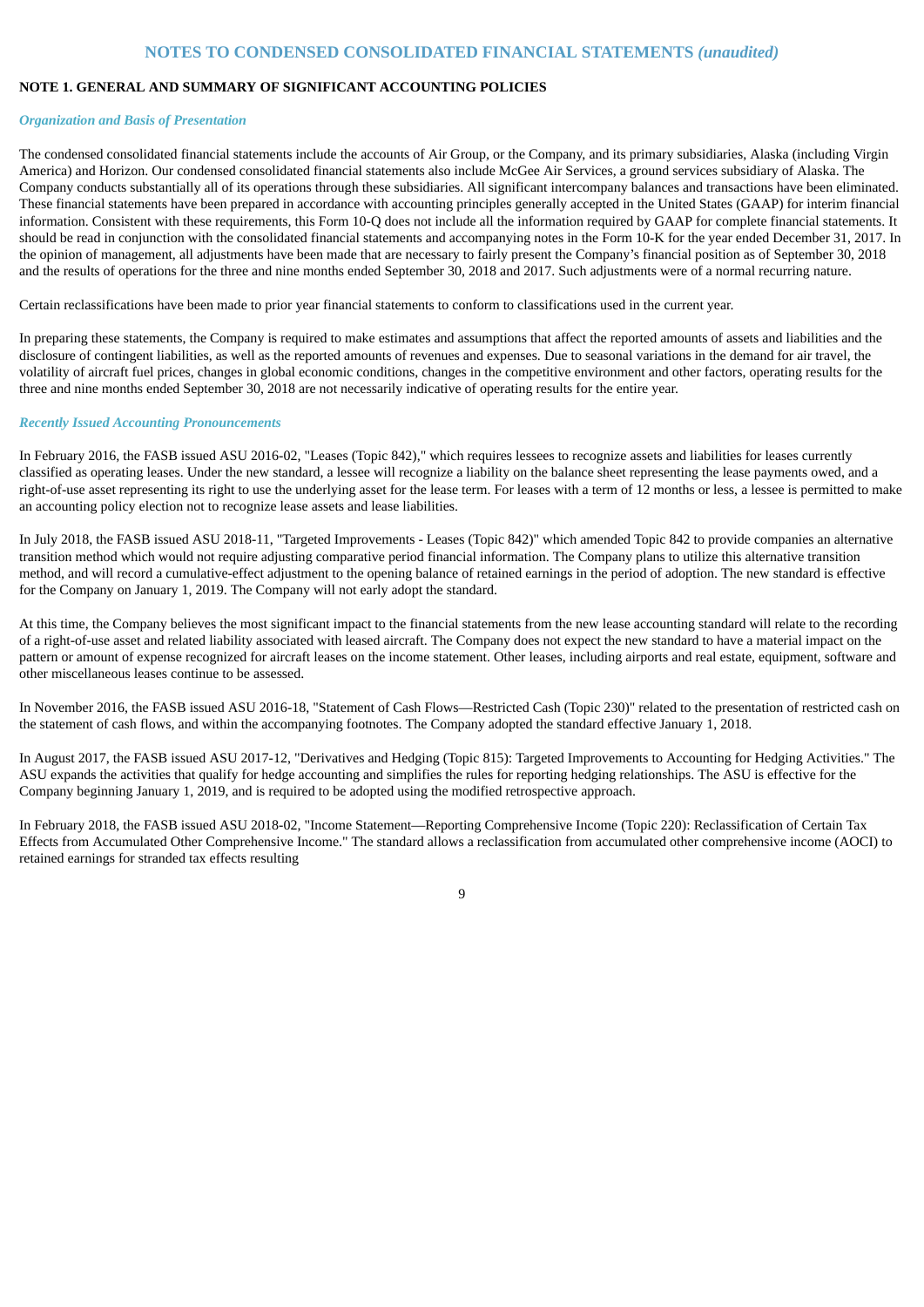### **NOTE 1. GENERAL AND SUMMARY OF SIGNIFICANT ACCOUNTING POLICIES**

#### *Organization and Basis of Presentation*

The condensed consolidated financial statements include the accounts of Air Group, or the Company, and its primary subsidiaries, Alaska (including Virgin America) and Horizon. Our condensed consolidated financial statements also include McGee Air Services, a ground services subsidiary of Alaska. The Company conducts substantially all of its operations through these subsidiaries. All significant intercompany balances and transactions have been eliminated. These financial statements have been prepared in accordance with accounting principles generally accepted in the United States (GAAP) for interim financial information. Consistent with these requirements, this Form 10-Q does not include all the information required by GAAP for complete financial statements. It should be read in conjunction with the consolidated financial statements and accompanying notes in the Form 10-K for the year ended December 31, 2017. In the opinion of management, all adjustments have been made that are necessary to fairly present the Company's financial position as of September 30, 2018 and the results of operations for the three and nine months ended September 30, 2018 and 2017. Such adjustments were of a normal recurring nature.

Certain reclassifications have been made to prior year financial statements to conform to classifications used in the current year.

In preparing these statements, the Company is required to make estimates and assumptions that affect the reported amounts of assets and liabilities and the disclosure of contingent liabilities, as well as the reported amounts of revenues and expenses. Due to seasonal variations in the demand for air travel, the volatility of aircraft fuel prices, changes in global economic conditions, changes in the competitive environment and other factors, operating results for the three and nine months ended September 30, 2018 are not necessarily indicative of operating results for the entire year.

#### *Recently Issued Accounting Pronouncements*

In February 2016, the FASB issued ASU 2016-02, "Leases (Topic 842)," which requires lessees to recognize assets and liabilities for leases currently classified as operating leases. Under the new standard, a lessee will recognize a liability on the balance sheet representing the lease payments owed, and a right-of-use asset representing its right to use the underlying asset for the lease term. For leases with a term of 12 months or less, a lessee is permitted to make an accounting policy election not to recognize lease assets and lease liabilities.

In July 2018, the FASB issued ASU 2018-11, "Targeted Improvements - Leases (Topic 842)" which amended Topic 842 to provide companies an alternative transition method which would not require adjusting comparative period financial information. The Company plans to utilize this alternative transition method, and will record a cumulative-effect adjustment to the opening balance of retained earnings in the period of adoption. The new standard is effective for the Company on January 1, 2019. The Company will not early adopt the standard.

At this time, the Company believes the most significant impact to the financial statements from the new lease accounting standard will relate to the recording of a right-of-use asset and related liability associated with leased aircraft. The Company does not expect the new standard to have a material impact on the pattern or amount of expense recognized for aircraft leases on the income statement. Other leases, including airports and real estate, equipment, software and other miscellaneous leases continue to be assessed.

In November 2016, the FASB issued ASU 2016-18, "Statement of Cash Flows—Restricted Cash (Topic 230)" related to the presentation of restricted cash on the statement of cash flows, and within the accompanying footnotes. The Company adopted the standard effective January 1, 2018.

In August 2017, the FASB issued ASU 2017-12, "Derivatives and Hedging (Topic 815): Targeted Improvements to Accounting for Hedging Activities." The ASU expands the activities that qualify for hedge accounting and simplifies the rules for reporting hedging relationships. The ASU is effective for the Company beginning January 1, 2019, and is required to be adopted using the modified retrospective approach.

In February 2018, the FASB issued ASU 2018-02, "Income Statement—Reporting Comprehensive Income (Topic 220): Reclassification of Certain Tax Effects from Accumulated Other Comprehensive Income." The standard allows a reclassification from accumulated other comprehensive income (AOCI) to retained earnings for stranded tax effects resulting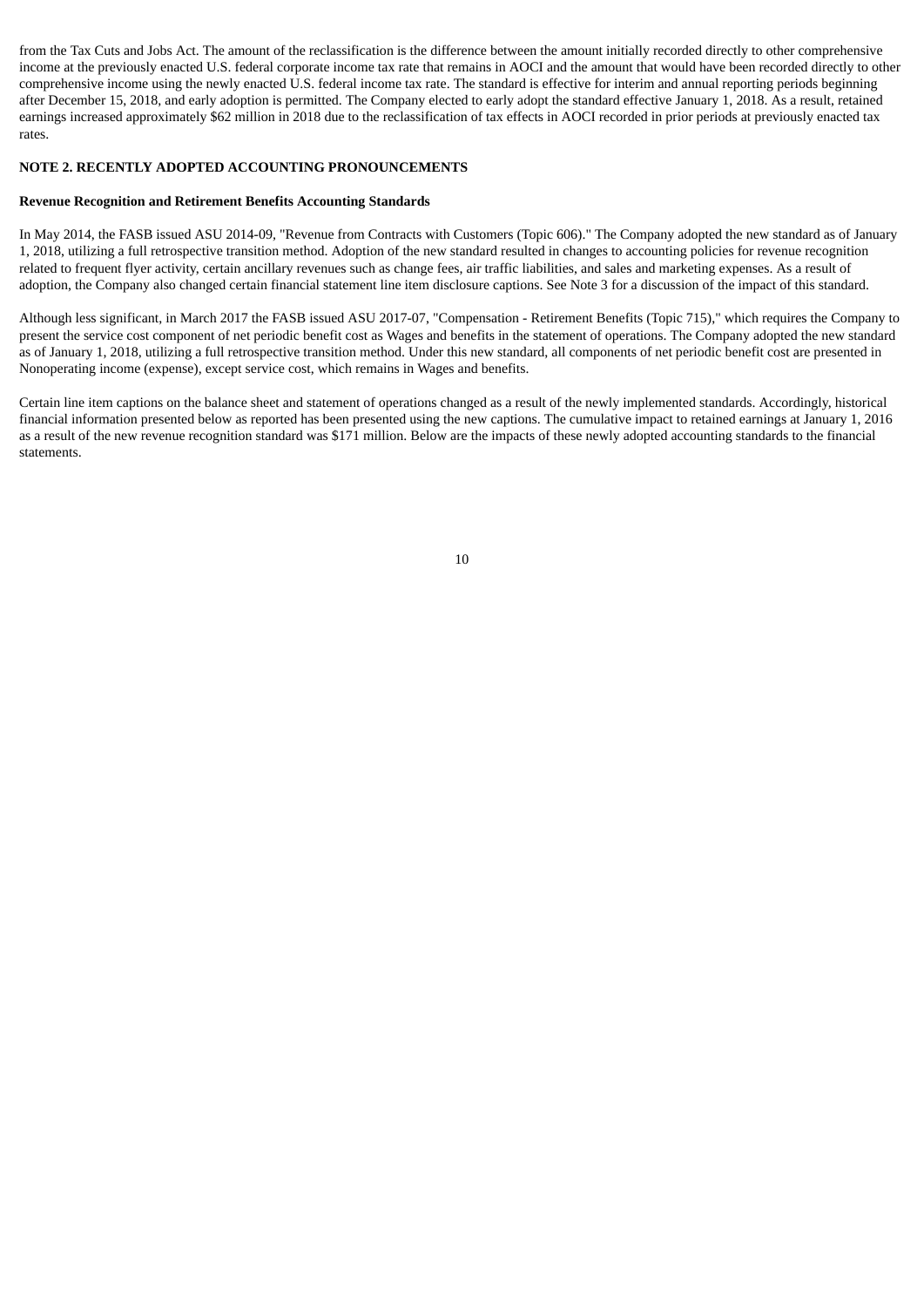from the Tax Cuts and Jobs Act. The amount of the reclassification is the difference between the amount initially recorded directly to other comprehensive income at the previously enacted U.S. federal corporate income tax rate that remains in AOCI and the amount that would have been recorded directly to other comprehensive income using the newly enacted U.S. federal income tax rate. The standard is effective for interim and annual reporting periods beginning after December 15, 2018, and early adoption is permitted. The Company elected to early adopt the standard effective January 1, 2018. As a result, retained earnings increased approximately \$62 million in 2018 due to the reclassification of tax effects in AOCI recorded in prior periods at previously enacted tax rates.

## **NOTE 2. RECENTLY ADOPTED ACCOUNTING PRONOUNCEMENTS**

#### **Revenue Recognition and Retirement Benefits Accounting Standards**

In May 2014, the FASB issued ASU 2014-09*,* "Revenue from Contracts with Customers (Topic 606)." The Company adopted the new standard as of January 1, 2018, utilizing a full retrospective transition method. Adoption of the new standard resulted in changes to accounting policies for revenue recognition related to frequent flyer activity, certain ancillary revenues such as change fees, air traffic liabilities, and sales and marketing expenses. As a result of adoption, the Company also changed certain financial statement line item disclosure captions. See Note 3 for a discussion of the impact of this standard.

Although less significant, in March 2017 the FASB issued ASU 2017-07, "Compensation - Retirement Benefits (Topic 715)," which requires the Company to present the service cost component of net periodic benefit cost as Wages and benefits in the statement of operations. The Company adopted the new standard as of January 1, 2018, utilizing a full retrospective transition method. Under this new standard, all components of net periodic benefit cost are presented in Nonoperating income (expense), except service cost, which remains in Wages and benefits.

Certain line item captions on the balance sheet and statement of operations changed as a result of the newly implemented standards. Accordingly, historical financial information presented below as reported has been presented using the new captions. The cumulative impact to retained earnings at January 1, 2016 as a result of the new revenue recognition standard was \$171 million. Below are the impacts of these newly adopted accounting standards to the financial statements.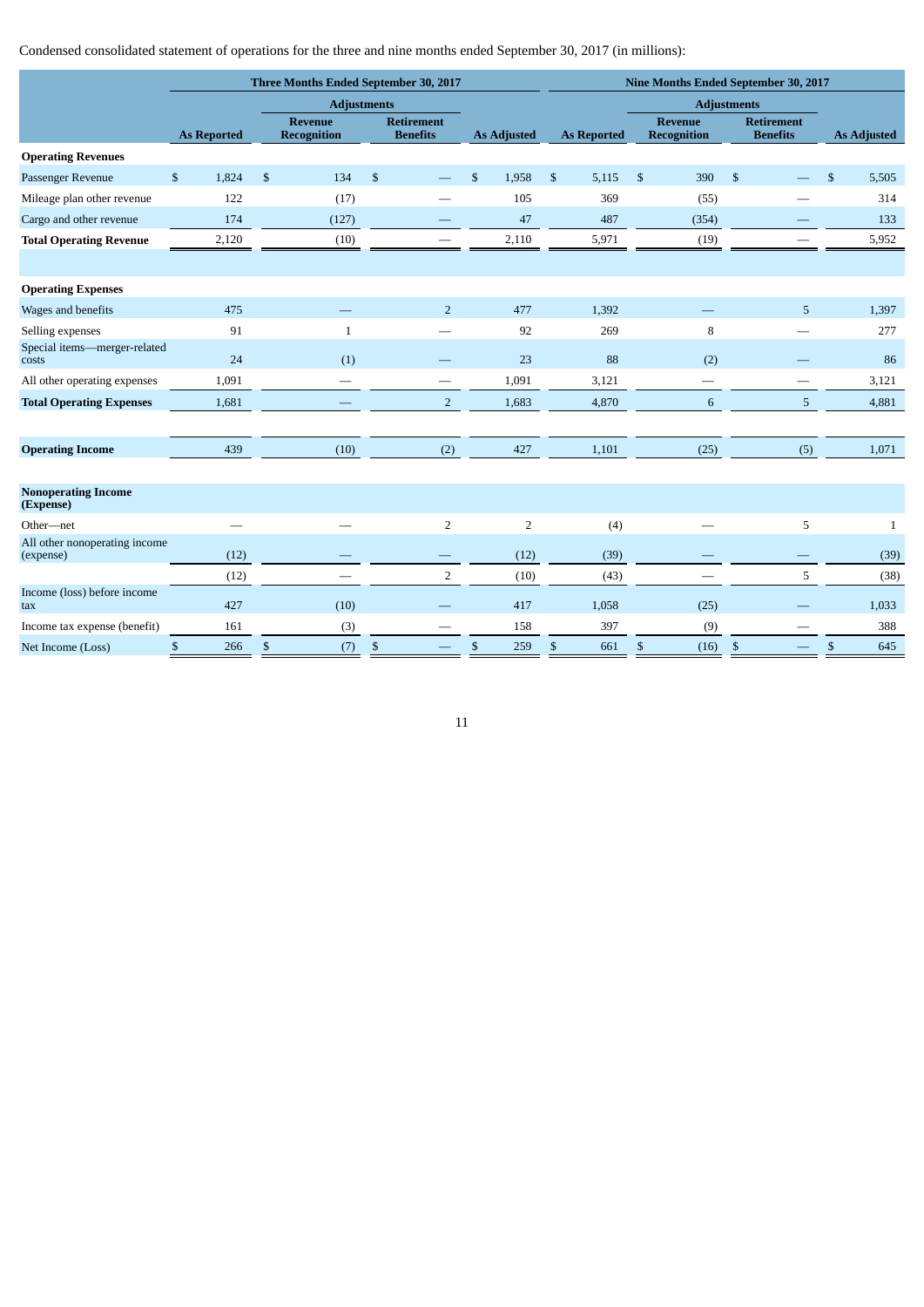Condensed consolidated statement of operations for the three and nine months ended September 30, 2017 (in millions):

|                                              | Three Months Ended September 30, 2017 |                           |                                      |              |                                      |              | Nine Months Ended September 30, 2017 |  |                       |                           |                               |                |                                      |                           |                    |
|----------------------------------------------|---------------------------------------|---------------------------|--------------------------------------|--------------|--------------------------------------|--------------|--------------------------------------|--|-----------------------|---------------------------|-------------------------------|----------------|--------------------------------------|---------------------------|--------------------|
|                                              |                                       |                           | <b>Adjustments</b>                   |              |                                      |              |                                      |  |                       |                           | <b>Adjustments</b>            |                |                                      |                           |                    |
|                                              | <b>As Reported</b>                    |                           | <b>Revenue</b><br><b>Recognition</b> |              | <b>Retirement</b><br><b>Benefits</b> |              | <b>As Adjusted</b>                   |  | <b>As Reported</b>    |                           | <b>Revenue</b><br>Recognition |                | <b>Retirement</b><br><b>Benefits</b> |                           | <b>As Adjusted</b> |
| <b>Operating Revenues</b>                    |                                       |                           |                                      |              |                                      |              |                                      |  |                       |                           |                               |                |                                      |                           |                    |
| Passenger Revenue                            | \$<br>1,824                           | $\boldsymbol{\mathsf{S}}$ | 134                                  | $\mathbb{S}$ |                                      | $\mathbb{S}$ | 1,958                                |  | $\mathbb{S}$<br>5,115 | $\boldsymbol{\mathsf{S}}$ | 390                           | $\mathfrak{s}$ |                                      | $\boldsymbol{\mathsf{S}}$ | 5,505              |
| Mileage plan other revenue                   | 122                                   |                           | (17)                                 |              |                                      |              | 105                                  |  | 369                   |                           | (55)                          |                |                                      |                           | 314                |
| Cargo and other revenue                      | 174                                   |                           | (127)                                |              |                                      |              | 47                                   |  | 487                   |                           | (354)                         |                |                                      |                           | 133                |
| <b>Total Operating Revenue</b>               | 2,120                                 |                           | (10)                                 |              |                                      |              | 2,110                                |  | 5,971                 |                           | (19)                          |                |                                      |                           | 5,952              |
| <b>Operating Expenses</b>                    |                                       |                           |                                      |              |                                      |              |                                      |  |                       |                           |                               |                |                                      |                           |                    |
| Wages and benefits                           | 475                                   |                           |                                      |              | $\overline{2}$                       |              | 477                                  |  | 1,392                 |                           |                               |                | 5                                    |                           | 1,397              |
| Selling expenses                             | 91                                    |                           | $\mathbf{1}$                         |              |                                      |              | 92                                   |  | 269                   |                           | 8                             |                |                                      |                           | 277                |
| Special items-merger-related<br><b>COStS</b> | 24                                    |                           | (1)                                  |              |                                      |              | 23                                   |  | 88                    |                           | (2)                           |                |                                      |                           | 86                 |
| All other operating expenses                 | 1,091                                 |                           |                                      |              | $\overline{\phantom{0}}$             |              | 1,091                                |  | 3,121                 |                           | $\overline{\phantom{0}}$      |                |                                      |                           | 3,121              |
| <b>Total Operating Expenses</b>              | 1,681                                 |                           |                                      |              | $\overline{2}$                       |              | 1,683                                |  | 4,870                 |                           | 6                             |                | 5                                    |                           | 4,881              |
| <b>Operating Income</b>                      | 439                                   |                           | (10)                                 |              | (2)                                  |              | 427                                  |  | 1,101                 |                           | (25)                          |                | (5)                                  |                           | 1,071              |
| <b>Nonoperating Income</b><br>(Expense)      |                                       |                           |                                      |              |                                      |              |                                      |  |                       |                           |                               |                |                                      |                           |                    |
| Other-net                                    |                                       |                           |                                      |              | $\overline{2}$                       |              | $\overline{2}$                       |  | (4)                   |                           |                               |                | 5                                    |                           | $\mathbf{1}$       |
| All other nonoperating income<br>(expense)   | (12)                                  |                           |                                      |              |                                      |              | (12)                                 |  | (39)                  |                           |                               |                |                                      |                           | (39)               |
|                                              | (12)                                  |                           |                                      |              | $\overline{2}$                       |              | (10)                                 |  | (43)                  |                           |                               |                | 5                                    |                           | (38)               |
| Income (loss) before income<br>tax           | 427                                   |                           | (10)                                 |              |                                      |              | 417                                  |  | 1,058                 |                           | (25)                          |                |                                      |                           | 1,033              |
| Income tax expense (benefit)                 | 161                                   |                           | (3)                                  |              |                                      |              | 158                                  |  | 397                   |                           | (9)                           |                |                                      |                           | 388                |
| Net Income (Loss)                            | \$<br>266                             | $\$$                      | (7)                                  | $\mathbb{S}$ |                                      | $\mathbb{S}$ | 259                                  |  | $\$$<br>661           | $\mathbb{S}$              | (16)                          | $\$$           |                                      | $\mathbb{S}$              | 645                |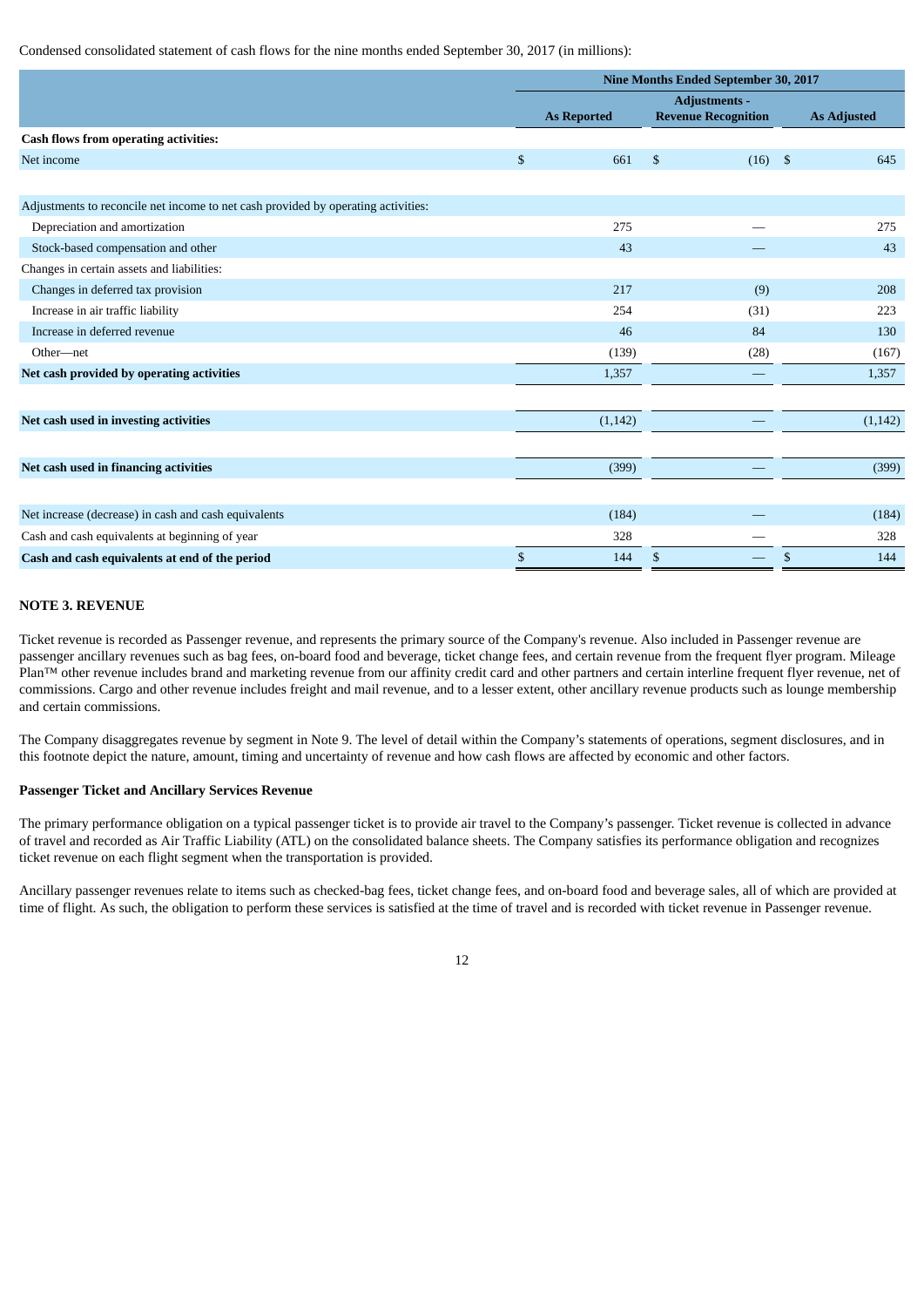Condensed consolidated statement of cash flows for the nine months ended September 30, 2017 (in millions):

|                                                                                   | <b>Nine Months Ended September 30, 2017</b> |                    |                                                    |                    |          |  |  |  |  |  |
|-----------------------------------------------------------------------------------|---------------------------------------------|--------------------|----------------------------------------------------|--------------------|----------|--|--|--|--|--|
|                                                                                   |                                             | <b>As Reported</b> | <b>Adjustments -</b><br><b>Revenue Recognition</b> | <b>As Adjusted</b> |          |  |  |  |  |  |
| <b>Cash flows from operating activities:</b>                                      |                                             |                    |                                                    |                    |          |  |  |  |  |  |
| Net income                                                                        | \$                                          | 661                | \$<br>$(16)$ \$                                    |                    | 645      |  |  |  |  |  |
| Adjustments to reconcile net income to net cash provided by operating activities: |                                             |                    |                                                    |                    |          |  |  |  |  |  |
| Depreciation and amortization                                                     |                                             | 275                |                                                    |                    | 275      |  |  |  |  |  |
| Stock-based compensation and other                                                |                                             | 43                 |                                                    |                    | 43       |  |  |  |  |  |
| Changes in certain assets and liabilities:                                        |                                             |                    |                                                    |                    |          |  |  |  |  |  |
| Changes in deferred tax provision                                                 |                                             | 217                | (9)                                                |                    | 208      |  |  |  |  |  |
| Increase in air traffic liability                                                 |                                             | 254                | (31)                                               |                    | 223      |  |  |  |  |  |
| Increase in deferred revenue                                                      |                                             | 46                 | 84                                                 |                    | 130      |  |  |  |  |  |
| Other-net                                                                         |                                             | (139)              | (28)                                               |                    | (167)    |  |  |  |  |  |
| Net cash provided by operating activities                                         |                                             | 1,357              |                                                    |                    | 1,357    |  |  |  |  |  |
| Net cash used in investing activities                                             |                                             | (1, 142)           |                                                    |                    | (1, 142) |  |  |  |  |  |
| Net cash used in financing activities                                             |                                             | (399)              |                                                    |                    | (399)    |  |  |  |  |  |
| Net increase (decrease) in cash and cash equivalents                              |                                             | (184)              |                                                    |                    | (184)    |  |  |  |  |  |
| Cash and cash equivalents at beginning of year                                    |                                             | 328                |                                                    |                    | 328      |  |  |  |  |  |
| Cash and cash equivalents at end of the period                                    | \$                                          | 144                | \$                                                 | \$                 | 144      |  |  |  |  |  |

## **NOTE 3. REVENUE**

Ticket revenue is recorded as Passenger revenue, and represents the primary source of the Company's revenue. Also included in Passenger revenue are passenger ancillary revenues such as bag fees, on-board food and beverage, ticket change fees, and certain revenue from the frequent flyer program. Mileage Plan™ other revenue includes brand and marketing revenue from our affinity credit card and other partners and certain interline frequent flyer revenue, net of commissions. Cargo and other revenue includes freight and mail revenue, and to a lesser extent, other ancillary revenue products such as lounge membership and certain commissions.

The Company disaggregates revenue by segment in Note 9. The level of detail within the Company's statements of operations, segment disclosures, and in this footnote depict the nature, amount, timing and uncertainty of revenue and how cash flows are affected by economic and other factors.

#### **Passenger Ticket and Ancillary Services Revenue**

The primary performance obligation on a typical passenger ticket is to provide air travel to the Company's passenger. Ticket revenue is collected in advance of travel and recorded as Air Traffic Liability (ATL) on the consolidated balance sheets. The Company satisfies its performance obligation and recognizes ticket revenue on each flight segment when the transportation is provided.

Ancillary passenger revenues relate to items such as checked-bag fees, ticket change fees, and on-board food and beverage sales, all of which are provided at time of flight. As such, the obligation to perform these services is satisfied at the time of travel and is recorded with ticket revenue in Passenger revenue.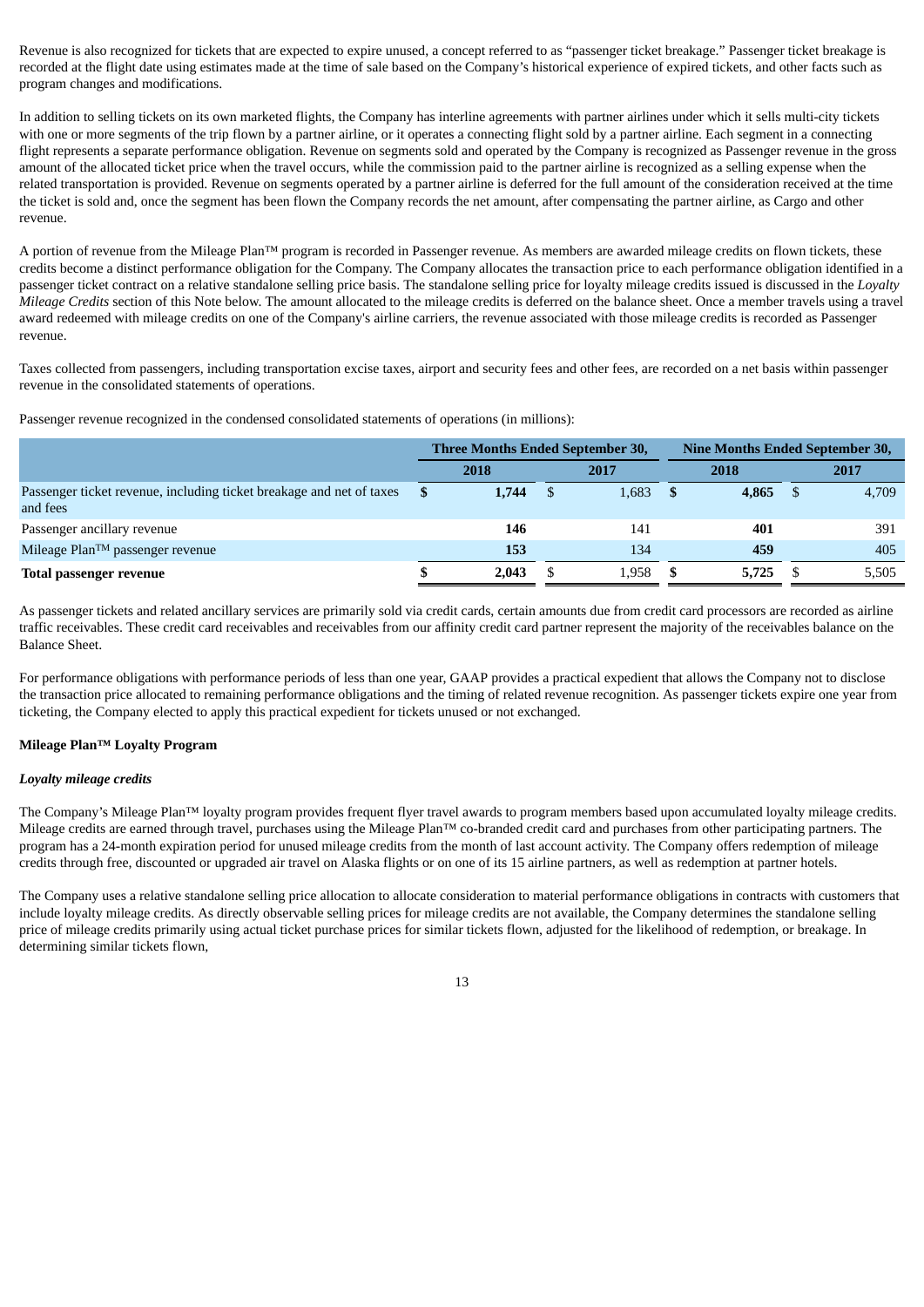Revenue is also recognized for tickets that are expected to expire unused, a concept referred to as "passenger ticket breakage." Passenger ticket breakage is recorded at the flight date using estimates made at the time of sale based on the Company's historical experience of expired tickets, and other facts such as program changes and modifications.

In addition to selling tickets on its own marketed flights, the Company has interline agreements with partner airlines under which it sells multi-city tickets with one or more segments of the trip flown by a partner airline, or it operates a connecting flight sold by a partner airline. Each segment in a connecting flight represents a separate performance obligation. Revenue on segments sold and operated by the Company is recognized as Passenger revenue in the gross amount of the allocated ticket price when the travel occurs, while the commission paid to the partner airline is recognized as a selling expense when the related transportation is provided. Revenue on segments operated by a partner airline is deferred for the full amount of the consideration received at the time the ticket is sold and, once the segment has been flown the Company records the net amount, after compensating the partner airline, as Cargo and other revenue.

A portion of revenue from the Mileage Plan™ program is recorded in Passenger revenue. As members are awarded mileage credits on flown tickets, these credits become a distinct performance obligation for the Company. The Company allocates the transaction price to each performance obligation identified in a passenger ticket contract on a relative standalone selling price basis. The standalone selling price for loyalty mileage credits issued is discussed in the *Loyalty Mileage Credits* section of this Note below. The amount allocated to the mileage credits is deferred on the balance sheet. Once a member travels using a travel award redeemed with mileage credits on one of the Company's airline carriers, the revenue associated with those mileage credits is recorded as Passenger revenue.

Taxes collected from passengers, including transportation excise taxes, airport and security fees and other fees, are recorded on a net basis within passenger revenue in the consolidated statements of operations.

Passenger revenue recognized in the condensed consolidated statements of operations (in millions):

|                                                                                  | <b>Three Months Ended September 30,</b> |  | <b>Nine Months Ended September 30,</b> |    |       |  |       |
|----------------------------------------------------------------------------------|-----------------------------------------|--|----------------------------------------|----|-------|--|-------|
|                                                                                  | 2018                                    |  | 2017                                   |    | 2018  |  | 2017  |
| Passenger ticket revenue, including ticket breakage and net of taxes<br>and fees | 1,744                                   |  | 1.683                                  | S. | 4,865 |  | 4.709 |
| Passenger ancillary revenue                                                      | 146                                     |  | 141                                    |    | 401   |  | 391   |
| Mileage Plan™ passenger revenue                                                  | 153                                     |  | 134                                    |    | 459   |  | 405   |
| Total passenger revenue                                                          | 2.043                                   |  | 1.958                                  |    | 5.725 |  | 5.505 |

As passenger tickets and related ancillary services are primarily sold via credit cards, certain amounts due from credit card processors are recorded as airline traffic receivables. These credit card receivables and receivables from our affinity credit card partner represent the majority of the receivables balance on the Balance Sheet.

For performance obligations with performance periods of less than one year, GAAP provides a practical expedient that allows the Company not to disclose the transaction price allocated to remaining performance obligations and the timing of related revenue recognition. As passenger tickets expire one year from ticketing, the Company elected to apply this practical expedient for tickets unused or not exchanged.

#### **Mileage Plan™ Loyalty Program**

#### *Loyalty mileage credits*

The Company's Mileage Plan™ loyalty program provides frequent flyer travel awards to program members based upon accumulated loyalty mileage credits. Mileage credits are earned through travel, purchases using the Mileage Plan™ co-branded credit card and purchases from other participating partners. The program has a 24-month expiration period for unused mileage credits from the month of last account activity. The Company offers redemption of mileage credits through free, discounted or upgraded air travel on Alaska flights or on one of its 15 airline partners, as well as redemption at partner hotels.

The Company uses a relative standalone selling price allocation to allocate consideration to material performance obligations in contracts with customers that include loyalty mileage credits. As directly observable selling prices for mileage credits are not available, the Company determines the standalone selling price of mileage credits primarily using actual ticket purchase prices for similar tickets flown, adjusted for the likelihood of redemption, or breakage. In determining similar tickets flown,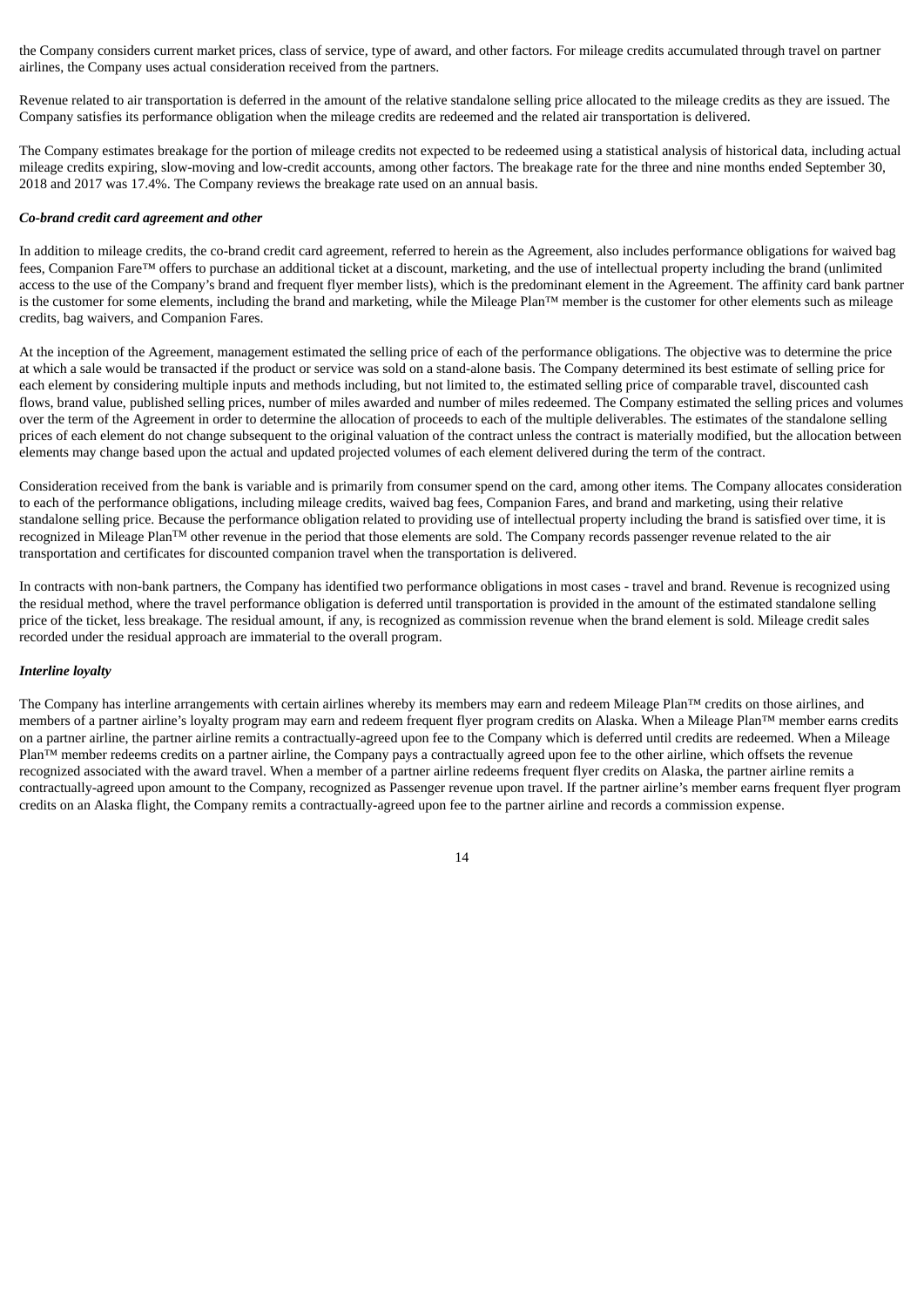the Company considers current market prices, class of service, type of award, and other factors. For mileage credits accumulated through travel on partner airlines, the Company uses actual consideration received from the partners.

Revenue related to air transportation is deferred in the amount of the relative standalone selling price allocated to the mileage credits as they are issued. The Company satisfies its performance obligation when the mileage credits are redeemed and the related air transportation is delivered.

The Company estimates breakage for the portion of mileage credits not expected to be redeemed using a statistical analysis of historical data, including actual mileage credits expiring, slow-moving and low-credit accounts, among other factors. The breakage rate for the three and nine months ended September 30, 2018 and 2017 was 17.4%. The Company reviews the breakage rate used on an annual basis.

#### *Co-brand credit card agreement and other*

In addition to mileage credits, the co-brand credit card agreement, referred to herein as the Agreement, also includes performance obligations for waived bag fees, Companion Fare™ offers to purchase an additional ticket at a discount, marketing, and the use of intellectual property including the brand (unlimited access to the use of the Company's brand and frequent flyer member lists), which is the predominant element in the Agreement. The affinity card bank partner is the customer for some elements, including the brand and marketing, while the Mileage Plan™ member is the customer for other elements such as mileage credits, bag waivers, and Companion Fares.

At the inception of the Agreement, management estimated the selling price of each of the performance obligations. The objective was to determine the price at which a sale would be transacted if the product or service was sold on a stand-alone basis. The Company determined its best estimate of selling price for each element by considering multiple inputs and methods including, but not limited to, the estimated selling price of comparable travel, discounted cash flows, brand value, published selling prices, number of miles awarded and number of miles redeemed. The Company estimated the selling prices and volumes over the term of the Agreement in order to determine the allocation of proceeds to each of the multiple deliverables. The estimates of the standalone selling prices of each element do not change subsequent to the original valuation of the contract unless the contract is materially modified, but the allocation between elements may change based upon the actual and updated projected volumes of each element delivered during the term of the contract.

Consideration received from the bank is variable and is primarily from consumer spend on the card, among other items. The Company allocates consideration to each of the performance obligations, including mileage credits, waived bag fees, Companion Fares, and brand and marketing, using their relative standalone selling price. Because the performance obligation related to providing use of intellectual property including the brand is satisfied over time, it is recognized in Mileage Plan<sup>TM</sup> other revenue in the period that those elements are sold. The Company records passenger revenue related to the air transportation and certificates for discounted companion travel when the transportation is delivered.

In contracts with non-bank partners, the Company has identified two performance obligations in most cases - travel and brand. Revenue is recognized using the residual method, where the travel performance obligation is deferred until transportation is provided in the amount of the estimated standalone selling price of the ticket, less breakage. The residual amount, if any, is recognized as commission revenue when the brand element is sold. Mileage credit sales recorded under the residual approach are immaterial to the overall program.

#### *Interline loyalty*

The Company has interline arrangements with certain airlines whereby its members may earn and redeem Mileage Plan™ credits on those airlines, and members of a partner airline's loyalty program may earn and redeem frequent flyer program credits on Alaska. When a Mileage Plan™ member earns credits on a partner airline, the partner airline remits a contractually-agreed upon fee to the Company which is deferred until credits are redeemed. When a Mileage Plan™ member redeems credits on a partner airline, the Company pays a contractually agreed upon fee to the other airline, which offsets the revenue recognized associated with the award travel. When a member of a partner airline redeems frequent flyer credits on Alaska, the partner airline remits a contractually-agreed upon amount to the Company, recognized as Passenger revenue upon travel. If the partner airline's member earns frequent flyer program credits on an Alaska flight, the Company remits a contractually-agreed upon fee to the partner airline and records a commission expense.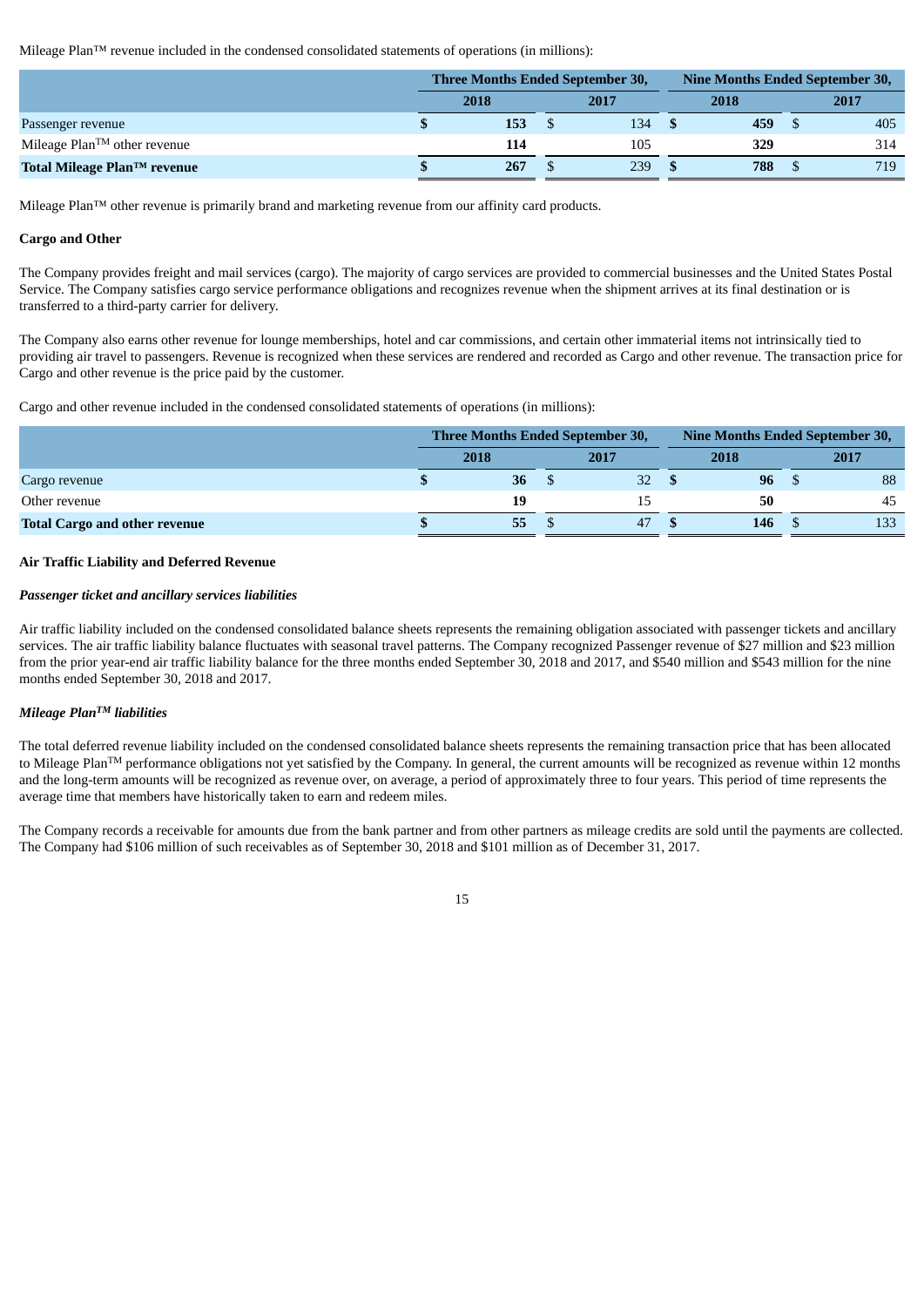Mileage Plan™ revenue included in the condensed consolidated statements of operations (in millions):

|                                          | <b>Three Months Ended September 30,</b> |     |  |      | <b>Nine Months Ended September 30,</b> |      |  |      |  |
|------------------------------------------|-----------------------------------------|-----|--|------|----------------------------------------|------|--|------|--|
|                                          | 2018                                    |     |  | 2017 |                                        | 2018 |  | 2017 |  |
| Passenger revenue                        |                                         | 153 |  | 134  |                                        | 459  |  | 405  |  |
| Mileage Plan <sup>TM</sup> other revenue |                                         | 114 |  | 105  |                                        | 329  |  | 314  |  |
| Total Mileage Plan $TM$ revenue          |                                         | 267 |  | 239  |                                        | 788  |  | 719  |  |

Mileage Plan™ other revenue is primarily brand and marketing revenue from our affinity card products.

#### **Cargo and Other**

The Company provides freight and mail services (cargo). The majority of cargo services are provided to commercial businesses and the United States Postal Service. The Company satisfies cargo service performance obligations and recognizes revenue when the shipment arrives at its final destination or is transferred to a third-party carrier for delivery.

The Company also earns other revenue for lounge memberships, hotel and car commissions, and certain other immaterial items not intrinsically tied to providing air travel to passengers. Revenue is recognized when these services are rendered and recorded as Cargo and other revenue. The transaction price for Cargo and other revenue is the price paid by the customer.

Cargo and other revenue included in the condensed consolidated statements of operations (in millions):

|                                      | <b>Three Months Ended September 30,</b> |    |      |    | <b>Nine Months Ended September 30,</b> |      |  |      |  |
|--------------------------------------|-----------------------------------------|----|------|----|----------------------------------------|------|--|------|--|
|                                      | 2018                                    |    | 2017 |    |                                        | 2018 |  | 2017 |  |
| Cargo revenue                        |                                         | 36 |      | 32 |                                        | 96   |  | 88   |  |
| Other revenue                        |                                         | 19 |      |    |                                        | 50   |  | 45   |  |
| <b>Total Cargo and other revenue</b> |                                         | 55 |      | 47 |                                        | 146  |  | 133  |  |

#### **Air Traffic Liability and Deferred Revenue**

#### *Passenger ticket and ancillary services liabilities*

Air traffic liability included on the condensed consolidated balance sheets represents the remaining obligation associated with passenger tickets and ancillary services. The air traffic liability balance fluctuates with seasonal travel patterns. The Company recognized Passenger revenue of \$27 million and \$23 million from the prior year-end air traffic liability balance for the three months ended September 30, 2018 and 2017, and \$540 million and \$543 million for the nine months ended September 30, 2018 and 2017.

### *Mileage Plan TM liabilities*

The total deferred revenue liability included on the condensed consolidated balance sheets represents the remaining transaction price that has been allocated to Mileage Plan™ performance obligations not yet satisfied by the Company. In general, the current amounts will be recognized as revenue within 12 months and the long-term amounts will be recognized as revenue over, on average, a period of approximately three to four years. This period of time represents the average time that members have historically taken to earn and redeem miles.

The Company records a receivable for amounts due from the bank partner and from other partners as mileage credits are sold until the payments are collected. The Company had \$106 million of such receivables as of September 30, 2018 and \$101 million as of December 31, 2017.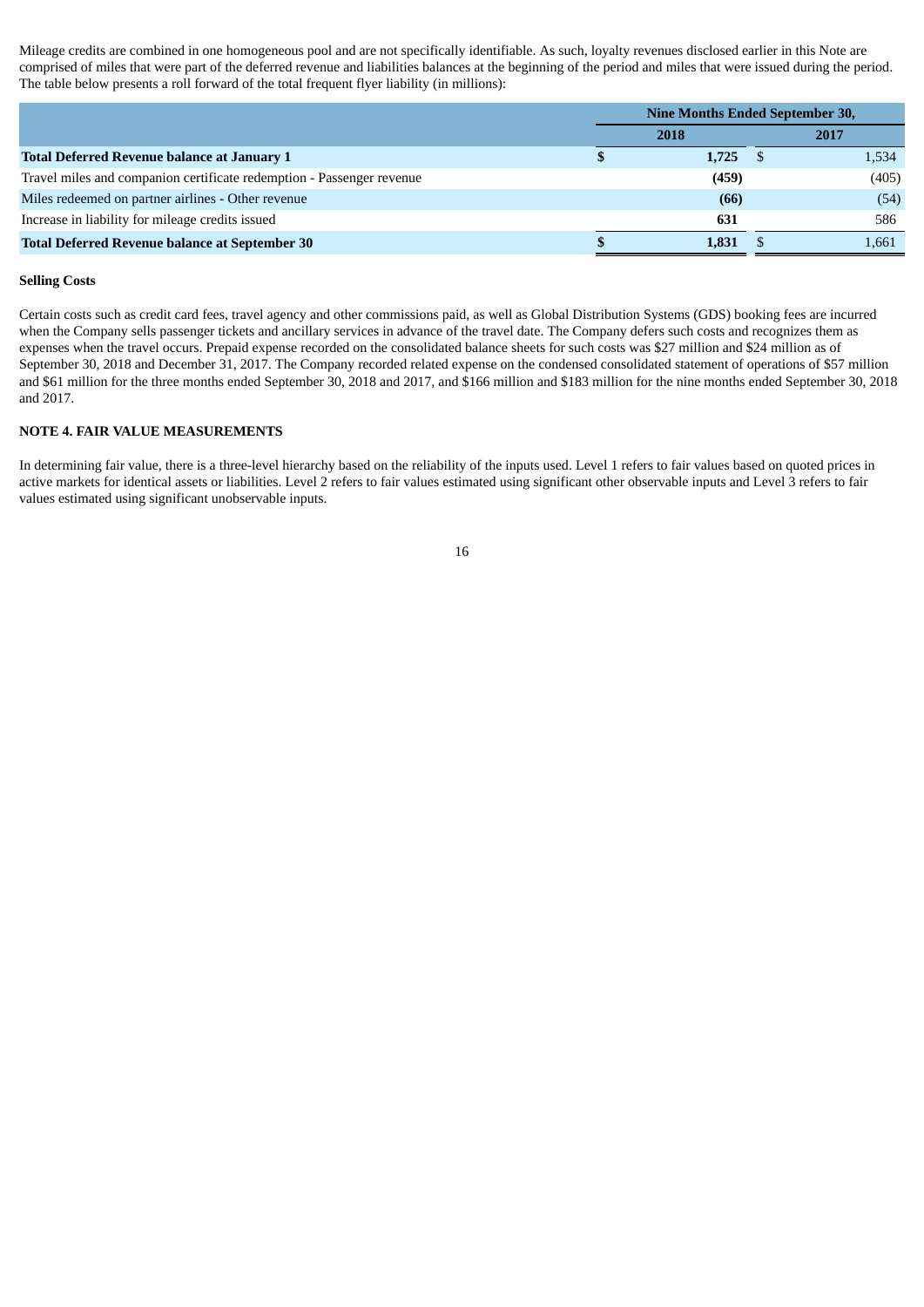Mileage credits are combined in one homogeneous pool and are not specifically identifiable. As such, loyalty revenues disclosed earlier in this Note are comprised of miles that were part of the deferred revenue and liabilities balances at the beginning of the period and miles that were issued during the period. The table below presents a roll forward of the total frequent flyer liability (in millions):

|                                                                       | <b>Nine Months Ended September 30,</b> |       |  |       |  |  |  |
|-----------------------------------------------------------------------|----------------------------------------|-------|--|-------|--|--|--|
|                                                                       |                                        | 2018  |  | 2017  |  |  |  |
| <b>Total Deferred Revenue balance at January 1</b>                    |                                        | 1,725 |  | 1,534 |  |  |  |
| Travel miles and companion certificate redemption - Passenger revenue |                                        | (459) |  | (405) |  |  |  |
| Miles redeemed on partner airlines - Other revenue                    |                                        | (66)  |  | (54)  |  |  |  |
| Increase in liability for mileage credits issued                      |                                        | 631   |  | 586   |  |  |  |
| <b>Total Deferred Revenue balance at September 30</b>                 |                                        | 1,831 |  | 1,661 |  |  |  |

#### **Selling Costs**

Certain costs such as credit card fees, travel agency and other commissions paid, as well as Global Distribution Systems (GDS) booking fees are incurred when the Company sells passenger tickets and ancillary services in advance of the travel date. The Company defers such costs and recognizes them as expenses when the travel occurs. Prepaid expense recorded on the consolidated balance sheets for such costs was \$27 million and \$24 million as of September 30, 2018 and December 31, 2017. The Company recorded related expense on the condensed consolidated statement of operations of \$57 million and \$61 million for the three months ended September 30, 2018 and 2017, and \$166 million and \$183 million for the nine months ended September 30, 2018 and 2017.

## **NOTE 4. FAIR VALUE MEASUREMENTS**

In determining fair value, there is a three-level hierarchy based on the reliability of the inputs used. Level 1 refers to fair values based on quoted prices in active markets for identical assets or liabilities. Level 2 refers to fair values estimated using significant other observable inputs and Level 3 refers to fair values estimated using significant unobservable inputs.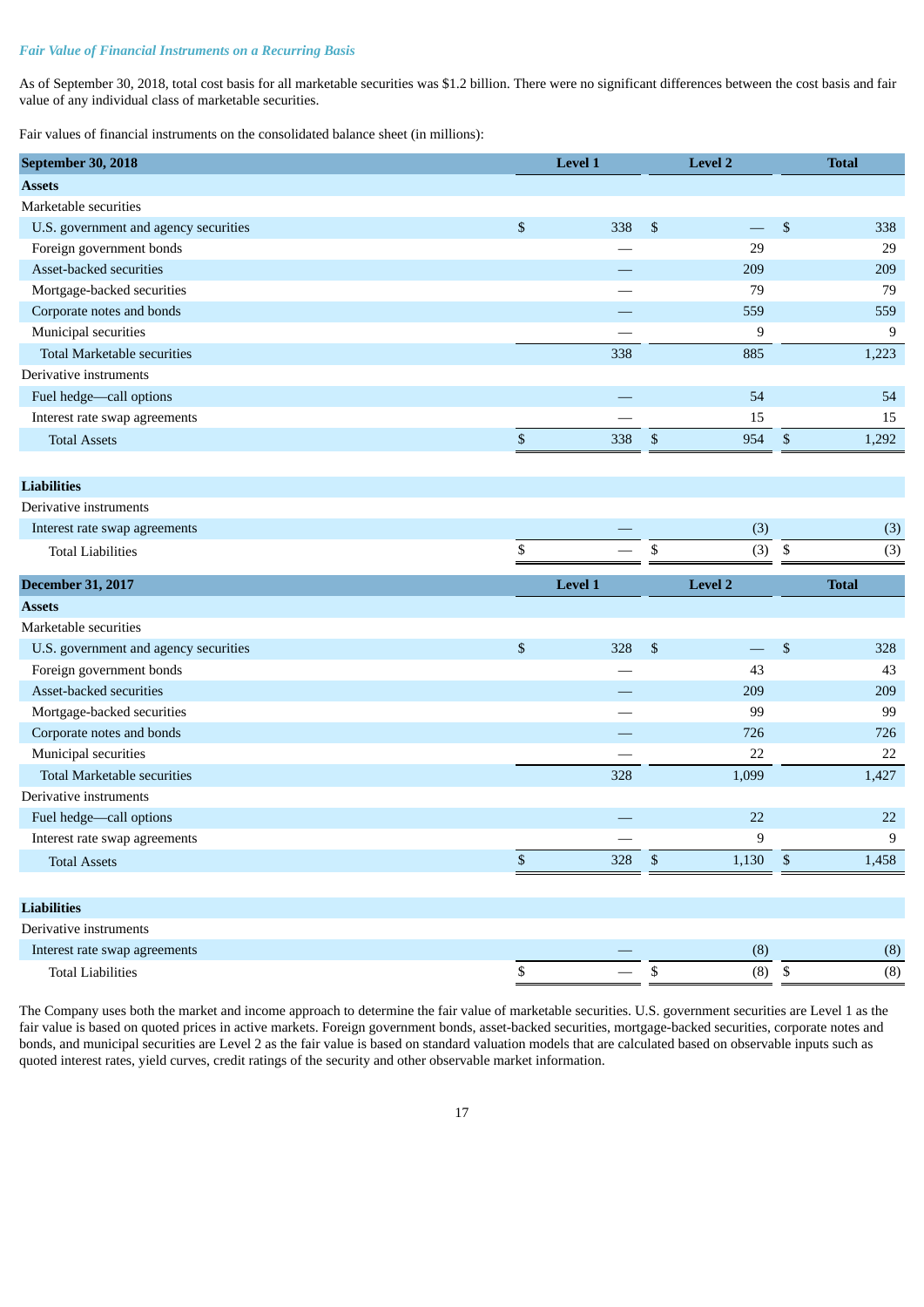#### *Fair Value of Financial Instruments on a Recurring Basis*

As of September 30, 2018, total cost basis for all marketable securities was \$1.2 billion. There were no significant differences between the cost basis and fair value of any individual class of marketable securities.

Fair values of financial instruments on the consolidated balance sheet (in millions):

| September 30, 2018                                      |                      | <b>Level 1</b> |              | <b>Level 2</b> |               | <b>Total</b> |
|---------------------------------------------------------|----------------------|----------------|--------------|----------------|---------------|--------------|
| <b>Assets</b>                                           |                      |                |              |                |               |              |
| Marketable securities                                   |                      |                |              |                |               |              |
| U.S. government and agency securities                   | \$                   | 338            | \$           |                | \$            | 338          |
| Foreign government bonds                                |                      |                |              | 29             |               | 29           |
| Asset-backed securities                                 |                      |                |              | 209            |               | 209          |
| Mortgage-backed securities                              |                      |                |              | 79             |               | 79           |
| Corporate notes and bonds                               |                      |                |              | 559            |               | 559          |
| Municipal securities                                    |                      |                |              | 9              |               | 9            |
| <b>Total Marketable securities</b>                      |                      | 338            |              | 885            |               | 1,223        |
| Derivative instruments                                  |                      |                |              |                |               |              |
| Fuel hedge-call options                                 |                      |                |              | 54             |               | 54           |
| Interest rate swap agreements                           |                      |                |              | 15             |               | 15           |
| <b>Total Assets</b>                                     | $\mathbb{S}$         | 338            | $\$$         | 954            | \$            | 1,292        |
|                                                         |                      |                |              |                |               |              |
| <b>Liabilities</b>                                      |                      |                |              |                |               |              |
| Derivative instruments                                  |                      |                |              |                |               |              |
| Interest rate swap agreements                           |                      |                |              | (3)            |               | (3)          |
| <b>Total Liabilities</b>                                | \$                   |                | \$           | (3)            | \$            | (3)          |
|                                                         |                      |                |              |                |               |              |
| <b>December 31, 2017</b>                                |                      | Level 1        |              | <b>Level 2</b> |               | <b>Total</b> |
| <b>Assets</b>                                           |                      |                |              |                |               |              |
| Marketable securities                                   |                      |                |              |                |               |              |
| U.S. government and agency securities                   | $\mathbb{S}$         | 328            | $\mathbb{S}$ |                | ${\mathbb S}$ | 328          |
| Foreign government bonds                                |                      |                |              | 43             |               | 43           |
| Asset-backed securities                                 |                      |                |              | 209            |               | 209          |
| Mortgage-backed securities                              |                      |                |              | 99             |               | 99           |
| Corporate notes and bonds                               |                      |                |              | 726            |               | 726          |
| Municipal securities                                    |                      |                |              | 22             |               | 22           |
| <b>Total Marketable securities</b>                      |                      | 328            |              | 1,099          |               | 1,427        |
| Derivative instruments                                  |                      |                |              |                |               |              |
| Fuel hedge-call options                                 |                      |                |              | 22             |               | 22           |
| Interest rate swap agreements                           |                      |                |              | 9              |               | 9            |
| <b>Total Assets</b>                                     | $\sqrt{\frac{2}{3}}$ | 328            | $\mathbb{S}$ | 1,130          | \$            | 1,458        |
|                                                         |                      |                |              |                |               |              |
| <b>Liabilities</b>                                      |                      |                |              |                |               |              |
| Derivative instruments<br>Interest rate swap agreements |                      |                |              | (8)            |               | (8)          |

The Company uses both the market and income approach to determine the fair value of marketable securities. U.S. government securities are Level 1 as the fair value is based on quoted prices in active markets. Foreign government bonds, asset-backed securities, mortgage-backed securities, corporate notes and bonds, and municipal securities are Level 2 as the fair value is based on standard valuation models that are calculated based on observable inputs such as quoted interest rates, yield curves, credit ratings of the security and other observable market information.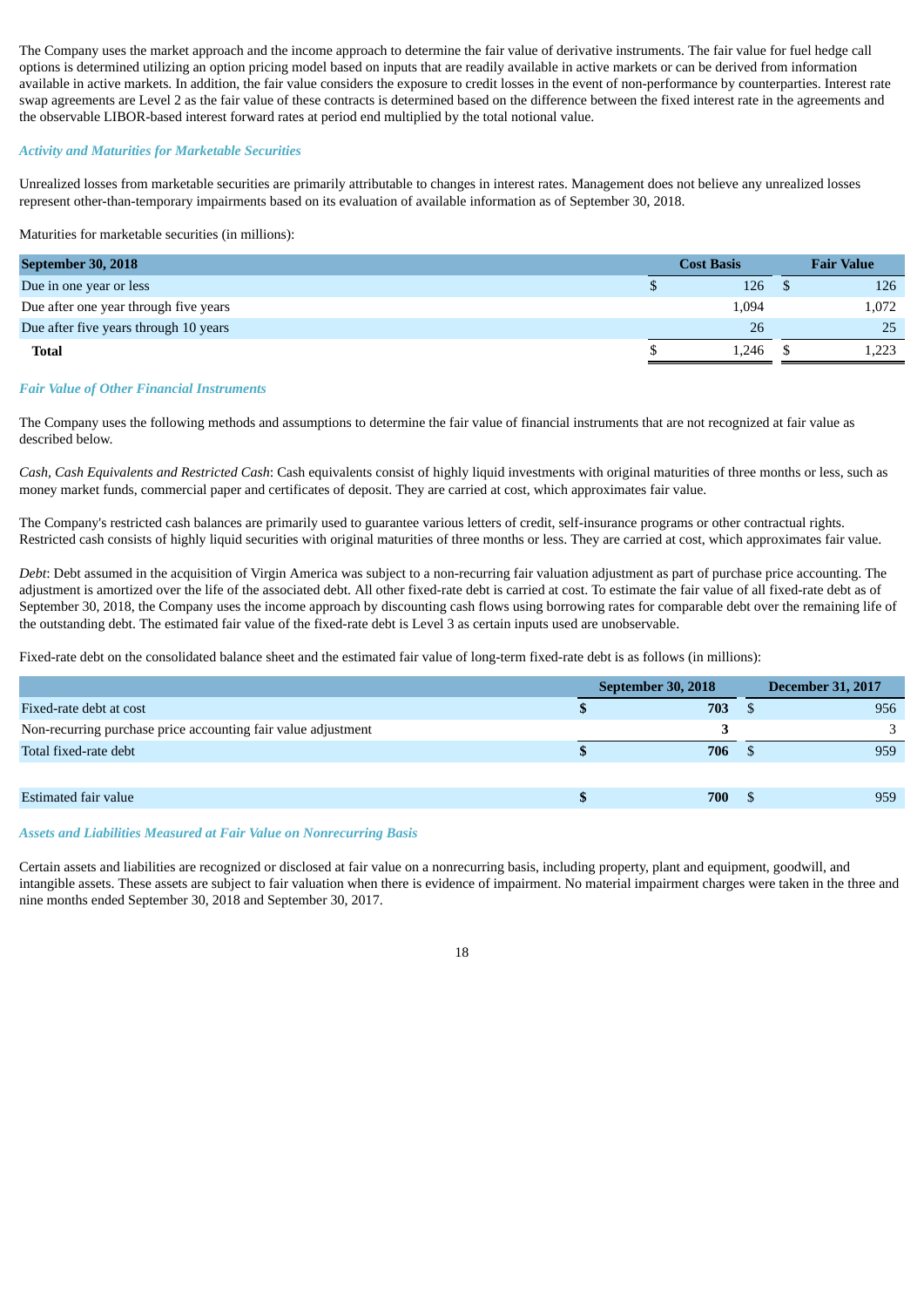The Company uses the market approach and the income approach to determine the fair value of derivative instruments. The fair value for fuel hedge call options is determined utilizing an option pricing model based on inputs that are readily available in active markets or can be derived from information available in active markets. In addition, the fair value considers the exposure to credit losses in the event of non-performance by counterparties. Interest rate swap agreements are Level 2 as the fair value of these contracts is determined based on the difference between the fixed interest rate in the agreements and the observable LIBOR-based interest forward rates at period end multiplied by the total notional value.

#### *Activity and Maturities for Marketable Securities*

Unrealized losses from marketable securities are primarily attributable to changes in interest rates. Management does not believe any unrealized losses represent other-than-temporary impairments based on its evaluation of available information as of September 30, 2018.

Maturities for marketable securities (in millions):

| September 30, 2018                    | <b>Cost Basis</b> |       |  | <b>Fair Value</b> |  |  |
|---------------------------------------|-------------------|-------|--|-------------------|--|--|
| Due in one year or less               |                   | 126   |  | 126               |  |  |
| Due after one year through five years |                   | 1,094 |  | 1,072             |  |  |
| Due after five years through 10 years |                   | 26    |  | 25                |  |  |
| <b>Total</b>                          |                   | .246  |  | 1,223             |  |  |

#### *Fair Value of Other Financial Instruments*

The Company uses the following methods and assumptions to determine the fair value of financial instruments that are not recognized at fair value as described below.

*Cash, Cash Equivalents and Restricted Cash*: Cash equivalents consist of highly liquid investments with original maturities of three months or less, such as money market funds, commercial paper and certificates of deposit. They are carried at cost, which approximates fair value.

The Company's restricted cash balances are primarily used to guarantee various letters of credit, self-insurance programs or other contractual rights. Restricted cash consists of highly liquid securities with original maturities of three months or less. They are carried at cost, which approximates fair value.

*Debt*: Debt assumed in the acquisition of Virgin America was subject to a non-recurring fair valuation adjustment as part of purchase price accounting. The adjustment is amortized over the life of the associated debt. All other fixed-rate debt is carried at cost. To estimate the fair value of all fixed-rate debt as of September 30, 2018, the Company uses the income approach by discounting cash flows using borrowing rates for comparable debt over the remaining life of the outstanding debt. The estimated fair value of the fixed-rate debt is Level 3 as certain inputs used are unobservable.

Fixed-rate debt on the consolidated balance sheet and the estimated fair value of long-term fixed-rate debt is as follows (in millions):

|                                                               | September 30, 2018 | <b>December 31, 2017</b> |     |
|---------------------------------------------------------------|--------------------|--------------------------|-----|
| Fixed-rate debt at cost                                       |                    | 703                      | 956 |
| Non-recurring purchase price accounting fair value adjustment |                    | З                        |     |
| Total fixed-rate debt                                         |                    | 706                      | 959 |
|                                                               |                    |                          |     |
| <b>Estimated fair value</b>                                   |                    | 700                      | 959 |

#### *Assets and Liabilities Measured at Fair Value on Nonrecurring Basis*

Certain assets and liabilities are recognized or disclosed at fair value on a nonrecurring basis, including property, plant and equipment, goodwill, and intangible assets. These assets are subject to fair valuation when there is evidence of impairment. No material impairment charges were taken in the three and nine months ended September 30, 2018 and September 30, 2017.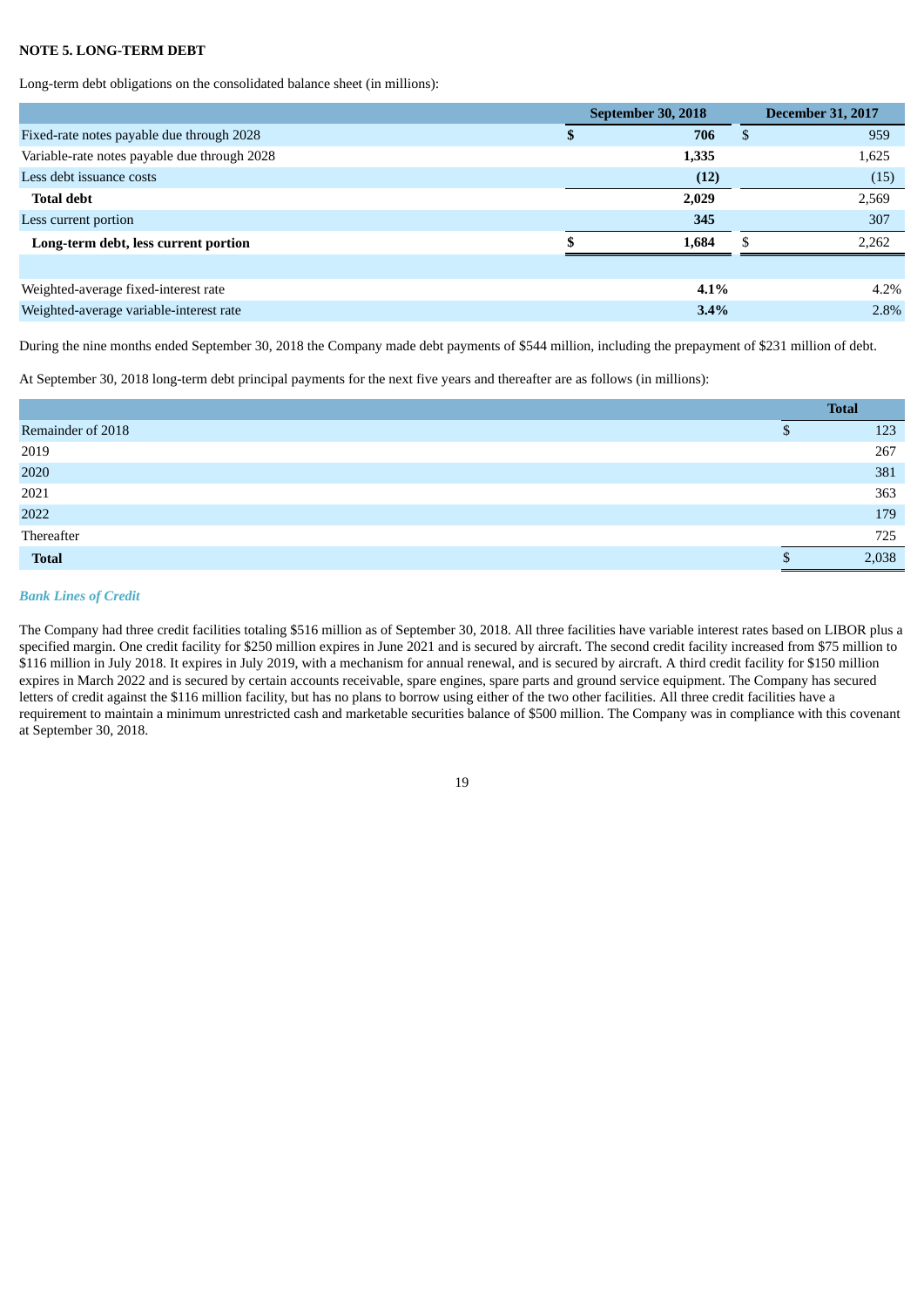## **NOTE 5. LONG-TERM DEBT**

Long-term debt obligations on the consolidated balance sheet (in millions):

|                                              |   | September 30, 2018 |    | <b>December 31, 2017</b> |
|----------------------------------------------|---|--------------------|----|--------------------------|
| Fixed-rate notes payable due through 2028    | S | 706                | S  | 959                      |
| Variable-rate notes payable due through 2028 |   | 1,335              |    | 1,625                    |
| Less debt issuance costs                     |   | (12)               |    | (15)                     |
| <b>Total debt</b>                            |   | 2,029              |    | 2,569                    |
| Less current portion                         |   | 345                |    | 307                      |
| Long-term debt, less current portion         |   | 1,684              | £. | 2,262                    |
|                                              |   |                    |    |                          |
| Weighted-average fixed-interest rate         |   | 4.1%               |    | 4.2%                     |
| Weighted-average variable-interest rate      |   | 3.4%               |    | 2.8%                     |

During the nine months ended September 30, 2018 the Company made debt payments of \$544 million, including the prepayment of \$231 million of debt.

At September 30, 2018 long-term debt principal payments for the next five years and thereafter are as follows (in millions):

|                   |    | <b>Total</b> |
|-------------------|----|--------------|
| Remainder of 2018 | ۰D | 123          |
| 2019              |    | 267          |
| 2020              |    | 381          |
| 2021              |    | 363          |
| 2022              |    | 179          |
| Thereafter        |    | 725          |
| <b>Total</b>      |    | 2,038        |

#### *Bank Lines of Credit*

The Company had three credit facilities totaling \$516 million as of September 30, 2018. All three facilities have variable interest rates based on LIBOR plus a specified margin. One credit facility for \$250 million expires in June 2021 and is secured by aircraft. The second credit facility increased from \$75 million to \$116 million in July 2018. It expires in July 2019, with a mechanism for annual renewal, and is secured by aircraft. A third credit facility for \$150 million expires in March 2022 and is secured by certain accounts receivable, spare engines, spare parts and ground service equipment. The Company has secured letters of credit against the \$116 million facility, but has no plans to borrow using either of the two other facilities. All three credit facilities have a requirement to maintain a minimum unrestricted cash and marketable securities balance of \$500 million. The Company was in compliance with this covenant at September 30, 2018.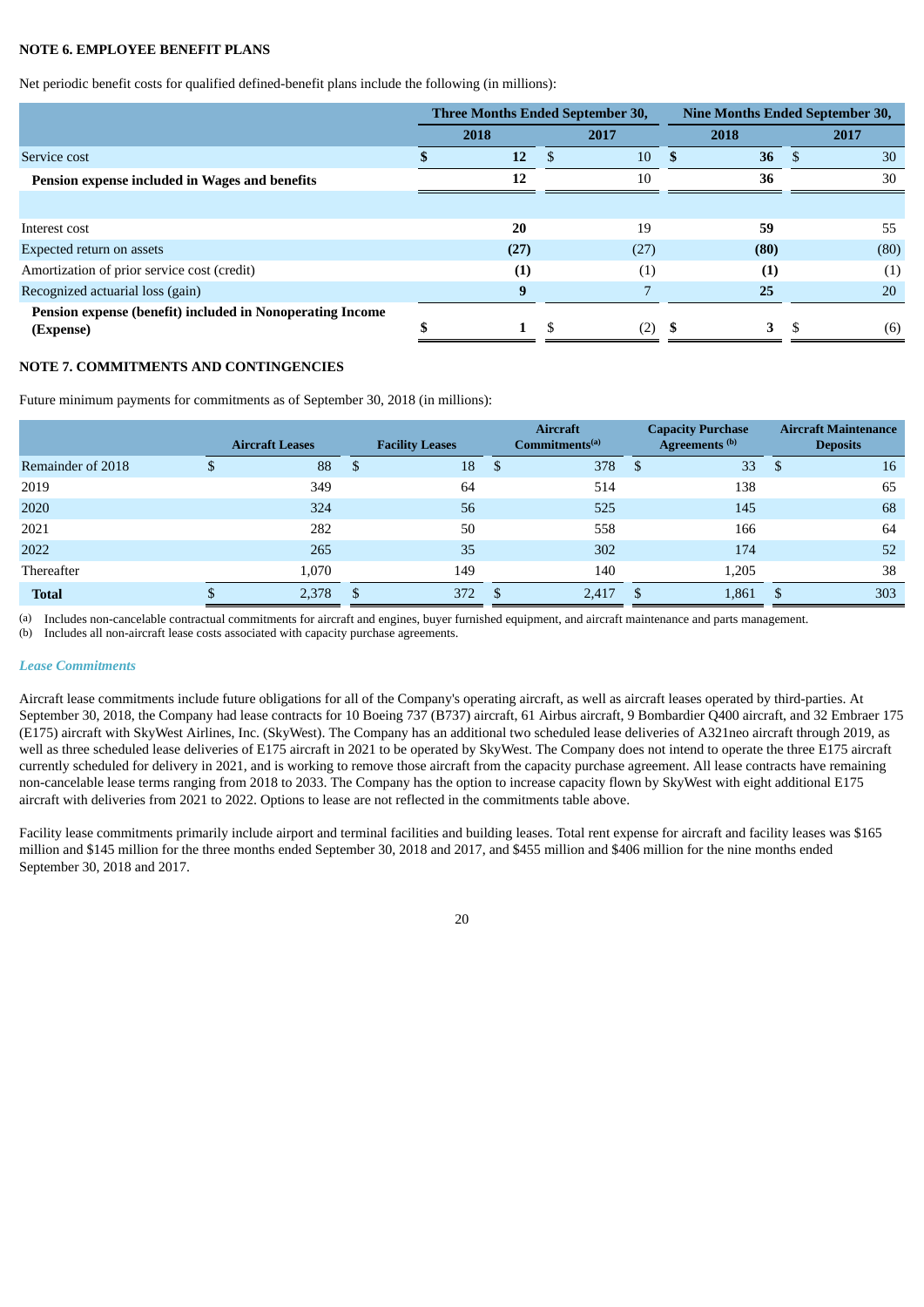### **NOTE 6. EMPLOYEE BENEFIT PLANS**

Net periodic benefit costs for qualified defined-benefit plans include the following (in millions):

|                                                                        |      | <b>Three Months Ended September 30,</b> | <b>Nine Months Ended September 30,</b> |      |  |  |  |  |
|------------------------------------------------------------------------|------|-----------------------------------------|----------------------------------------|------|--|--|--|--|
|                                                                        | 2018 | 2017                                    | 2018                                   | 2017 |  |  |  |  |
| Service cost                                                           | 12   | 10                                      | 36                                     | 30   |  |  |  |  |
| Pension expense included in Wages and benefits                         | 12   | 10                                      | 36                                     | 30   |  |  |  |  |
|                                                                        |      |                                         |                                        |      |  |  |  |  |
| Interest cost                                                          | 20   | 19                                      | 59                                     | 55   |  |  |  |  |
| Expected return on assets                                              | (27) | (27)                                    | (80)                                   | (80) |  |  |  |  |
| Amortization of prior service cost (credit)                            | (1)  | (1)                                     | $\left(1\right)$                       | (1)  |  |  |  |  |
| Recognized actuarial loss (gain)                                       | 9    |                                         | 25                                     | 20   |  |  |  |  |
| Pension expense (benefit) included in Nonoperating Income<br>(Expense) |      | (2)                                     | 3<br>-S                                | (6)  |  |  |  |  |

#### **NOTE 7. COMMITMENTS AND CONTINGENCIES**

Future minimum payments for commitments as of September 30, 2018 (in millions):

|                   | <b>Aircraft Leases</b> | <b>Facility Leases</b> | Aircraft<br>Commitments <sup>(a)</sup> |       |    | <b>Capacity Purchase</b><br>Agreements <sup>(b)</sup> | <b>Aircraft Maintenance</b><br><b>Deposits</b> |     |  |
|-------------------|------------------------|------------------------|----------------------------------------|-------|----|-------------------------------------------------------|------------------------------------------------|-----|--|
| Remainder of 2018 | 88                     | 18                     |                                        | 378   | -S | 33                                                    |                                                | 16  |  |
| 2019              | 349                    | 64                     |                                        | 514   |    | 138                                                   |                                                | 65  |  |
| 2020              | 324                    | 56                     |                                        | 525   |    | 145                                                   |                                                | 68  |  |
| 2021              | 282                    | 50                     |                                        | 558   |    | 166                                                   |                                                | 64  |  |
| 2022              | 265                    | 35                     |                                        | 302   |    | 174                                                   |                                                | 52  |  |
| Thereafter        | 1,070                  | 149                    |                                        | 140   |    | 1,205                                                 |                                                | 38  |  |
| <b>Total</b>      | 2,378                  | 372                    |                                        | 2,417 |    | 1,861                                                 |                                                | 303 |  |

(a) Includes non-cancelable contractual commitments for aircraft and engines, buyer furnished equipment, and aircraft maintenance and parts management.

(b) Includes all non-aircraft lease costs associated with capacity purchase agreements.

#### *Lease Commitments*

Aircraft lease commitments include future obligations for all of the Company's operating aircraft, as well as aircraft leases operated by third-parties. At September 30, 2018, the Company had lease contracts for 10 Boeing 737 (B737) aircraft, 61 Airbus aircraft, 9 Bombardier Q400 aircraft, and 32 Embraer 175 (E175) aircraft with SkyWest Airlines, Inc. (SkyWest). The Company has an additional two scheduled lease deliveries of A321neo aircraft through 2019, as well as three scheduled lease deliveries of E175 aircraft in 2021 to be operated by SkyWest. The Company does not intend to operate the three E175 aircraft currently scheduled for delivery in 2021, and is working to remove those aircraft from the capacity purchase agreement. All lease contracts have remaining non-cancelable lease terms ranging from 2018 to 2033. The Company has the option to increase capacity flown by SkyWest with eight additional E175 aircraft with deliveries from 2021 to 2022. Options to lease are not reflected in the commitments table above.

Facility lease commitments primarily include airport and terminal facilities and building leases. Total rent expense for aircraft and facility leases was \$165 million and \$145 million for the three months ended September 30, 2018 and 2017, and \$455 million and \$406 million for the nine months ended September 30, 2018 and 2017.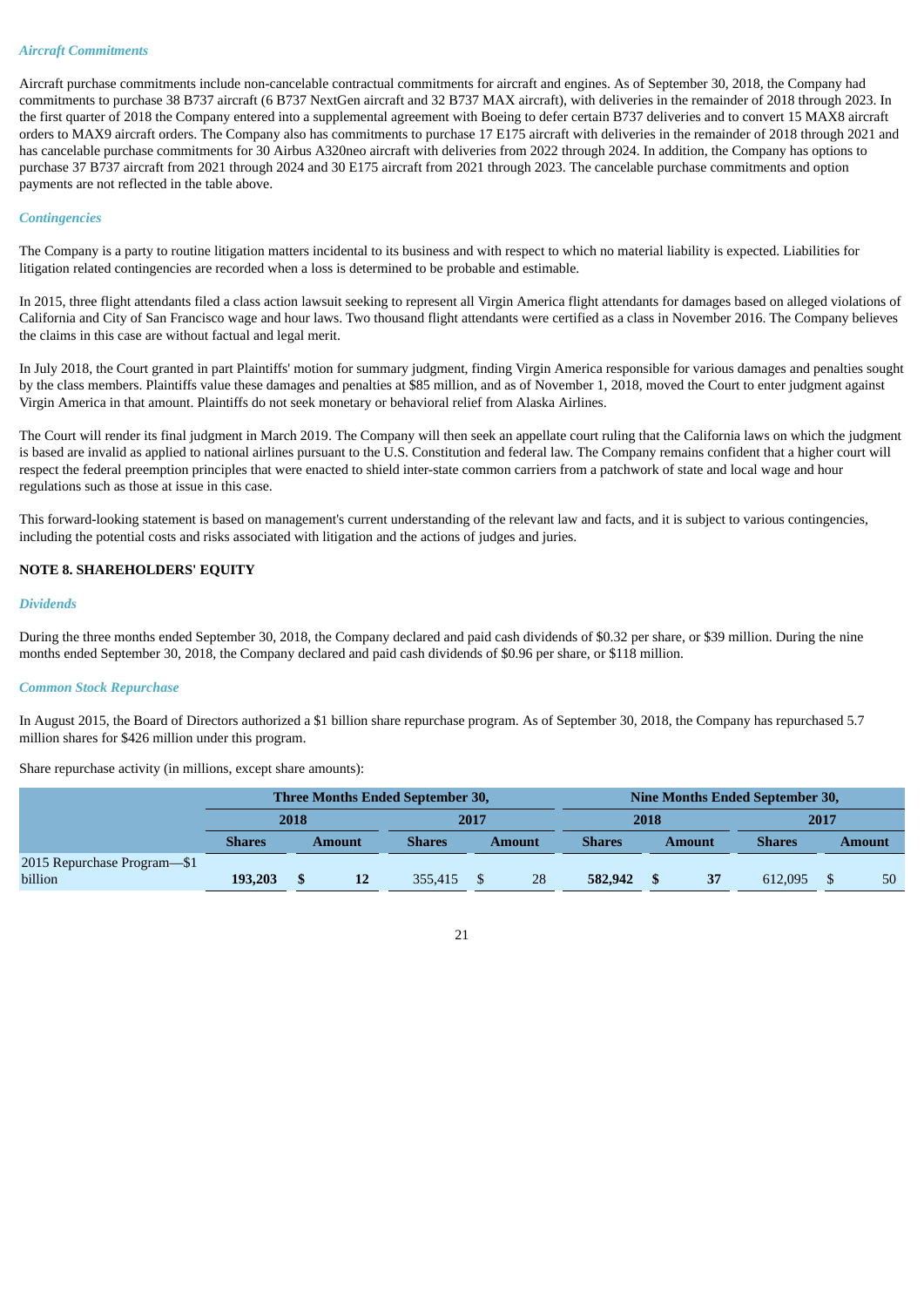#### *Aircraft Commitments*

Aircraft purchase commitments include non-cancelable contractual commitments for aircraft and engines. As of September 30, 2018, the Company had commitments to purchase 38 B737 aircraft (6 B737 NextGen aircraft and 32 B737 MAX aircraft), with deliveries in the remainder of 2018 through 2023. In the first quarter of 2018 the Company entered into a supplemental agreement with Boeing to defer certain B737 deliveries and to convert 15 MAX8 aircraft orders to MAX9 aircraft orders. The Company also has commitments to purchase 17 E175 aircraft with deliveries in the remainder of 2018 through 2021 and has cancelable purchase commitments for 30 Airbus A320neo aircraft with deliveries from 2022 through 2024. In addition, the Company has options to purchase 37 B737 aircraft from 2021 through 2024 and 30 E175 aircraft from 2021 through 2023. The cancelable purchase commitments and option payments are not reflected in the table above.

#### *Contingencies*

The Company is a party to routine litigation matters incidental to its business and with respect to which no material liability is expected. Liabilities for litigation related contingencies are recorded when a loss is determined to be probable and estimable.

In 2015, three flight attendants filed a class action lawsuit seeking to represent all Virgin America flight attendants for damages based on alleged violations of California and City of San Francisco wage and hour laws. Two thousand flight attendants were certified as a class in November 2016. The Company believes the claims in this case are without factual and legal merit.

In July 2018, the Court granted in part Plaintiffs' motion for summary judgment, finding Virgin America responsible for various damages and penalties sought by the class members. Plaintiffs value these damages and penalties at \$85 million, and as of November 1, 2018, moved the Court to enter judgment against Virgin America in that amount. Plaintiffs do not seek monetary or behavioral relief from Alaska Airlines.

The Court will render its final judgment in March 2019. The Company will then seek an appellate court ruling that the California laws on which the judgment is based are invalid as applied to national airlines pursuant to the U.S. Constitution and federal law. The Company remains confident that a higher court will respect the federal preemption principles that were enacted to shield inter-state common carriers from a patchwork of state and local wage and hour regulations such as those at issue in this case.

This forward-looking statement is based on management's current understanding of the relevant law and facts, and it is subject to various contingencies, including the potential costs and risks associated with litigation and the actions of judges and juries.

#### **NOTE 8. SHAREHOLDERS' EQUITY**

#### *Dividends*

During the three months ended September 30, 2018, the Company declared and paid cash dividends of \$0.32 per share, or \$39 million. During the nine months ended September 30, 2018, the Company declared and paid cash dividends of \$0.96 per share, or \$118 million.

#### *Common Stock Repurchase*

In August 2015, the Board of Directors authorized a \$1 billion share repurchase program. As of September 30, 2018, the Company has repurchased 5.7 million shares for \$426 million under this program.

#### Share repurchase activity (in millions, except share amounts):

|                                        |               |      |               | <b>Three Months Ended September 30,</b> |  |               | Nine Months Ended September 30, |               |      |               |        |    |  |  |  |
|----------------------------------------|---------------|------|---------------|-----------------------------------------|--|---------------|---------------------------------|---------------|------|---------------|--------|----|--|--|--|
|                                        |               | 2018 |               |                                         |  |               | 2018                            |               | 2017 |               |        |    |  |  |  |
|                                        | <b>Shares</b> |      | <b>Amount</b> | <b>Shares</b>                           |  | <b>Amount</b> | <b>Shares</b>                   | <b>Amount</b> |      | <b>Shares</b> | Amount |    |  |  |  |
| 2015 Repurchase Program—\$1<br>billion | 193,203       |      |               | 355,415                                 |  | 28            | 582,942                         |               | 37   | 612.095       |        | 50 |  |  |  |

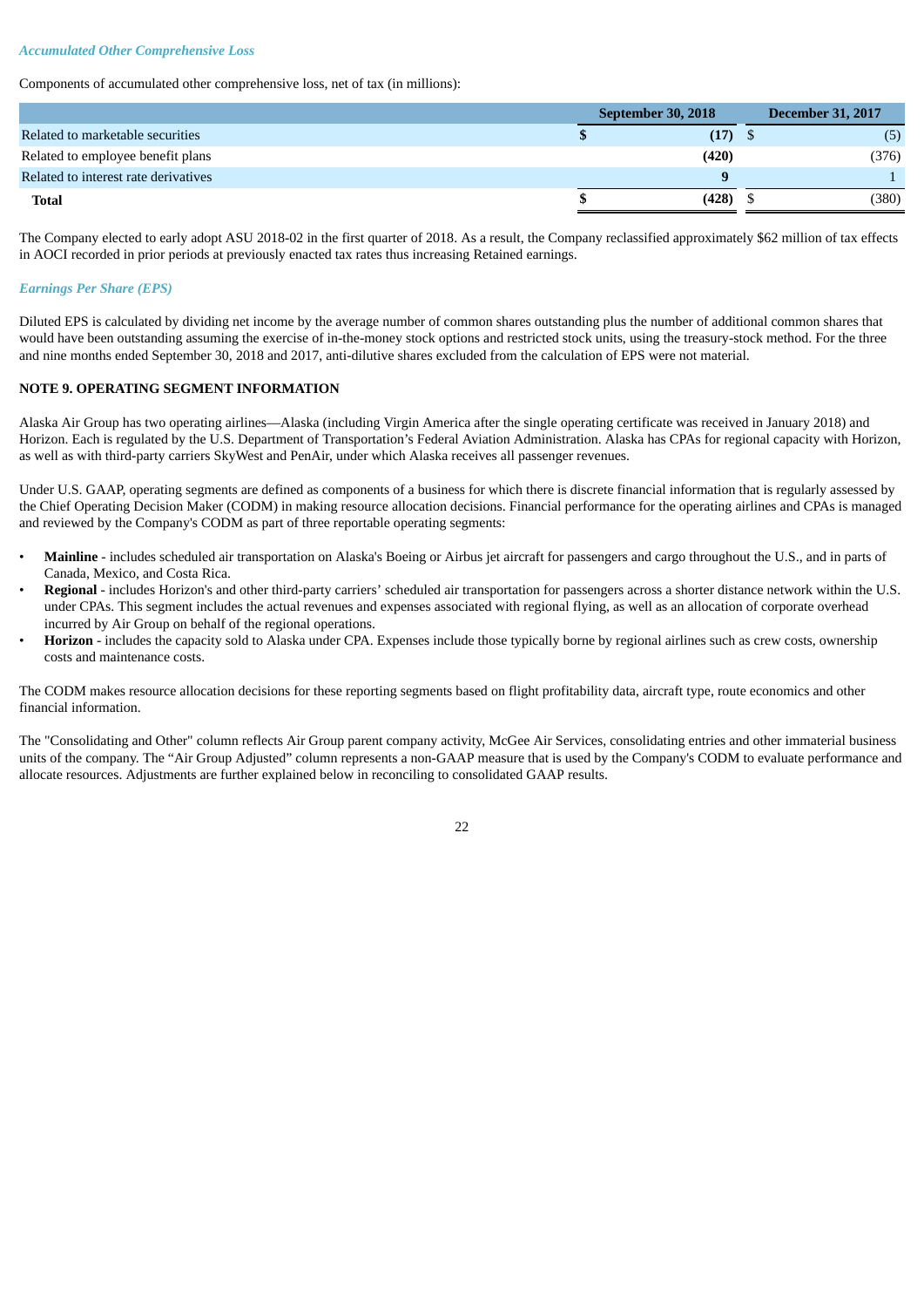#### *Accumulated Other Comprehensive Loss*

Components of accumulated other comprehensive loss, net of tax (in millions):

|                                      | September 30, 2018 | <b>December 31, 2017</b> |  |  |
|--------------------------------------|--------------------|--------------------------|--|--|
| Related to marketable securities     | $(17)$ \$          | (5)                      |  |  |
| Related to employee benefit plans    | (420)              | (376)                    |  |  |
| Related to interest rate derivatives | 9                  |                          |  |  |
| <b>Total</b>                         | (428)              | (380)                    |  |  |

The Company elected to early adopt ASU 2018-02 in the first quarter of 2018. As a result, the Company reclassified approximately \$62 million of tax effects in AOCI recorded in prior periods at previously enacted tax rates thus increasing Retained earnings.

#### *Earnings Per Share (EPS)*

Diluted EPS is calculated by dividing net income by the average number of common shares outstanding plus the number of additional common shares that would have been outstanding assuming the exercise of in-the-money stock options and restricted stock units, using the treasury-stock method. For the three and nine months ended September 30, 2018 and 2017, anti-dilutive shares excluded from the calculation of EPS were not material.

#### **NOTE 9. OPERATING SEGMENT INFORMATION**

Alaska Air Group has two operating airlines—Alaska (including Virgin America after the single operating certificate was received in January 2018) and Horizon. Each is regulated by the U.S. Department of Transportation's Federal Aviation Administration. Alaska has CPAs for regional capacity with Horizon, as well as with third-party carriers SkyWest and PenAir, under which Alaska receives all passenger revenues.

Under U.S. GAAP, operating segments are defined as components of a business for which there is discrete financial information that is regularly assessed by the Chief Operating Decision Maker (CODM) in making resource allocation decisions. Financial performance for the operating airlines and CPAs is managed and reviewed by the Company's CODM as part of three reportable operating segments:

- **Mainline** includes scheduled air transportation on Alaska's Boeing or Airbus jet aircraft for passengers and cargo throughout the U.S., and in parts of Canada, Mexico, and Costa Rica.
- **Regional** includes Horizon's and other third-party carriers' scheduled air transportation for passengers across a shorter distance network within the U.S. under CPAs. This segment includes the actual revenues and expenses associated with regional flying, as well as an allocation of corporate overhead incurred by Air Group on behalf of the regional operations.
- **Horizon** includes the capacity sold to Alaska under CPA. Expenses include those typically borne by regional airlines such as crew costs, ownership costs and maintenance costs.

The CODM makes resource allocation decisions for these reporting segments based on flight profitability data, aircraft type, route economics and other financial information.

The "Consolidating and Other" column reflects Air Group parent company activity, McGee Air Services, consolidating entries and other immaterial business units of the company. The "Air Group Adjusted" column represents a non-GAAP measure that is used by the Company's CODM to evaluate performance and allocate resources. Adjustments are further explained below in reconciling to consolidated GAAP results.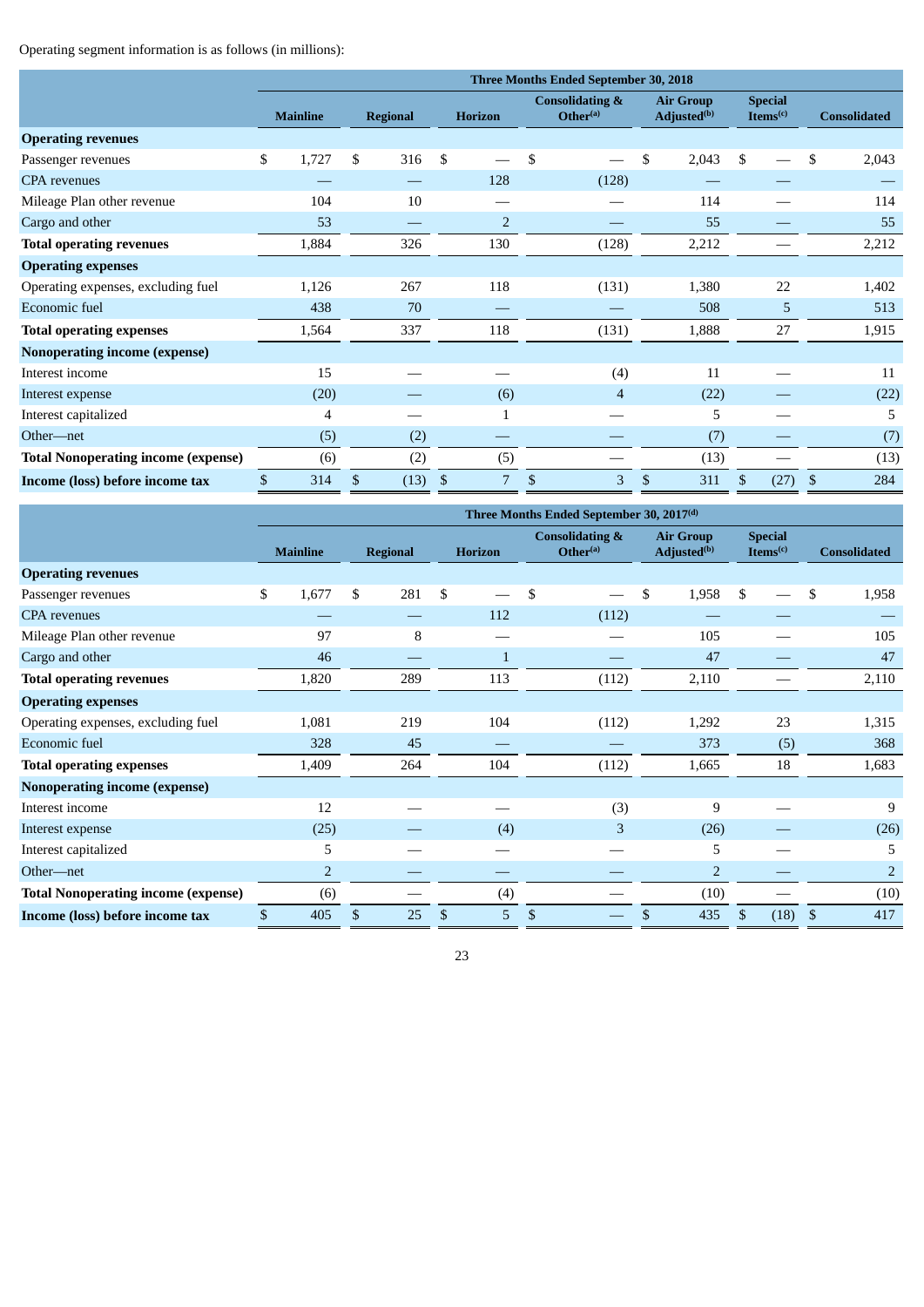Operating segment information is as follows (in millions):

|                                            |                 |                 |      |                      | <b>Three Months Ended September 30, 2018</b>       |    |                                             |                              |      |                     |
|--------------------------------------------|-----------------|-----------------|------|----------------------|----------------------------------------------------|----|---------------------------------------------|------------------------------|------|---------------------|
|                                            | <b>Mainline</b> | <b>Regional</b> |      | <b>Horizon</b>       | <b>Consolidating &amp;</b><br>Other <sup>(a)</sup> |    | <b>Air Group</b><br>Adjusted <sup>(b)</sup> | <b>Special</b><br>$Items(c)$ |      | <b>Consolidated</b> |
| <b>Operating revenues</b>                  |                 |                 |      |                      |                                                    |    |                                             |                              |      |                     |
| Passenger revenues                         | \$<br>1,727     | \$              | 316  | \$                   | \$                                                 | \$ | 2,043                                       | \$                           | \$   | 2,043               |
| <b>CPA</b> revenues                        |                 |                 |      | 128                  | (128)                                              |    |                                             |                              |      |                     |
| Mileage Plan other revenue                 | 104             |                 | 10   |                      |                                                    |    | 114                                         |                              |      | 114                 |
| Cargo and other                            | 53              |                 |      | $\overline{2}$       |                                                    |    | 55                                          |                              |      | 55                  |
| <b>Total operating revenues</b>            | 1,884           |                 | 326  | 130                  | (128)                                              |    | 2,212                                       |                              |      | 2,212               |
| <b>Operating expenses</b>                  |                 |                 |      |                      |                                                    |    |                                             |                              |      |                     |
| Operating expenses, excluding fuel         | 1,126           |                 | 267  | 118                  | (131)                                              |    | 1,380                                       | 22                           |      | 1,402               |
| Economic fuel                              | 438             |                 | 70   |                      |                                                    |    | 508                                         | 5                            |      | 513                 |
| <b>Total operating expenses</b>            | 1,564           |                 | 337  | 118                  | (131)                                              |    | 1,888                                       | 27                           |      | 1,915               |
| <b>Nonoperating income (expense)</b>       |                 |                 |      |                      |                                                    |    |                                             |                              |      |                     |
| Interest income                            | 15              |                 |      |                      | (4)                                                |    | 11                                          |                              |      | 11                  |
| Interest expense                           | (20)            |                 |      | (6)                  | $\overline{4}$                                     |    | (22)                                        |                              |      | (22)                |
| Interest capitalized                       | 4               |                 |      |                      |                                                    |    | 5                                           |                              |      | 5                   |
| Other-net                                  | (5)             |                 | (2)  |                      |                                                    |    | (7)                                         |                              |      | (7)                 |
| <b>Total Nonoperating income (expense)</b> | (6)             |                 | (2)  | (5)                  |                                                    |    | (13)                                        |                              | (13) |                     |
| Income (loss) before income tax            | 314<br>\$       | \$              | (13) | $\overline{7}$<br>\$ | \$<br>3                                            | \$ | 311                                         | (27)<br>\$                   | S    | 284                 |

|                                            |                 |                |                 |    |                |                                                    | Three Months Ended September 30, 2017 <sup>(d)</sup> |                                             |       |                              |                     |
|--------------------------------------------|-----------------|----------------|-----------------|----|----------------|----------------------------------------------------|------------------------------------------------------|---------------------------------------------|-------|------------------------------|---------------------|
|                                            | <b>Mainline</b> |                | <b>Regional</b> |    | <b>Horizon</b> | <b>Consolidating &amp;</b><br>Other <sup>(a)</sup> |                                                      | <b>Air Group</b><br>Adjusted <sup>(b)</sup> |       | <b>Special</b><br>$Items(c)$ | <b>Consolidated</b> |
| <b>Operating revenues</b>                  |                 |                |                 |    |                |                                                    |                                                      |                                             |       |                              |                     |
| Passenger revenues                         | \$<br>1,677     | \$             | 281             | \$ |                | \$                                                 |                                                      | \$                                          | 1,958 | \$                           | \$<br>1,958         |
| <b>CPA</b> revenues                        |                 |                |                 |    | 112            |                                                    | (112)                                                |                                             |       |                              |                     |
| Mileage Plan other revenue                 | 97              |                | 8               |    |                |                                                    |                                                      |                                             | 105   |                              | 105                 |
| Cargo and other                            | 46              |                |                 |    | $\mathbf{1}$   |                                                    |                                                      |                                             | 47    |                              | 47                  |
| <b>Total operating revenues</b>            | 1,820           |                | 289             |    | 113            |                                                    | (112)                                                |                                             | 2,110 |                              | 2,110               |
| <b>Operating expenses</b>                  |                 |                |                 |    |                |                                                    |                                                      |                                             |       |                              |                     |
| Operating expenses, excluding fuel         | 1,081           |                | 219             |    | 104            |                                                    | (112)                                                |                                             | 1,292 | 23                           | 1,315               |
| Economic fuel                              | 328             |                | 45              |    |                |                                                    |                                                      |                                             | 373   | (5)                          | 368                 |
| <b>Total operating expenses</b>            | 1,409           |                | 264             |    | 104            |                                                    | (112)                                                |                                             | 1,665 | 18                           | 1,683               |
| Nonoperating income (expense)              |                 |                |                 |    |                |                                                    |                                                      |                                             |       |                              |                     |
| Interest income                            | 12              |                |                 |    |                |                                                    | (3)                                                  |                                             | 9     |                              | 9                   |
| Interest expense                           | (25)            |                |                 |    | (4)            |                                                    | 3                                                    |                                             | (26)  |                              | (26)                |
| Interest capitalized                       | 5               |                |                 |    |                |                                                    |                                                      |                                             | 5     |                              | 5                   |
| Other-net                                  | $\overline{2}$  |                |                 |    |                |                                                    |                                                      |                                             | 2     |                              | $\overline{2}$      |
| <b>Total Nonoperating income (expense)</b> | (6)             |                |                 |    | (4)            |                                                    |                                                      |                                             | (10)  |                              | (10)                |
| Income (loss) before income tax            | \$<br>405       | $\mathfrak{S}$ | 25              | \$ | 5              | \$                                                 |                                                      |                                             | 435   | \$<br>(18)                   | \$<br>417           |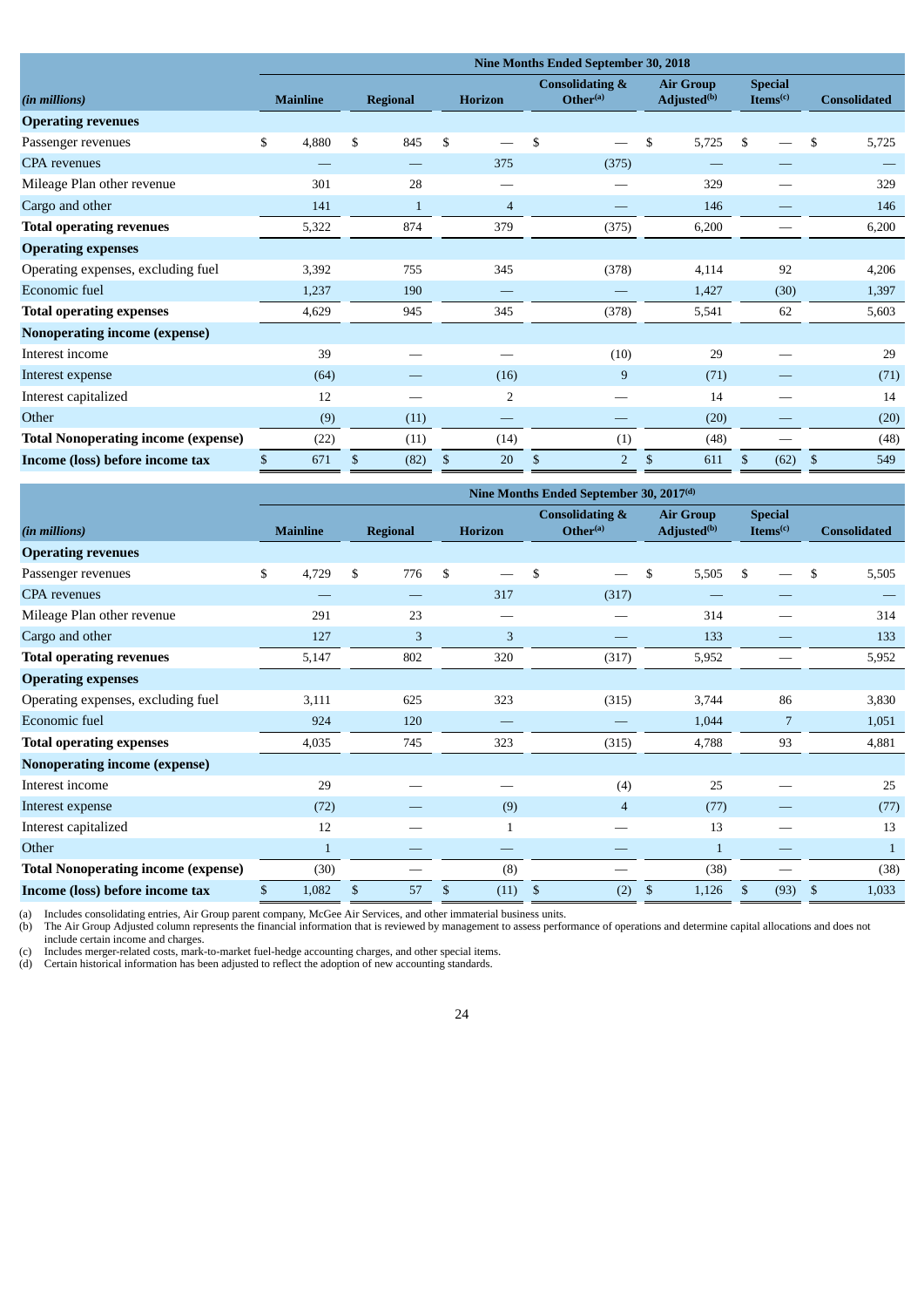|                                            | <b>Nine Months Ended September 30, 2018</b> |                 |    |                 |    |                |                                                    |       |                                             |       |                              |      |                     |       |
|--------------------------------------------|---------------------------------------------|-----------------|----|-----------------|----|----------------|----------------------------------------------------|-------|---------------------------------------------|-------|------------------------------|------|---------------------|-------|
| (in millions)                              |                                             | <b>Mainline</b> |    | <b>Regional</b> |    | <b>Horizon</b> | <b>Consolidating &amp;</b><br>Other <sup>(a)</sup> |       | <b>Air Group</b><br>Adjusted <sup>(b)</sup> |       | <b>Special</b><br>$Items(c)$ |      | <b>Consolidated</b> |       |
| <b>Operating revenues</b>                  |                                             |                 |    |                 |    |                |                                                    |       |                                             |       |                              |      |                     |       |
| Passenger revenues                         | \$                                          | 4,880           | \$ | 845             | \$ |                | \$                                                 |       | \$                                          | 5,725 | \$                           |      | \$                  | 5,725 |
| <b>CPA</b> revenues                        |                                             |                 |    |                 |    | 375            |                                                    | (375) |                                             |       |                              |      |                     |       |
| Mileage Plan other revenue                 |                                             | 301             |    | 28              |    |                |                                                    |       |                                             | 329   |                              |      |                     | 329   |
| Cargo and other                            |                                             | 141             |    | $\mathbf{1}$    |    | $\overline{4}$ |                                                    |       |                                             | 146   |                              |      |                     | 146   |
| <b>Total operating revenues</b>            |                                             | 5,322           |    | 874             |    | 379            |                                                    | (375) |                                             | 6,200 |                              |      |                     | 6,200 |
| <b>Operating expenses</b>                  |                                             |                 |    |                 |    |                |                                                    |       |                                             |       |                              |      |                     |       |
| Operating expenses, excluding fuel         |                                             | 3,392           |    | 755             |    | 345            |                                                    | (378) |                                             | 4,114 |                              | 92   |                     | 4,206 |
| Economic fuel                              |                                             | 1,237           |    | 190             |    |                |                                                    |       |                                             | 1,427 |                              | (30) |                     | 1,397 |
| <b>Total operating expenses</b>            |                                             | 4,629           |    | 945             |    | 345            |                                                    | (378) |                                             | 5,541 |                              | 62   |                     | 5,603 |
| <b>Nonoperating income (expense)</b>       |                                             |                 |    |                 |    |                |                                                    |       |                                             |       |                              |      |                     |       |
| Interest income                            |                                             | 39              |    |                 |    |                |                                                    | (10)  |                                             | 29    |                              |      |                     | 29    |
| Interest expense                           |                                             | (64)            |    |                 |    | (16)           |                                                    | 9     |                                             | (71)  |                              |      |                     | (71)  |
| Interest capitalized                       |                                             | 12              |    |                 |    | 2              |                                                    |       |                                             | 14    |                              |      |                     | 14    |
| Other                                      |                                             | (9)             |    | (11)            |    |                |                                                    |       |                                             | (20)  |                              |      |                     | (20)  |
| <b>Total Nonoperating income (expense)</b> |                                             | (22)            |    | (11)            |    | (14)           |                                                    | (1)   |                                             | (48)  |                              |      |                     | (48)  |
| Income (loss) before income tax            | \$                                          | 671             | \$ | (82)            | \$ | 20             | \$                                                 | 2     | $\mathbb{S}$                                | 611   |                              | (62) | \$                  | 549   |

|                                            | Nine Months Ended September 30, 2017 <sup>(d)</sup> |           |                |                                                    |                                             |                              |                     |  |  |  |  |
|--------------------------------------------|-----------------------------------------------------|-----------|----------------|----------------------------------------------------|---------------------------------------------|------------------------------|---------------------|--|--|--|--|
| (in millions)                              | <b>Regional</b><br><b>Mainline</b>                  |           | <b>Horizon</b> | <b>Consolidating &amp;</b><br>Other <sup>(a)</sup> | <b>Air Group</b><br>Adjusted <sup>(b)</sup> | <b>Special</b><br>$Items(c)$ | <b>Consolidated</b> |  |  |  |  |
| <b>Operating revenues</b>                  |                                                     |           |                |                                                    |                                             |                              |                     |  |  |  |  |
| Passenger revenues                         | \$<br>4,729                                         | \$<br>776 | \$             | \$                                                 | \$<br>5,505                                 | \$                           | \$<br>5,505         |  |  |  |  |
| <b>CPA</b> revenues                        |                                                     |           | 317            | (317)                                              |                                             |                              |                     |  |  |  |  |
| Mileage Plan other revenue                 | 291                                                 | 23        |                |                                                    | 314                                         |                              | 314                 |  |  |  |  |
| Cargo and other                            | 127                                                 | 3         | 3              |                                                    | 133                                         |                              | 133                 |  |  |  |  |
| <b>Total operating revenues</b>            | 5,147                                               | 802       | 320            | (317)                                              | 5,952                                       |                              | 5,952               |  |  |  |  |
| <b>Operating expenses</b>                  |                                                     |           |                |                                                    |                                             |                              |                     |  |  |  |  |
| Operating expenses, excluding fuel         | 3,111                                               | 625       | 323            | (315)                                              | 3,744                                       | 86                           | 3,830               |  |  |  |  |
| Economic fuel                              | 924                                                 | 120       |                |                                                    | 1,044                                       | 7                            | 1,051               |  |  |  |  |
| <b>Total operating expenses</b>            | 4,035                                               | 745       | 323            | (315)                                              | 4,788                                       | 93                           | 4,881               |  |  |  |  |
| Nonoperating income (expense)              |                                                     |           |                |                                                    |                                             |                              |                     |  |  |  |  |
| Interest income                            | 29                                                  |           |                | (4)                                                | 25                                          |                              | 25                  |  |  |  |  |
| Interest expense                           | (72)                                                |           | (9)            | $\overline{4}$                                     | (77)                                        |                              | (77)                |  |  |  |  |
| Interest capitalized                       | 12                                                  |           | $\mathbf{1}$   |                                                    | 13                                          |                              | 13                  |  |  |  |  |
| Other                                      | $\mathbf{1}$                                        |           |                |                                                    | 1                                           |                              | $\mathbf{1}$        |  |  |  |  |
| <b>Total Nonoperating income (expense)</b> | (30)                                                |           | (8)            |                                                    | (38)                                        |                              | (38)                |  |  |  |  |
| Income (loss) before income tax            | 1,082<br>\$                                         | 57<br>\$  | (11)<br>\$     | $\mathfrak{s}$<br>(2)                              | \$<br>1,126                                 | (93)<br>\$                   | 1,033<br>\$         |  |  |  |  |

(a) Includes consolidating entries, Air Group parent company, McGee Air Services, and other immaterial business units.

(b) The Air Group Adjusted column represents the financial information that is reviewed by management to assess performance of operations and determine capital allocations and does not include certain income and charges.

(c) Includes merger-related costs, mark-to-market fuel-hedge accounting charges, and other special items.

(d) Certain historical information has been adjusted to reflect the adoption of new accounting standards.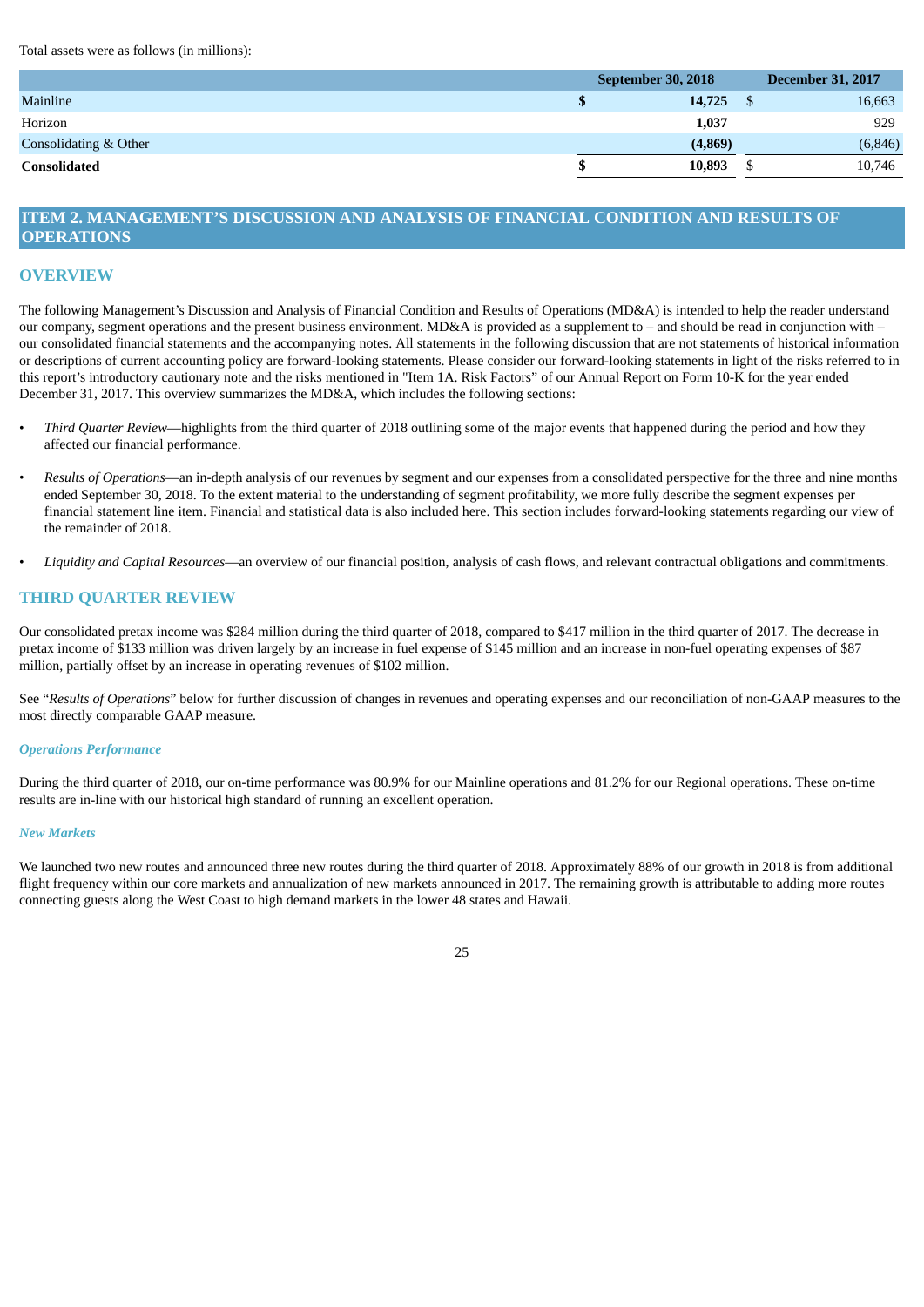Total assets were as follows (in millions):

|                       | September 30, 2018 |         |  | <b>December 31, 2017</b> |
|-----------------------|--------------------|---------|--|--------------------------|
| <b>Mainline</b>       |                    | 14,725  |  | 16,663                   |
| Horizon               |                    | 1,037   |  | 929                      |
| Consolidating & Other |                    | (4,869) |  | (6, 846)                 |
| Consolidated          |                    | 10,893  |  | 10,746                   |

## <span id="page-24-0"></span>**ITEM 2. MANAGEMENT'S DISCUSSION AND ANALYSIS OF FINANCIAL CONDITION AND RESULTS OF OPERATIONS**

## **OVERVIEW**

The following Management's Discussion and Analysis of Financial Condition and Results of Operations (MD&A) is intended to help the reader understand our company, segment operations and the present business environment. MD&A is provided as a supplement to – and should be read in conjunction with – our consolidated financial statements and the accompanying notes. All statements in the following discussion that are not statements of historical information or descriptions of current accounting policy are forward-looking statements. Please consider our forward-looking statements in light of the risks referred to in this report's introductory cautionary note and the risks mentioned in "Item 1A. Risk Factors" of our Annual Report on Form 10-K for the year ended December 31, 2017. This overview summarizes the MD&A, which includes the following sections:

- *Third Quarter Review*—highlights from the third quarter of 2018 outlining some of the major events that happened during the period and how they affected our financial performance.
- *Results of Operations*—an in-depth analysis of our revenues by segment and our expenses from a consolidated perspective for the three and nine months ended September 30, 2018. To the extent material to the understanding of segment profitability, we more fully describe the segment expenses per financial statement line item. Financial and statistical data is also included here. This section includes forward-looking statements regarding our view of the remainder of 2018.
- *Liquidity and Capital Resources*—an overview of our financial position, analysis of cash flows, and relevant contractual obligations and commitments.

## **THIRD QUARTER REVIEW**

Our consolidated pretax income was \$284 million during the third quarter of 2018, compared to \$417 million in the third quarter of 2017. The decrease in pretax income of \$133 million was driven largely by an increase in fuel expense of \$145 million and an increase in non-fuel operating expenses of \$87 million, partially offset by an increase in operating revenues of \$102 million.

See "*Results of Operations*" below for further discussion of changes in revenues and operating expenses and our reconciliation of non-GAAP measures to the most directly comparable GAAP measure.

#### *Operations Performance*

During the third quarter of 2018, our on-time performance was 80.9% for our Mainline operations and 81.2% for our Regional operations. These on-time results are in-line with our historical high standard of running an excellent operation.

#### *New Markets*

We launched two new routes and announced three new routes during the third quarter of 2018. Approximately 88% of our growth in 2018 is from additional flight frequency within our core markets and annualization of new markets announced in 2017. The remaining growth is attributable to adding more routes connecting guests along the West Coast to high demand markets in the lower 48 states and Hawaii.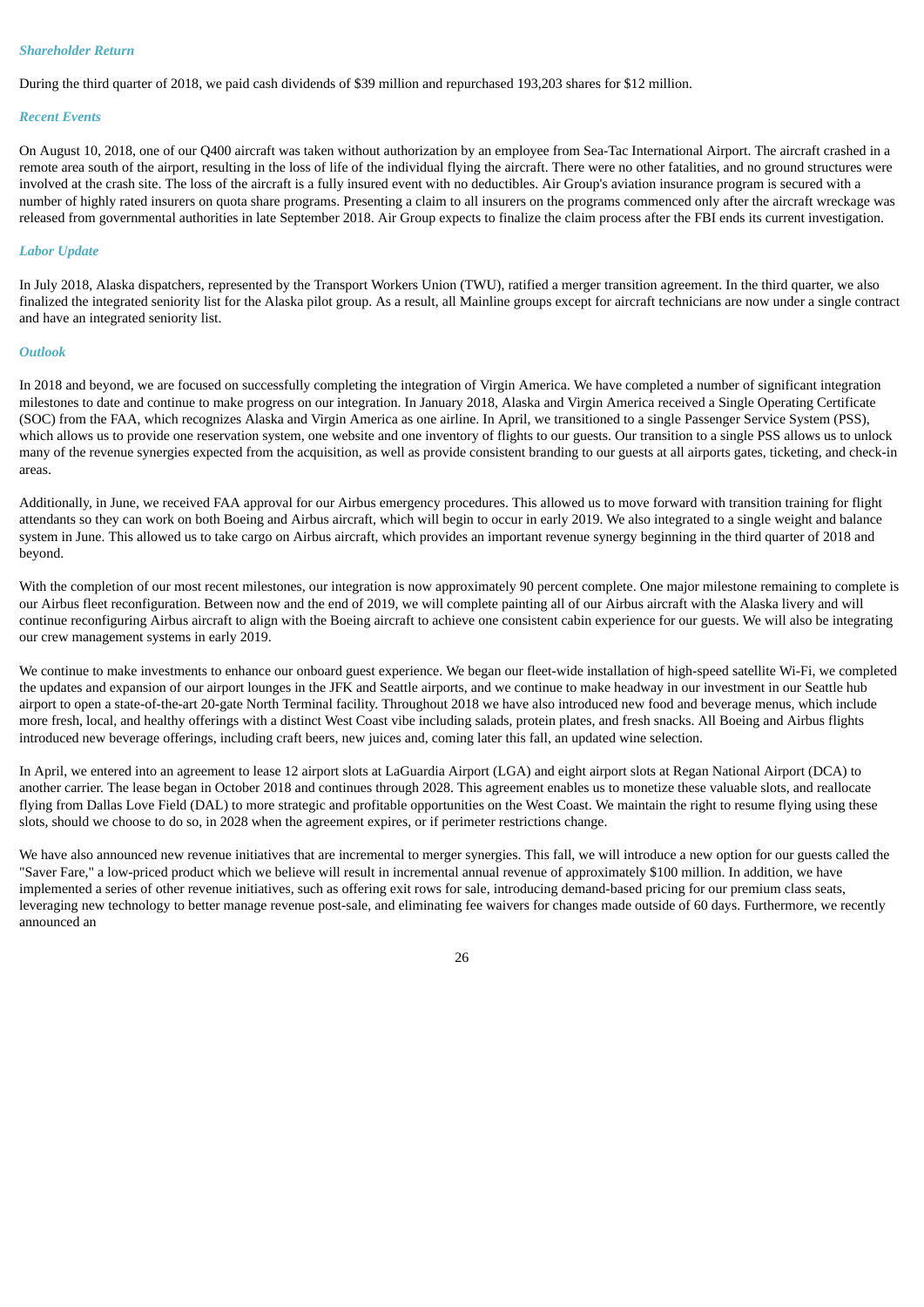#### *Shareholder Return*

During the third quarter of 2018, we paid cash dividends of \$39 million and repurchased 193,203 shares for \$12 million.

#### *Recent Events*

On August 10, 2018, one of our Q400 aircraft was taken without authorization by an employee from Sea-Tac International Airport. The aircraft crashed in a remote area south of the airport, resulting in the loss of life of the individual flying the aircraft. There were no other fatalities, and no ground structures were involved at the crash site. The loss of the aircraft is a fully insured event with no deductibles. Air Group's aviation insurance program is secured with a number of highly rated insurers on quota share programs. Presenting a claim to all insurers on the programs commenced only after the aircraft wreckage was released from governmental authorities in late September 2018. Air Group expects to finalize the claim process after the FBI ends its current investigation.

#### *Labor Update*

In July 2018, Alaska dispatchers, represented by the Transport Workers Union (TWU), ratified a merger transition agreement. In the third quarter, we also finalized the integrated seniority list for the Alaska pilot group. As a result, all Mainline groups except for aircraft technicians are now under a single contract and have an integrated seniority list.

#### *Outlook*

In 2018 and beyond, we are focused on successfully completing the integration of Virgin America. We have completed a number of significant integration milestones to date and continue to make progress on our integration. In January 2018, Alaska and Virgin America received a Single Operating Certificate (SOC) from the FAA, which recognizes Alaska and Virgin America as one airline. In April, we transitioned to a single Passenger Service System (PSS), which allows us to provide one reservation system, one website and one inventory of flights to our guests. Our transition to a single PSS allows us to unlock many of the revenue synergies expected from the acquisition, as well as provide consistent branding to our guests at all airports gates, ticketing, and check-in areas.

Additionally, in June, we received FAA approval for our Airbus emergency procedures. This allowed us to move forward with transition training for flight attendants so they can work on both Boeing and Airbus aircraft, which will begin to occur in early 2019. We also integrated to a single weight and balance system in June. This allowed us to take cargo on Airbus aircraft, which provides an important revenue synergy beginning in the third quarter of 2018 and beyond.

With the completion of our most recent milestones, our integration is now approximately 90 percent complete. One major milestone remaining to complete is our Airbus fleet reconfiguration. Between now and the end of 2019, we will complete painting all of our Airbus aircraft with the Alaska livery and will continue reconfiguring Airbus aircraft to align with the Boeing aircraft to achieve one consistent cabin experience for our guests. We will also be integrating our crew management systems in early 2019.

We continue to make investments to enhance our onboard guest experience. We began our fleet-wide installation of high-speed satellite Wi-Fi, we completed the updates and expansion of our airport lounges in the JFK and Seattle airports, and we continue to make headway in our investment in our Seattle hub airport to open a state-of-the-art 20-gate North Terminal facility. Throughout 2018 we have also introduced new food and beverage menus, which include more fresh, local, and healthy offerings with a distinct West Coast vibe including salads, protein plates, and fresh snacks. All Boeing and Airbus flights introduced new beverage offerings, including craft beers, new juices and, coming later this fall, an updated wine selection.

In April, we entered into an agreement to lease 12 airport slots at LaGuardia Airport (LGA) and eight airport slots at Regan National Airport (DCA) to another carrier. The lease began in October 2018 and continues through 2028. This agreement enables us to monetize these valuable slots, and reallocate flying from Dallas Love Field (DAL) to more strategic and profitable opportunities on the West Coast. We maintain the right to resume flying using these slots, should we choose to do so, in 2028 when the agreement expires, or if perimeter restrictions change.

We have also announced new revenue initiatives that are incremental to merger synergies. This fall, we will introduce a new option for our guests called the "Saver Fare," a low-priced product which we believe will result in incremental annual revenue of approximately \$100 million. In addition, we have implemented a series of other revenue initiatives, such as offering exit rows for sale, introducing demand-based pricing for our premium class seats, leveraging new technology to better manage revenue post-sale, and eliminating fee waivers for changes made outside of 60 days. Furthermore, we recently announced an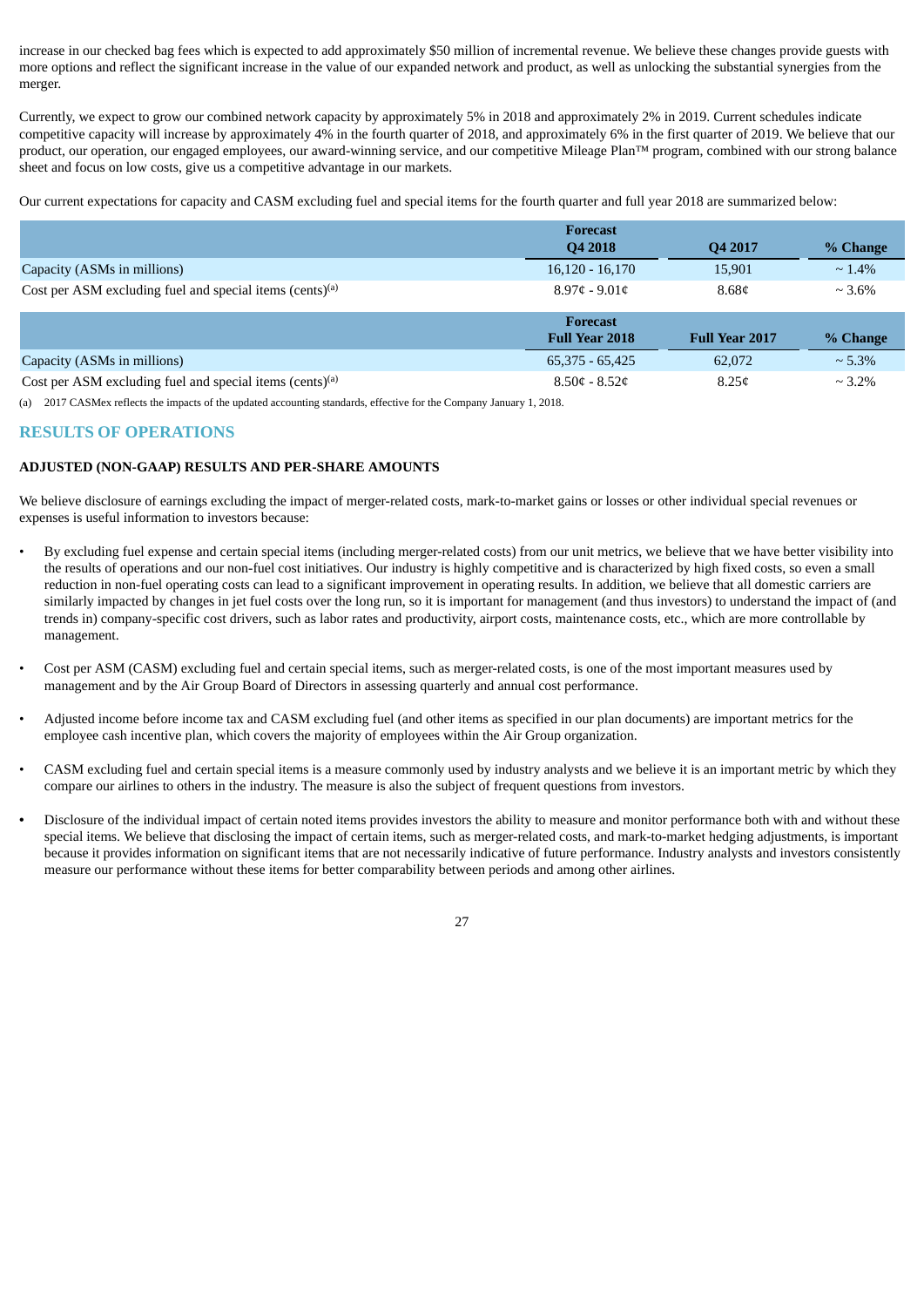increase in our checked bag fees which is expected to add approximately \$50 million of incremental revenue. We believe these changes provide guests with more options and reflect the significant increase in the value of our expanded network and product, as well as unlocking the substantial synergies from the merger.

Currently, we expect to grow our combined network capacity by approximately 5% in 2018 and approximately 2% in 2019. Current schedules indicate competitive capacity will increase by approximately 4% in the fourth quarter of 2018, and approximately 6% in the first quarter of 2019. We believe that our product, our operation, our engaged employees, our award-winning service, and our competitive Mileage Plan™ program, combined with our strong balance sheet and focus on low costs, give us a competitive advantage in our markets.

Our current expectations for capacity and CASM excluding fuel and special items for the fourth quarter and full year 2018 are summarized below:

|                                                                      | <b>Forecast</b><br>O <sub>4</sub> 2018   | O <sub>4</sub> 2017   | % Change     |
|----------------------------------------------------------------------|------------------------------------------|-----------------------|--------------|
| Capacity (ASMs in millions)                                          | $16,120 - 16,170$                        | 15,901                | $\sim 1.4\%$ |
| Cost per ASM excluding fuel and special items (cents) <sup>(a)</sup> | $8.970 - 9.010$                          | 8.68 <sup>¢</sup>     | $\sim 3.6\%$ |
|                                                                      | <b>Forecast</b><br><b>Full Year 2018</b> | <b>Full Year 2017</b> | % Change     |
| Capacity (ASMs in millions)                                          | $65,375 - 65,425$                        | 62,072                | $\sim 5.3\%$ |

 $8.50¢ - 8.52¢$   $8.25¢$   $\sim 3.2\%$ 

Cost per ASM excluding fuel and special items (cents)

(a) 2017 CASMex reflects the impacts of the updated accounting standards, effective for the Company January 1, 2018.

## **RESULTS OF OPERATIONS**

## **ADJUSTED (NON-GAAP) RESULTS AND PER-SHARE AMOUNTS**

We believe disclosure of earnings excluding the impact of merger-related costs, mark-to-market gains or losses or other individual special revenues or expenses is useful information to investors because:

- By excluding fuel expense and certain special items (including merger-related costs) from our unit metrics, we believe that we have better visibility into the results of operations and our non-fuel cost initiatives. Our industry is highly competitive and is characterized by high fixed costs, so even a small reduction in non-fuel operating costs can lead to a significant improvement in operating results. In addition, we believe that all domestic carriers are similarly impacted by changes in jet fuel costs over the long run, so it is important for management (and thus investors) to understand the impact of (and trends in) company-specific cost drivers, such as labor rates and productivity, airport costs, maintenance costs, etc., which are more controllable by management.
- Cost per ASM (CASM) excluding fuel and certain special items, such as merger-related costs, is one of the most important measures used by management and by the Air Group Board of Directors in assessing quarterly and annual cost performance.
- Adjusted income before income tax and CASM excluding fuel (and other items as specified in our plan documents) are important metrics for the employee cash incentive plan, which covers the majority of employees within the Air Group organization.
- CASM excluding fuel and certain special items is a measure commonly used by industry analysts and we believe it is an important metric by which they compare our airlines to others in the industry. The measure is also the subject of frequent questions from investors.
- **•** Disclosure of the individual impact of certain noted items provides investors the ability to measure and monitor performance both with and without these special items. We believe that disclosing the impact of certain items, such as merger-related costs, and mark-to-market hedging adjustments, is important because it provides information on significant items that are not necessarily indicative of future performance. Industry analysts and investors consistently measure our performance without these items for better comparability between periods and among other airlines.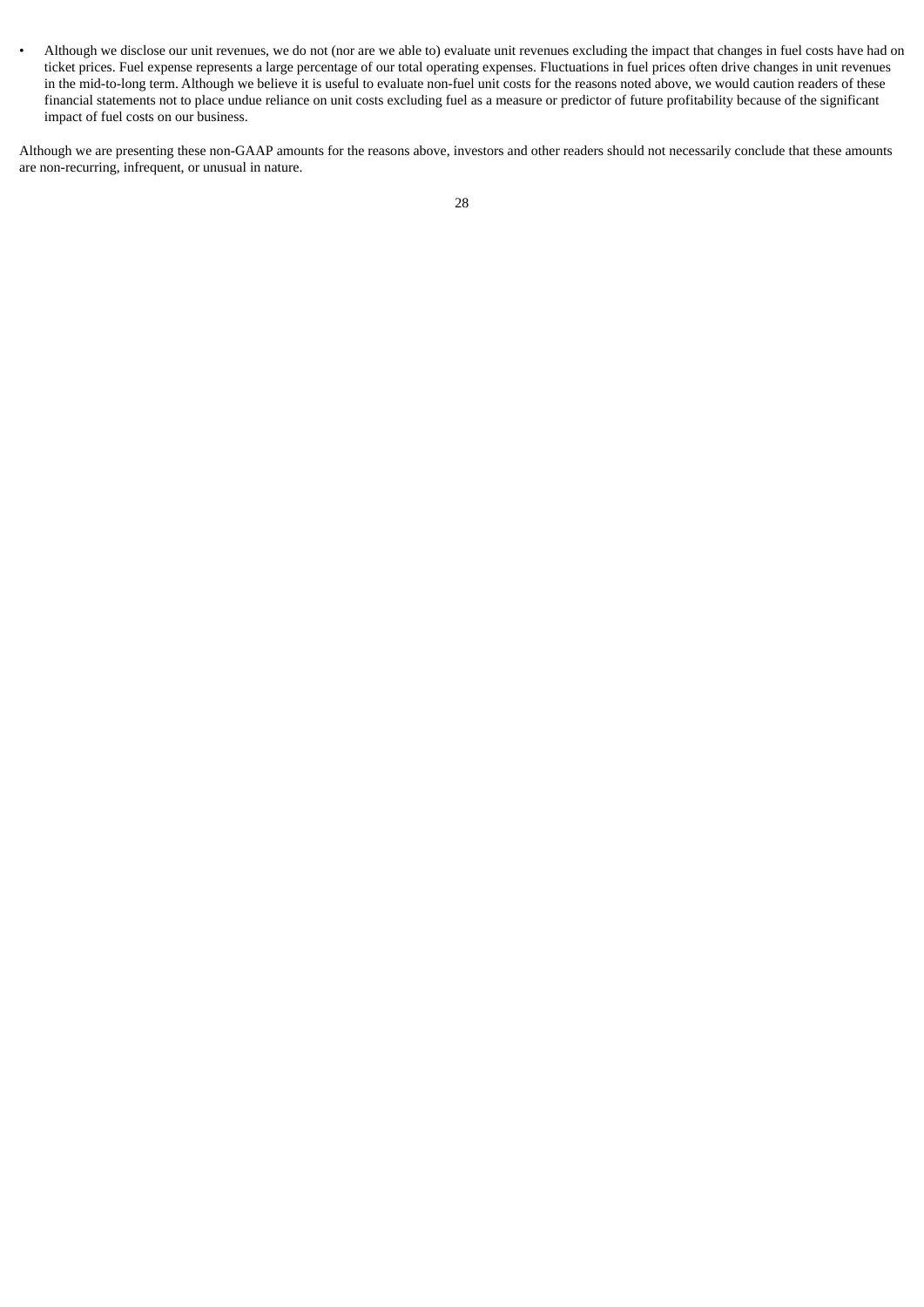• Although we disclose our unit revenues, we do not (nor are we able to) evaluate unit revenues excluding the impact that changes in fuel costs have had on ticket prices. Fuel expense represents a large percentage of our total operating expenses. Fluctuations in fuel prices often drive changes in unit revenues in the mid-to-long term. Although we believe it is useful to evaluate non-fuel unit costs for the reasons noted above, we would caution readers of these financial statements not to place undue reliance on unit costs excluding fuel as a measure or predictor of future profitability because of the significant impact of fuel costs on our business.

Although we are presenting these non-GAAP amounts for the reasons above, investors and other readers should not necessarily conclude that these amounts are non-recurring, infrequent, or unusual in nature.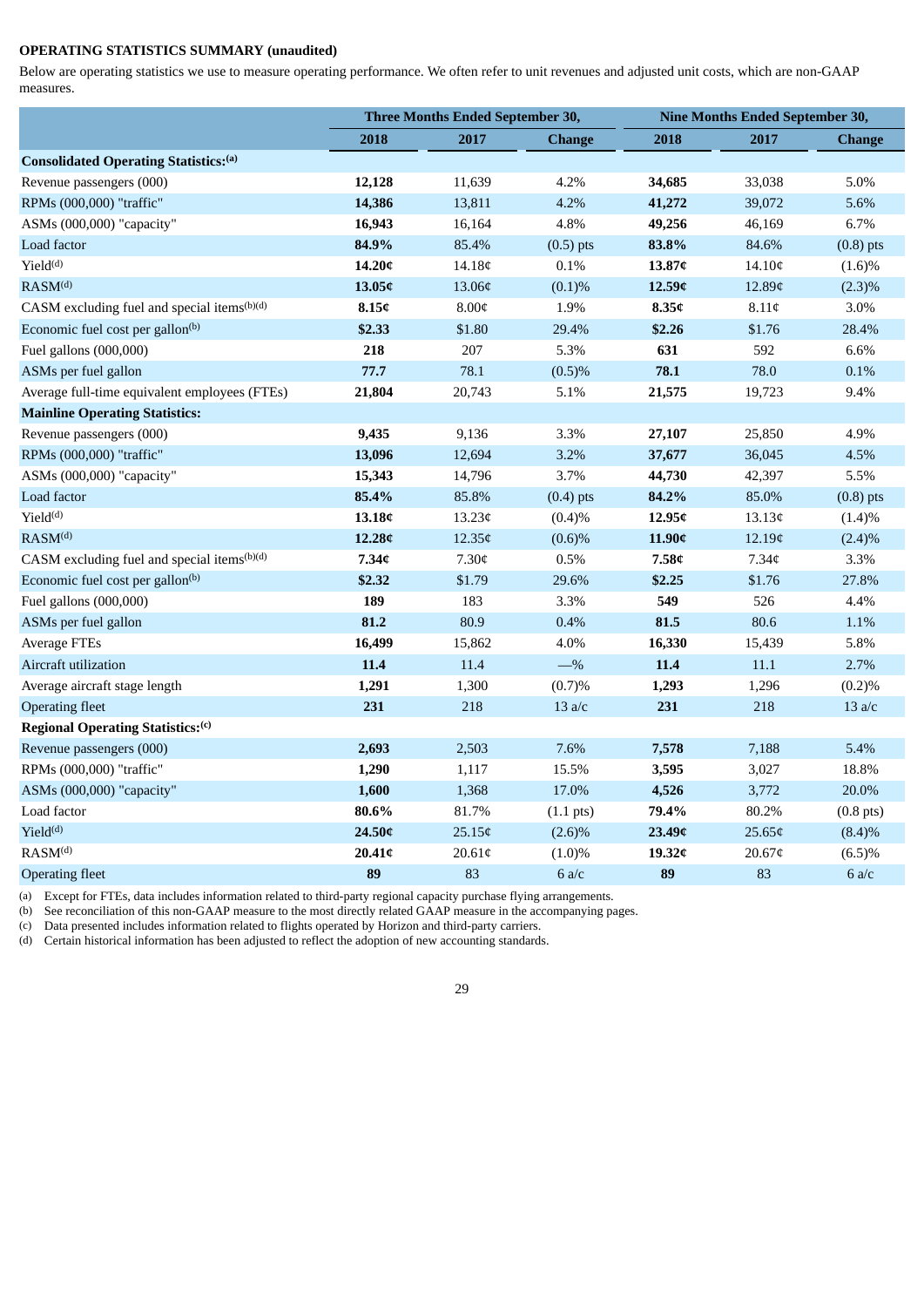## **OPERATING STATISTICS SUMMARY (unaudited)**

Below are operating statistics we use to measure operating performance. We often refer to unit revenues and adjusted unit costs, which are non-GAAP measures.

|                                               | Three Months Ended September 30, |                      |               | <b>Nine Months Ended September 30,</b> |          |                       |  |  |
|-----------------------------------------------|----------------------------------|----------------------|---------------|----------------------------------------|----------|-----------------------|--|--|
|                                               | 2018                             | 2017                 | <b>Change</b> | 2018                                   | 2017     | <b>Change</b>         |  |  |
| <b>Consolidated Operating Statistics:</b> (a) |                                  |                      |               |                                        |          |                       |  |  |
| Revenue passengers (000)                      | 12,128                           | 11,639               | 4.2%          | 34,685                                 | 33,038   | 5.0%                  |  |  |
| RPMs (000,000) "traffic"                      | 14,386                           | 13,811               | 4.2%          | 41,272                                 | 39,072   | 5.6%                  |  |  |
| ASMs (000,000) "capacity"                     | 16,943                           | 16,164               | 4.8%          | 49,256                                 | 46,169   | 6.7%                  |  |  |
| Load factor                                   | 84.9%                            | 85.4%                | $(0.5)$ pts   | 83.8%                                  | 84.6%    | $(0.8)$ pts           |  |  |
| Yield <sup>(d)</sup>                          | 14.20¢                           | 14.18¢               | $0.1\%$       | 13.87¢                                 | 14.10¢   | $(1.6)\%$             |  |  |
| $RASM^{(d)}$                                  | 13.05¢                           | 13.06¢               | (0.1)%        | 12.59 <sub>¢</sub>                     | 12.89¢   | $(2.3)\%$             |  |  |
| CASM excluding fuel and special items(b)(d)   | 8.15C                            | $8.00 \, \texttt{C}$ | 1.9%          | 8.35C                                  | $8.11$ ¢ | 3.0%                  |  |  |
| Economic fuel cost per gallon <sup>(b)</sup>  | \$2.33                           | \$1.80               | 29.4%         | \$2.26                                 | \$1.76   | 28.4%                 |  |  |
| Fuel gallons (000,000)                        | 218                              | 207                  | 5.3%          | 631                                    | 592      | 6.6%                  |  |  |
| ASMs per fuel gallon                          | 77.7                             | 78.1                 | (0.5)%        | 78.1                                   | 78.0     | 0.1%                  |  |  |
| Average full-time equivalent employees (FTEs) | 21,804                           | 20,743               | 5.1%          | 21,575                                 | 19,723   | 9.4%                  |  |  |
| <b>Mainline Operating Statistics:</b>         |                                  |                      |               |                                        |          |                       |  |  |
| Revenue passengers (000)                      | 9,435                            | 9,136                | 3.3%          | 27,107                                 | 25,850   | 4.9%                  |  |  |
| RPMs (000,000) "traffic"                      | 13,096                           | 12,694               | 3.2%          | 37,677                                 | 36,045   | 4.5%                  |  |  |
| ASMs (000,000) "capacity"                     | 15,343                           | 14,796               | 3.7%          | 44,730                                 | 42,397   | $5.5\%$               |  |  |
| Load factor                                   | 85.4%                            | 85.8%                | $(0.4)$ pts   | 84.2%                                  | 85.0%    | $(0.8)$ pts           |  |  |
| Yield <sup>(d)</sup>                          | 13.18¢                           | 13.23¢               | (0.4)%        | 12.95¢                                 | 13.13¢   | (1.4)%                |  |  |
| $RASM^{(d)}$                                  | 12.28¢                           | 12.35¢               | $(0.6)\%$     | 11.90¢                                 | 12.19¢   | $(2.4)\%$             |  |  |
| CASM excluding fuel and special items(b)(d)   | 7.34c                            | 7.30¢                | 0.5%          | 7.58¢                                  | 7.34¢    | 3.3%                  |  |  |
| Economic fuel cost per gallon <sup>(b)</sup>  | \$2.32                           | \$1.79               | 29.6%         | \$2.25                                 | \$1.76   | 27.8%                 |  |  |
| Fuel gallons (000,000)                        | 189                              | 183                  | 3.3%          | 549                                    | 526      | 4.4%                  |  |  |
| ASMs per fuel gallon                          | 81.2                             | 80.9                 | 0.4%          | 81.5                                   | 80.6     | 1.1%                  |  |  |
| <b>Average FTEs</b>                           | 16,499                           | 15,862               | 4.0%          | 16,330                                 | 15,439   | 5.8%                  |  |  |
| Aircraft utilization                          | 11.4                             | 11.4                 | $-$ %         | $11.4\,$                               | 11.1     | 2.7%                  |  |  |
| Average aircraft stage length                 | 1,291                            | 1,300                | (0.7)%        | 1,293                                  | 1,296    | (0.2)%                |  |  |
| <b>Operating fleet</b>                        | 231                              | 218                  | 13a/c         | 231                                    | 218      | 13a/c                 |  |  |
| <b>Regional Operating Statistics:</b> (c)     |                                  |                      |               |                                        |          |                       |  |  |
| Revenue passengers (000)                      | 2,693                            | 2,503                | 7.6%          | 7,578                                  | 7,188    | 5.4%                  |  |  |
| RPMs (000,000) "traffic"                      | 1,290                            | 1,117                | 15.5%         | 3,595                                  | 3,027    | 18.8%                 |  |  |
| ASMs (000,000) "capacity"                     | 1,600                            | 1,368                | 17.0%         | 4,526                                  | 3,772    | 20.0%                 |  |  |
| Load factor                                   | 80.6%                            | 81.7%                | $(1.1$ pts)   | 79.4%                                  | 80.2%    | (0.8 <sub>pts</sub> ) |  |  |
| Yield <sup>(d)</sup>                          | 24.50¢                           | 25.15¢               | $(2.6)\%$     | 23.49¢                                 | 25.65¢   | (8.4)%                |  |  |
| RASM <sup>(d)</sup>                           | 20.41¢                           | 20.61¢               | (1.0)%        | 19.32¢                                 | 20.67¢   | (6.5)%                |  |  |
| <b>Operating fleet</b>                        | 89                               | 83                   | 6a/c          | 89                                     | 83       | 6a/c                  |  |  |

(a) Except for FTEs, data includes information related to third-party regional capacity purchase flying arrangements.

(b) See reconciliation of this non-GAAP measure to the most directly related GAAP measure in the accompanying pages.

(c) Data presented includes information related to flights operated by Horizon and third-party carriers.

(d) Certain historical information has been adjusted to reflect the adoption of new accounting standards.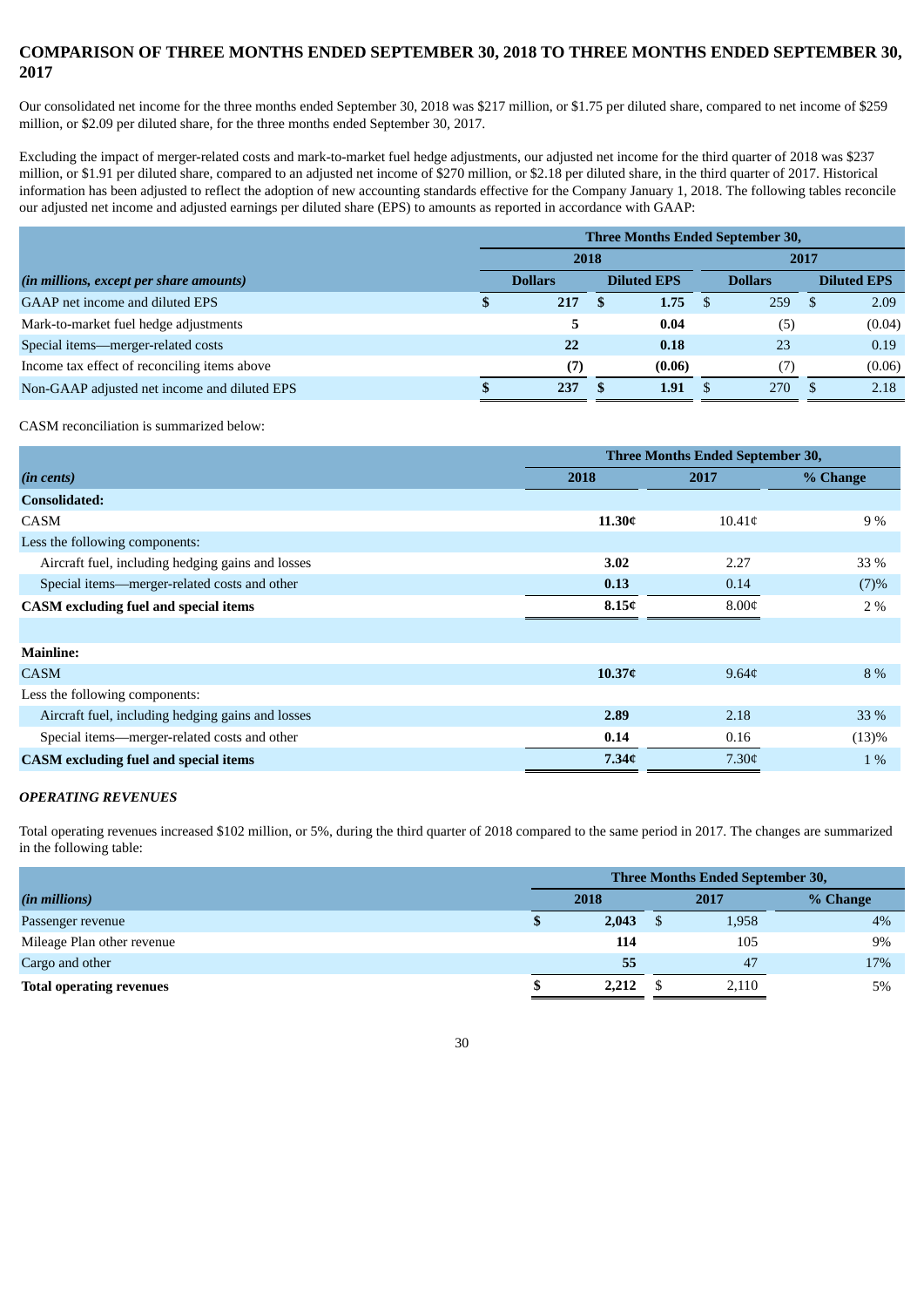## **COMPARISON OF THREE MONTHS ENDED SEPTEMBER 30, 2018 TO THREE MONTHS ENDED SEPTEMBER 30, 2017**

Our consolidated net income for the three months ended September 30, 2018 was \$217 million, or \$1.75 per diluted share, compared to net income of \$259 million, or \$2.09 per diluted share, for the three months ended September 30, 2017.

Excluding the impact of merger-related costs and mark-to-market fuel hedge adjustments, our adjusted net income for the third quarter of 2018 was \$237 million, or \$1.91 per diluted share, compared to an adjusted net income of \$270 million, or \$2.18 per diluted share, in the third quarter of 2017. Historical information has been adjusted to reflect the adoption of new accounting standards effective for the Company January 1, 2018. The following tables reconcile our adjusted net income and adjusted earnings per diluted share (EPS) to amounts as reported in accordance with GAAP:

|                                              | <b>Three Months Ended September 30,</b> |                |                    |        |                |     |                    |        |  |  |  |  |
|----------------------------------------------|-----------------------------------------|----------------|--------------------|--------|----------------|-----|--------------------|--------|--|--|--|--|
| (in millions, except per share amounts)      |                                         | 2018           | 2017               |        |                |     |                    |        |  |  |  |  |
|                                              |                                         | <b>Dollars</b> | <b>Diluted EPS</b> |        | <b>Dollars</b> |     | <b>Diluted EPS</b> |        |  |  |  |  |
| GAAP net income and diluted EPS              | Ф                                       | 217            |                    | 1.75   | -S             | 259 |                    | 2.09   |  |  |  |  |
| Mark-to-market fuel hedge adjustments        |                                         |                |                    | 0.04   |                | (5) |                    | (0.04) |  |  |  |  |
| Special items—merger-related costs           |                                         | 22             |                    | 0.18   |                | 23  |                    | 0.19   |  |  |  |  |
| Income tax effect of reconciling items above |                                         | (7)            |                    | (0.06) |                |     |                    | (0.06) |  |  |  |  |
| Non-GAAP adjusted net income and diluted EPS |                                         | 237            |                    | 1.91   |                | 270 |                    | 2.18   |  |  |  |  |

CASM reconciliation is summarized below:

|                                                   | Three Months Ended September 30, |                   |             |  |  |  |
|---------------------------------------------------|----------------------------------|-------------------|-------------|--|--|--|
| (in cents)                                        | 2018                             | 2017              | % Change    |  |  |  |
| <b>Consolidated:</b>                              |                                  |                   |             |  |  |  |
| CASM                                              | 11.30¢                           | $10.41 \text{C}$  | 9%          |  |  |  |
| Less the following components:                    |                                  |                   |             |  |  |  |
| Aircraft fuel, including hedging gains and losses | 3.02                             | 2.27              | <b>33 %</b> |  |  |  |
| Special items-merger-related costs and other      | 0.13                             | 0.14              | (7)%        |  |  |  |
| <b>CASM</b> excluding fuel and special items      | 8.15C                            | $8.00 \text{C}$   | 2 %         |  |  |  |
|                                                   |                                  |                   |             |  |  |  |
| <b>Mainline:</b>                                  |                                  |                   |             |  |  |  |
| CASM                                              | 10.37¢                           | 9.64 <sub>¢</sub> | 8 %         |  |  |  |
| Less the following components:                    |                                  |                   |             |  |  |  |
| Aircraft fuel, including hedging gains and losses | 2.89                             | 2.18              | 33 %        |  |  |  |
| Special items-merger-related costs and other      | 0.14                             | 0.16              | (13)%       |  |  |  |
| <b>CASM</b> excluding fuel and special items      | 7.34 <sub>¢</sub>                | 7.30 <sub>¢</sub> | 1 %         |  |  |  |

#### *OPERATING REVENUES*

Total operating revenues increased \$102 million, or 5%, during the third quarter of 2018 compared to the same period in 2017. The changes are summarized in the following table:

|                                 | Three Months Ended September 30, |       |  |       |          |  |  |  |  |
|---------------------------------|----------------------------------|-------|--|-------|----------|--|--|--|--|
| (in millions)                   |                                  | 2018  |  | 2017  | % Change |  |  |  |  |
| Passenger revenue               | Φ                                | 2,043 |  | 1,958 | $4\%$    |  |  |  |  |
| Mileage Plan other revenue      |                                  | 114   |  | 105   | 9%       |  |  |  |  |
| Cargo and other                 |                                  | 55    |  | 47    | 17%      |  |  |  |  |
| <b>Total operating revenues</b> |                                  | 2,212 |  | 2,110 | 5%       |  |  |  |  |

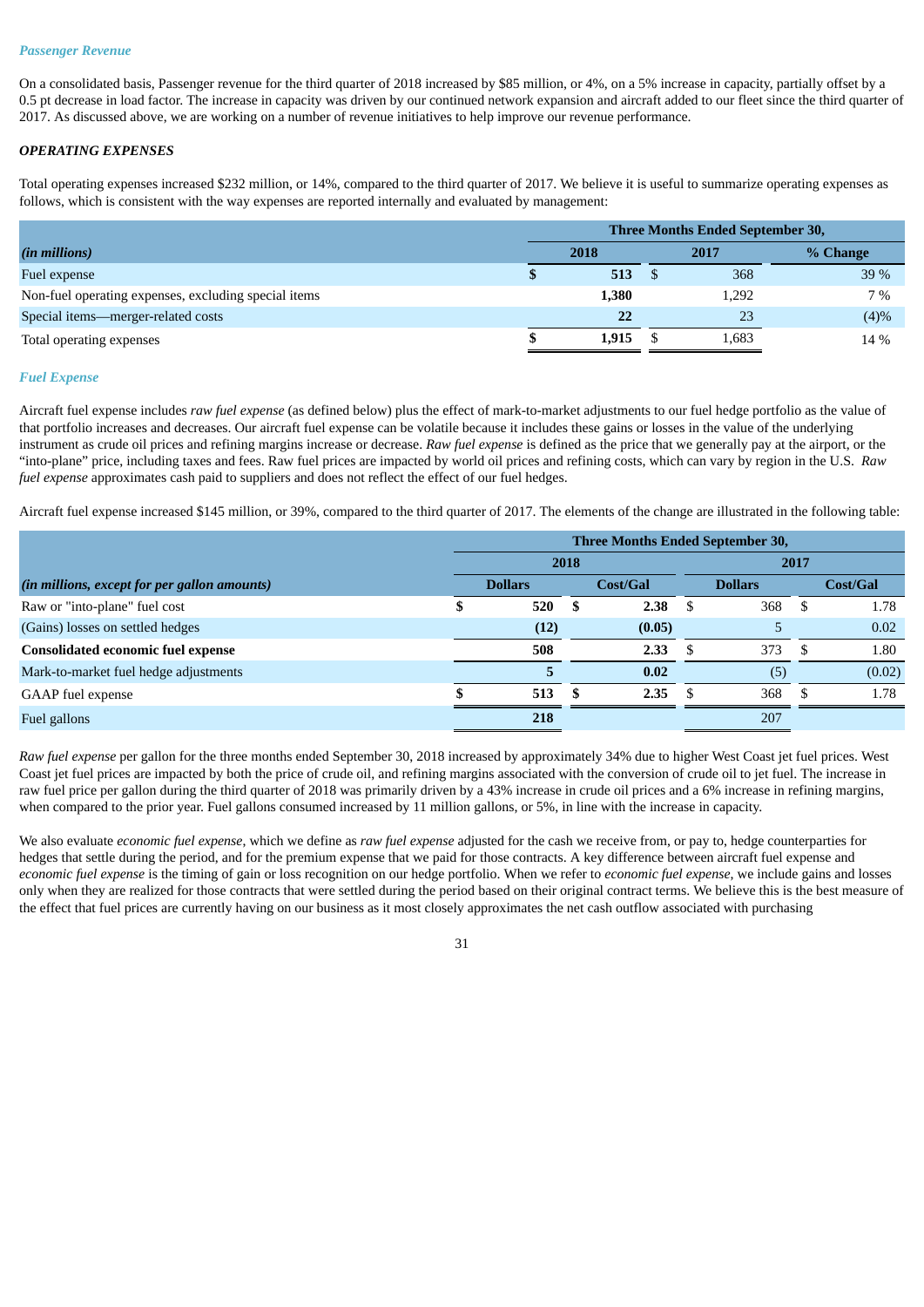On a consolidated basis, Passenger revenue for the third quarter of 2018 increased by \$85 million, or 4%, on a 5% increase in capacity, partially offset by a 0.5 pt decrease in load factor. The increase in capacity was driven by our continued network expansion and aircraft added to our fleet since the third quarter of 2017. As discussed above, we are working on a number of revenue initiatives to help improve our revenue performance.

#### *OPERATING EXPENSES*

Total operating expenses increased \$232 million, or 14%, compared to the third quarter of 2017. We believe it is useful to summarize operating expenses as follows, which is consistent with the way expenses are reported internally and evaluated by management:

|                                                      | <b>Three Months Ended September 30,</b> |       |  |       |             |  |  |
|------------------------------------------------------|-----------------------------------------|-------|--|-------|-------------|--|--|
| (in millions)                                        |                                         | 2018  |  | 2017  | % Change    |  |  |
| Fuel expense                                         |                                         | 513   |  | 368   | <b>39 %</b> |  |  |
| Non-fuel operating expenses, excluding special items |                                         | 1,380 |  | 1,292 | $7\%$       |  |  |
| Special items-merger-related costs                   |                                         | 22    |  | 23    | (4)%        |  |  |
| Total operating expenses                             |                                         | 1.915 |  | 1,683 | 14 %        |  |  |

#### *Fuel Expense*

Aircraft fuel expense includes *raw fuel expense* (as defined below) plus the effect of mark-to-market adjustments to our fuel hedge portfolio as the value of that portfolio increases and decreases. Our aircraft fuel expense can be volatile because it includes these gains or losses in the value of the underlying instrument as crude oil prices and refining margins increase or decrease. *Raw fuel expense* is defined as the price that we generally pay at the airport, or the "into-plane" price, including taxes and fees. Raw fuel prices are impacted by world oil prices and refining costs, which can vary by region in the U.S. *Raw fuel expense* approximates cash paid to suppliers and does not reflect the effect of our fuel hedges.

Aircraft fuel expense increased \$145 million, or 39%, compared to the third quarter of 2017. The elements of the change are illustrated in the following table:

|                                              | <b>Three Months Ended September 30,</b> |                |  |          |  |                |    |          |  |  |
|----------------------------------------------|-----------------------------------------|----------------|--|----------|--|----------------|----|----------|--|--|
|                                              |                                         | 2018           |  |          |  | 2017           |    |          |  |  |
| (in millions, except for per gallon amounts) |                                         | <b>Dollars</b> |  | Cost/Gal |  | <b>Dollars</b> |    | Cost/Gal |  |  |
| Raw or "into-plane" fuel cost                |                                         | 520            |  | 2.38     |  | 368            | -S | 1.78     |  |  |
| (Gains) losses on settled hedges             |                                         | (12)           |  | (0.05)   |  |                |    | 0.02     |  |  |
| <b>Consolidated economic fuel expense</b>    |                                         | 508            |  | 2.33     |  | 373            |    | 1.80     |  |  |
| Mark-to-market fuel hedge adjustments        |                                         |                |  | 0.02     |  | (5)            |    | (0.02)   |  |  |
| GAAP fuel expense                            |                                         | 513            |  | 2.35     |  | 368            | -8 | 1.78     |  |  |
| Fuel gallons                                 |                                         | 218            |  |          |  | 207            |    |          |  |  |

*Raw fuel expense* per gallon for the three months ended September 30, 2018 increased by approximately 34% due to higher West Coast jet fuel prices. West Coast jet fuel prices are impacted by both the price of crude oil, and refining margins associated with the conversion of crude oil to jet fuel. The increase in raw fuel price per gallon during the third quarter of 2018 was primarily driven by a 43% increase in crude oil prices and a 6% increase in refining margins, when compared to the prior year. Fuel gallons consumed increased by 11 million gallons, or 5%, in line with the increase in capacity.

We also evaluate *economic fuel expense*, which we define as *raw fuel expense* adjusted for the cash we receive from, or pay to, hedge counterparties for hedges that settle during the period, and for the premium expense that we paid for those contracts. A key difference between aircraft fuel expense and *economic fuel expense* is the timing of gain or loss recognition on our hedge portfolio. When we refer to *economic fuel expense*, we include gains and losses only when they are realized for those contracts that were settled during the period based on their original contract terms. We believe this is the best measure of the effect that fuel prices are currently having on our business as it most closely approximates the net cash outflow associated with purchasing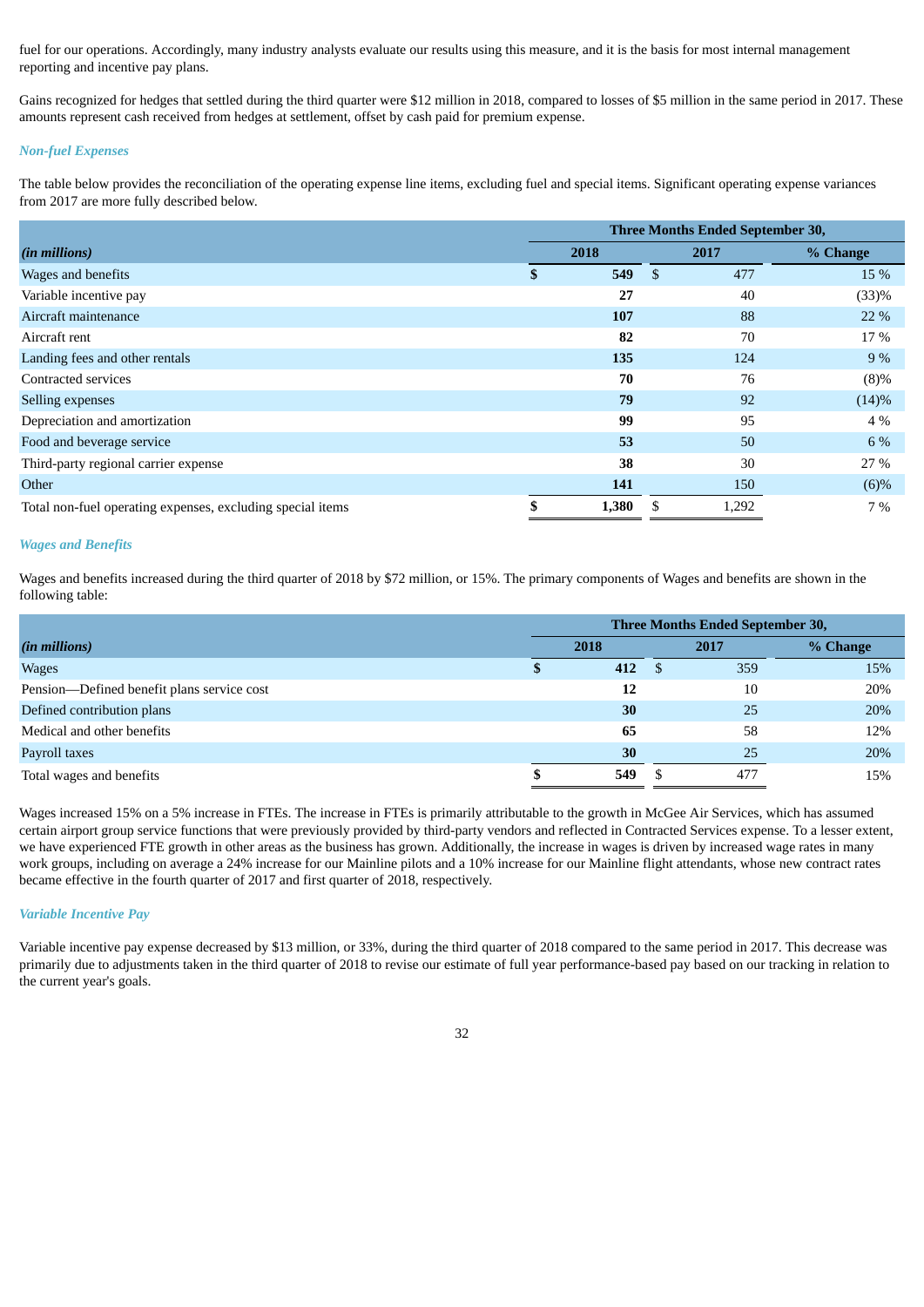fuel for our operations. Accordingly, many industry analysts evaluate our results using this measure, and it is the basis for most internal management reporting and incentive pay plans.

Gains recognized for hedges that settled during the third quarter were \$12 million in 2018, compared to losses of \$5 million in the same period in 2017. These amounts represent cash received from hedges at settlement, offset by cash paid for premium expense.

## *Non-fuel Expenses*

The table below provides the reconciliation of the operating expense line items, excluding fuel and special items. Significant operating expense variances from 2017 are more fully described below.

|                                                            | <b>Three Months Ended September 30,</b> |            |          |  |  |  |  |  |
|------------------------------------------------------------|-----------------------------------------|------------|----------|--|--|--|--|--|
| (in millions)                                              | 2018                                    | 2017       | % Change |  |  |  |  |  |
| Wages and benefits                                         | \$<br>549                               | 477<br>\$  | 15 %     |  |  |  |  |  |
| Variable incentive pay                                     | 27                                      | 40         | (33)%    |  |  |  |  |  |
| Aircraft maintenance                                       | 107                                     | 88         | 22 %     |  |  |  |  |  |
| Aircraft rent                                              | 82                                      | 70         | 17 %     |  |  |  |  |  |
| Landing fees and other rentals                             | 135                                     | 124        | 9%       |  |  |  |  |  |
| Contracted services                                        | 70                                      | 76         | (8)%     |  |  |  |  |  |
| Selling expenses                                           | 79                                      | 92         | (14)%    |  |  |  |  |  |
| Depreciation and amortization                              | 99                                      | 95         | 4 %      |  |  |  |  |  |
| Food and beverage service                                  | 53                                      | 50         | 6 %      |  |  |  |  |  |
| Third-party regional carrier expense                       | 38                                      | 30         | 27 %     |  |  |  |  |  |
| Other                                                      | 141                                     | 150        | $(6)\%$  |  |  |  |  |  |
| Total non-fuel operating expenses, excluding special items | \$<br>1,380                             | 1,292<br>S | 7 %      |  |  |  |  |  |

## *Wages and Benefits*

Wages and benefits increased during the third quarter of 2018 by \$72 million, or 15%. The primary components of Wages and benefits are shown in the following table:

|                                            | <b>Three Months Ended September 30,</b> |      |  |      |          |  |  |  |
|--------------------------------------------|-----------------------------------------|------|--|------|----------|--|--|--|
| (in millions)                              |                                         | 2018 |  | 2017 | % Change |  |  |  |
| <b>Wages</b>                               |                                         | 412  |  | 359  | 15%      |  |  |  |
| Pension—Defined benefit plans service cost |                                         | 12   |  | 10   | 20%      |  |  |  |
| Defined contribution plans                 |                                         | 30   |  | 25   | 20%      |  |  |  |
| Medical and other benefits                 |                                         | 65   |  | 58   | 12%      |  |  |  |
| Payroll taxes                              |                                         | 30   |  | 25   | 20%      |  |  |  |
| Total wages and benefits                   |                                         | 549  |  | 477  | 15%      |  |  |  |

Wages increased 15% on a 5% increase in FTEs. The increase in FTEs is primarily attributable to the growth in McGee Air Services, which has assumed certain airport group service functions that were previously provided by third-party vendors and reflected in Contracted Services expense. To a lesser extent, we have experienced FTE growth in other areas as the business has grown. Additionally, the increase in wages is driven by increased wage rates in many work groups, including on average a 24% increase for our Mainline pilots and a 10% increase for our Mainline flight attendants, whose new contract rates became effective in the fourth quarter of 2017 and first quarter of 2018, respectively.

#### *Variable Incentive Pay*

Variable incentive pay expense decreased by \$13 million, or 33%, during the third quarter of 2018 compared to the same period in 2017. This decrease was primarily due to adjustments taken in the third quarter of 2018 to revise our estimate of full year performance-based pay based on our tracking in relation to the current year's goals.

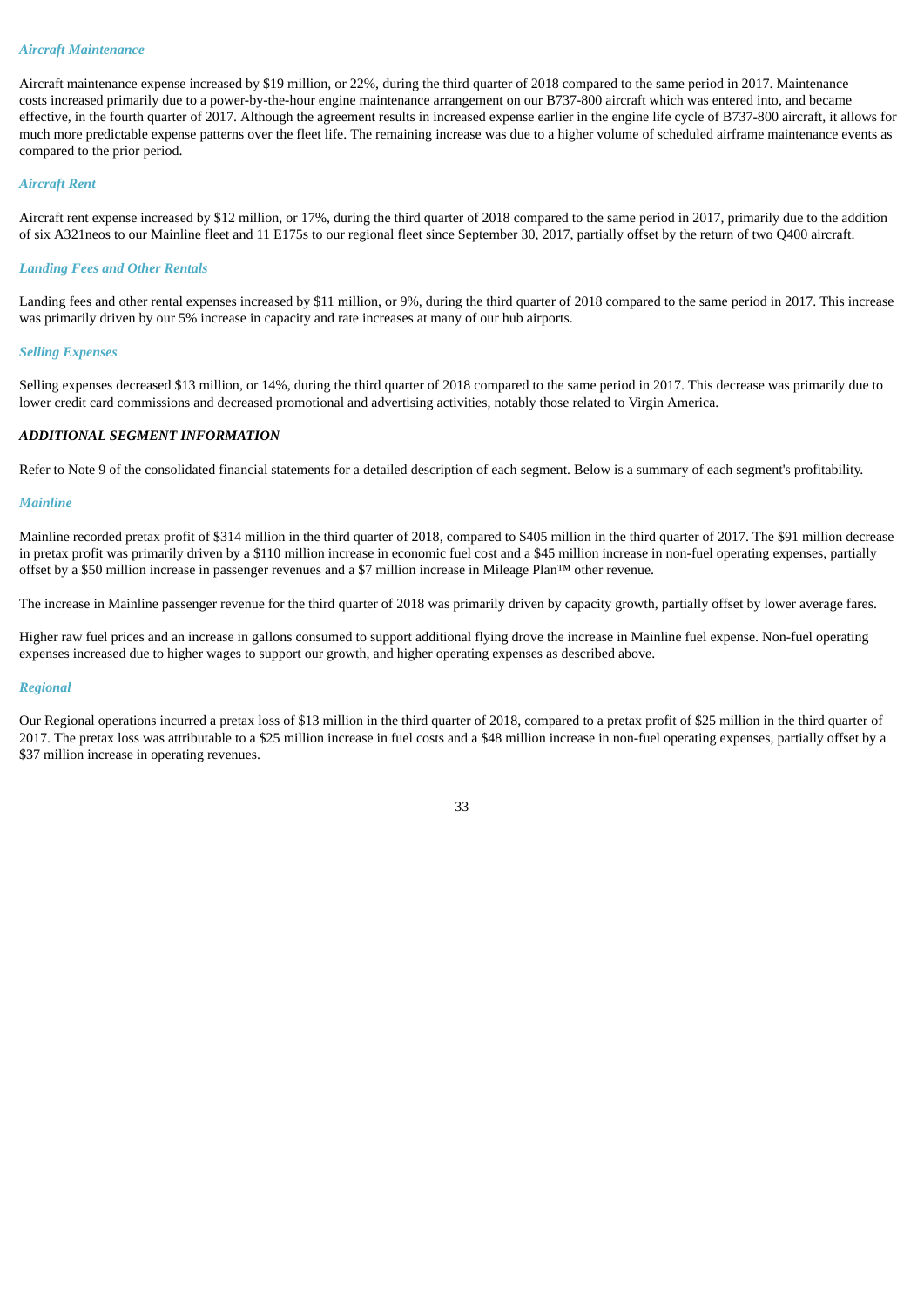#### *Aircraft Maintenance*

Aircraft maintenance expense increased by \$19 million, or 22%, during the third quarter of 2018 compared to the same period in 2017. Maintenance costs increased primarily due to a power-by-the-hour engine maintenance arrangement on our B737-800 aircraft which was entered into, and became effective, in the fourth quarter of 2017. Although the agreement results in increased expense earlier in the engine life cycle of B737-800 aircraft, it allows for much more predictable expense patterns over the fleet life. The remaining increase was due to a higher volume of scheduled airframe maintenance events as compared to the prior period.

#### *Aircraft Rent*

Aircraft rent expense increased by \$12 million, or 17%, during the third quarter of 2018 compared to the same period in 2017, primarily due to the addition of six A321neos to our Mainline fleet and 11 E175s to our regional fleet since September 30, 2017, partially offset by the return of two Q400 aircraft.

#### *Landing Fees and Other Rentals*

Landing fees and other rental expenses increased by \$11 million, or 9%, during the third quarter of 2018 compared to the same period in 2017. This increase was primarily driven by our 5% increase in capacity and rate increases at many of our hub airports.

#### *Selling Expenses*

Selling expenses decreased \$13 million, or 14%, during the third quarter of 2018 compared to the same period in 2017. This decrease was primarily due to lower credit card commissions and decreased promotional and advertising activities, notably those related to Virgin America.

#### *ADDITIONAL SEGMENT INFORMATION*

Refer to Note 9 of the consolidated financial statements for a detailed description of each segment. Below is a summary of each segment's profitability.

#### *Mainline*

Mainline recorded pretax profit of \$314 million in the third quarter of 2018, compared to \$405 million in the third quarter of 2017. The \$91 million decrease in pretax profit was primarily driven by a \$110 million increase in economic fuel cost and a \$45 million increase in non-fuel operating expenses, partially offset by a \$50 million increase in passenger revenues and a \$7 million increase in Mileage Plan™ other revenue.

The increase in Mainline passenger revenue for the third quarter of 2018 was primarily driven by capacity growth, partially offset by lower average fares.

Higher raw fuel prices and an increase in gallons consumed to support additional flying drove the increase in Mainline fuel expense. Non-fuel operating expenses increased due to higher wages to support our growth, and higher operating expenses as described above.

#### *Regional*

Our Regional operations incurred a pretax loss of \$13 million in the third quarter of 2018, compared to a pretax profit of \$25 million in the third quarter of 2017. The pretax loss was attributable to a \$25 million increase in fuel costs and a \$48 million increase in non-fuel operating expenses, partially offset by a \$37 million increase in operating revenues.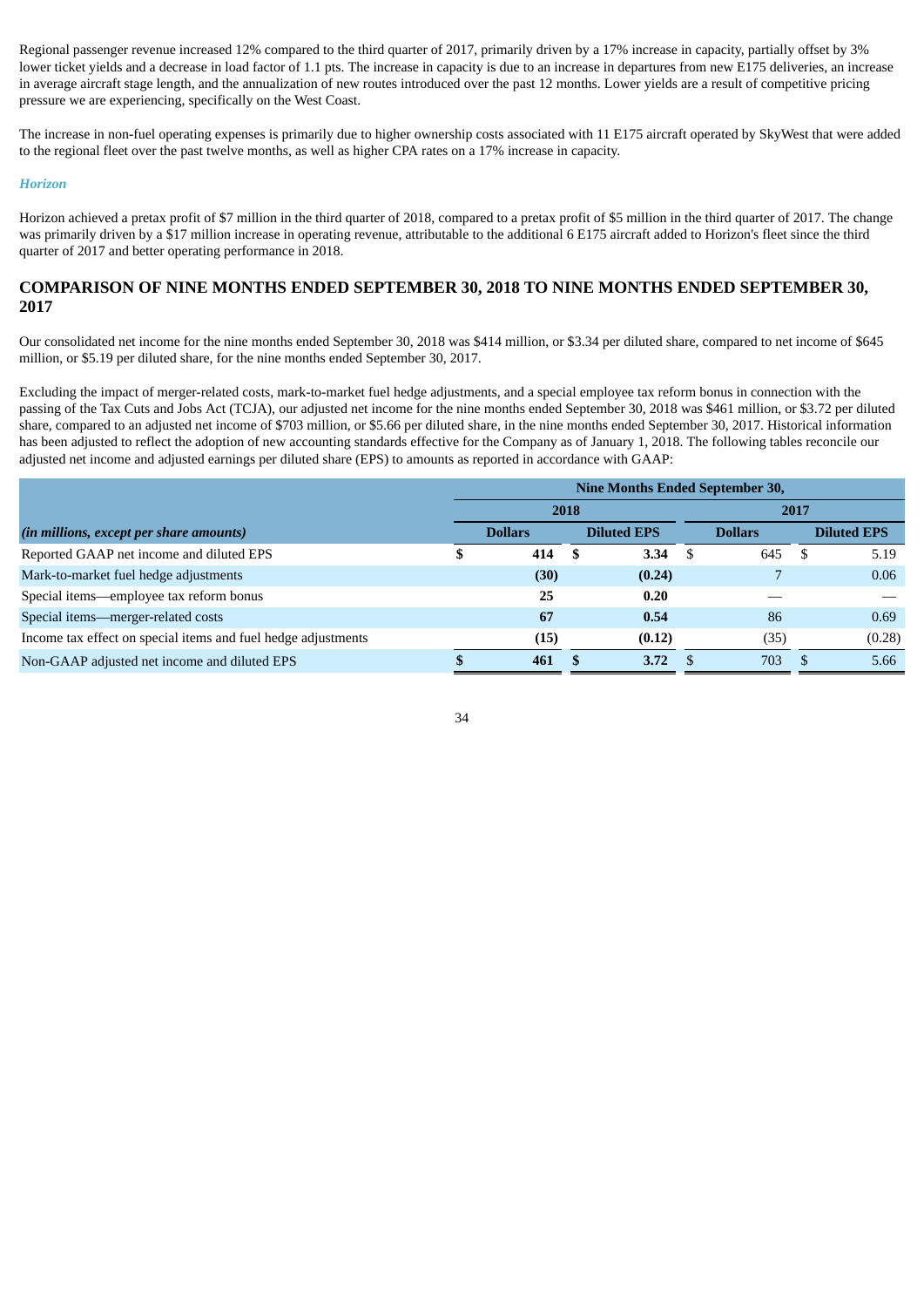Regional passenger revenue increased 12% compared to the third quarter of 2017, primarily driven by a 17% increase in capacity, partially offset by 3% lower ticket yields and a decrease in load factor of 1.1 pts. The increase in capacity is due to an increase in departures from new E175 deliveries, an increase in average aircraft stage length, and the annualization of new routes introduced over the past 12 months. Lower yields are a result of competitive pricing pressure we are experiencing, specifically on the West Coast.

The increase in non-fuel operating expenses is primarily due to higher ownership costs associated with 11 E175 aircraft operated by SkyWest that were added to the regional fleet over the past twelve months, as well as higher CPA rates on a 17% increase in capacity.

#### *Horizon*

Horizon achieved a pretax profit of \$7 million in the third quarter of 2018, compared to a pretax profit of \$5 million in the third quarter of 2017. The change was primarily driven by a \$17 million increase in operating revenue, attributable to the additional 6 E175 aircraft added to Horizon's fleet since the third quarter of 2017 and better operating performance in 2018.

## **COMPARISON OF NINE MONTHS ENDED SEPTEMBER 30, 2018 TO NINE MONTHS ENDED SEPTEMBER 30, 2017**

Our consolidated net income for the nine months ended September 30, 2018 was \$414 million, or \$3.34 per diluted share, compared to net income of \$645 million, or \$5.19 per diluted share, for the nine months ended September 30, 2017.

Excluding the impact of merger-related costs, mark-to-market fuel hedge adjustments, and a special employee tax reform bonus in connection with the passing of the Tax Cuts and Jobs Act (TCJA), our adjusted net income for the nine months ended September 30, 2018 was \$461 million, or \$3.72 per diluted share, compared to an adjusted net income of \$703 million, or \$5.66 per diluted share, in the nine months ended September 30, 2017. Historical information has been adjusted to reflect the adoption of new accounting standards effective for the Company as of January 1, 2018. The following tables reconcile our adjusted net income and adjusted earnings per diluted share (EPS) to amounts as reported in accordance with GAAP:

|                                                               | <b>Nine Months Ended September 30,</b> |      |                    |      |                |    |                    |  |  |
|---------------------------------------------------------------|----------------------------------------|------|--------------------|------|----------------|----|--------------------|--|--|
|                                                               |                                        | 2018 |                    | 2017 |                |    |                    |  |  |
| (in millions, except per share amounts)                       | <b>Dollars</b>                         |      | <b>Diluted EPS</b> |      | <b>Dollars</b> |    | <b>Diluted EPS</b> |  |  |
| Reported GAAP net income and diluted EPS                      | 414                                    |      | 3.34               |      | 645            | -S | 5.19               |  |  |
| Mark-to-market fuel hedge adjustments                         | (30)                                   |      | (0.24)             |      |                |    | 0.06               |  |  |
| Special items—employee tax reform bonus                       | 25                                     |      | 0.20               |      |                |    |                    |  |  |
| Special items-merger-related costs                            | 67                                     |      | 0.54               |      | 86             |    | 0.69               |  |  |
| Income tax effect on special items and fuel hedge adjustments | (15)                                   |      | (0.12)             |      | (35)           |    | (0.28)             |  |  |
| Non-GAAP adjusted net income and diluted EPS                  | 461                                    |      | 3.72               |      | 703            |    | 5.66               |  |  |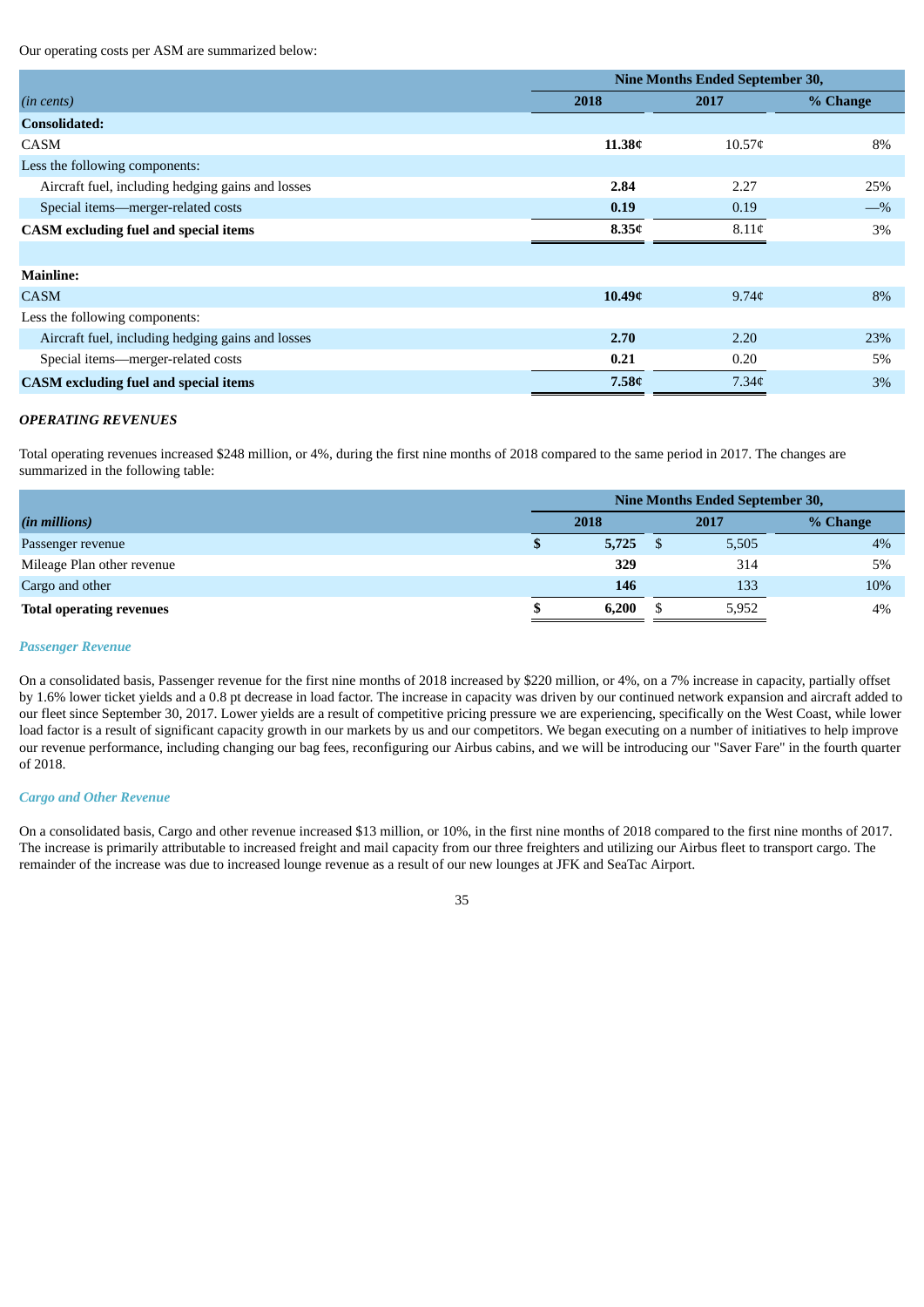Our operating costs per ASM are summarized below:

|                                                   |        | <b>Nine Months Ended September 30,</b> |       |  |  |  |  |
|---------------------------------------------------|--------|----------------------------------------|-------|--|--|--|--|
| (in cents)                                        | 2018   | 2017                                   |       |  |  |  |  |
| <b>Consolidated:</b>                              |        |                                        |       |  |  |  |  |
| CASM                                              | 11.38¢ | 10.57¢                                 | 8%    |  |  |  |  |
| Less the following components:                    |        |                                        |       |  |  |  |  |
| Aircraft fuel, including hedging gains and losses | 2.84   | 2.27                                   | 25%   |  |  |  |  |
| Special items-merger-related costs                | 0.19   | 0.19                                   | $-$ % |  |  |  |  |
| <b>CASM</b> excluding fuel and special items      | 8.35C  | 8.11C                                  | 3%    |  |  |  |  |
|                                                   |        |                                        |       |  |  |  |  |
| <b>Mainline:</b>                                  |        |                                        |       |  |  |  |  |
| CASM                                              | 10.49¢ | 9.74                                   | 8%    |  |  |  |  |
| Less the following components:                    |        |                                        |       |  |  |  |  |
| Aircraft fuel, including hedging gains and losses | 2.70   | 2.20                                   | 23%   |  |  |  |  |
| Special items—merger-related costs                | 0.21   | 0.20                                   | 5%    |  |  |  |  |
| <b>CASM</b> excluding fuel and special items      | 7.58¢  | 7.34 <sub>¢</sub>                      | 3%    |  |  |  |  |

## *OPERATING REVENUES*

Total operating revenues increased \$248 million, or 4%, during the first nine months of 2018 compared to the same period in 2017. The changes are summarized in the following table:

|                                 | Nine Months Ended September 30, |       |  |       |          |  |  |
|---------------------------------|---------------------------------|-------|--|-------|----------|--|--|
| (in millions)                   |                                 | 2018  |  | 2017  | % Change |  |  |
| Passenger revenue               |                                 | 5,725 |  | 5,505 | $4\%$    |  |  |
| Mileage Plan other revenue      |                                 | 329   |  | 314   | 5%       |  |  |
| Cargo and other                 |                                 | 146   |  | 133   | 10%      |  |  |
| <b>Total operating revenues</b> |                                 | 6.200 |  | 5,952 | $4\%$    |  |  |

#### *Passenger Revenue*

On a consolidated basis, Passenger revenue for the first nine months of 2018 increased by \$220 million, or 4%, on a 7% increase in capacity, partially offset by 1.6% lower ticket yields and a 0.8 pt decrease in load factor. The increase in capacity was driven by our continued network expansion and aircraft added to our fleet since September 30, 2017. Lower yields are a result of competitive pricing pressure we are experiencing, specifically on the West Coast, while lower load factor is a result of significant capacity growth in our markets by us and our competitors. We began executing on a number of initiatives to help improve our revenue performance, including changing our bag fees, reconfiguring our Airbus cabins, and we will be introducing our "Saver Fare" in the fourth quarter of 2018.

#### *Cargo and Other Revenue*

On a consolidated basis, Cargo and other revenue increased \$13 million, or 10%, in the first nine months of 2018 compared to the first nine months of 2017. The increase is primarily attributable to increased freight and mail capacity from our three freighters and utilizing our Airbus fleet to transport cargo. The remainder of the increase was due to increased lounge revenue as a result of our new lounges at JFK and SeaTac Airport.

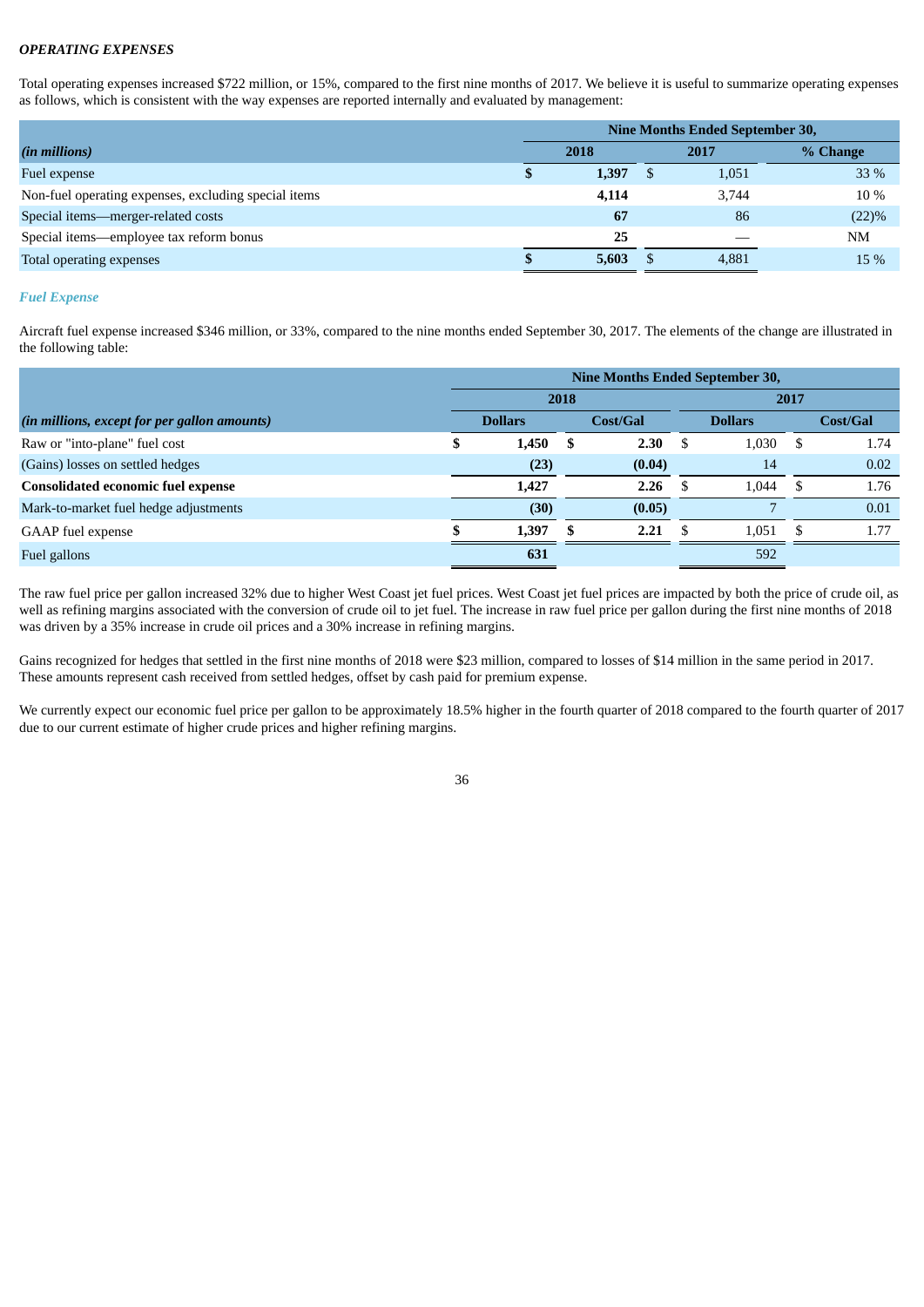## *OPERATING EXPENSES*

Total operating expenses increased \$722 million, or 15%, compared to the first nine months of 2017. We believe it is useful to summarize operating expenses as follows, which is consistent with the way expenses are reported internally and evaluated by management:

|                                                      | <b>Nine Months Ended September 30,</b> |       |      |       |             |  |  |
|------------------------------------------------------|----------------------------------------|-------|------|-------|-------------|--|--|
| (in millions)                                        |                                        | 2018  |      | 2017  | % Change    |  |  |
| Fuel expense                                         |                                        | 1,397 | - \$ | 1,051 | <b>33</b> % |  |  |
| Non-fuel operating expenses, excluding special items |                                        | 4,114 |      | 3.744 | 10 %        |  |  |
| Special items-merger-related costs                   |                                        | 67    |      | 86    | (22)%       |  |  |
| Special items—employee tax reform bonus              |                                        | 25    |      |       | NM          |  |  |
| Total operating expenses                             |                                        | 5,603 |      | 4,881 | 15 %        |  |  |

## *Fuel Expense*

Aircraft fuel expense increased \$346 million, or 33%, compared to the nine months ended September 30, 2017. The elements of the change are illustrated in the following table:

|                                              | <b>Nine Months Ended September 30,</b> |                |      |          |  |                |    |          |  |  |
|----------------------------------------------|----------------------------------------|----------------|------|----------|--|----------------|----|----------|--|--|
|                                              |                                        |                | 2018 |          |  |                |    |          |  |  |
| (in millions, except for per gallon amounts) |                                        | <b>Dollars</b> |      | Cost/Gal |  | <b>Dollars</b> |    | Cost/Gal |  |  |
| Raw or "into-plane" fuel cost                | S                                      | 1,450          |      | 2.30     |  | 1,030          | S  | 1.74     |  |  |
| (Gains) losses on settled hedges             |                                        | (23)           |      | (0.04)   |  | 14             |    | 0.02     |  |  |
| <b>Consolidated economic fuel expense</b>    |                                        | 1,427          |      | 2.26     |  | 1.044          | S  | 1.76     |  |  |
| Mark-to-market fuel hedge adjustments        |                                        | (30)           |      | (0.05)   |  |                |    | 0.01     |  |  |
| GAAP fuel expense                            |                                        | 1,397          | .D   | 2.21     |  | 1.051          | -S | 1.77     |  |  |
| Fuel gallons                                 |                                        | 631            |      |          |  | 592            |    |          |  |  |

The raw fuel price per gallon increased 32% due to higher West Coast jet fuel prices. West Coast jet fuel prices are impacted by both the price of crude oil, as well as refining margins associated with the conversion of crude oil to jet fuel. The increase in raw fuel price per gallon during the first nine months of 2018 was driven by a 35% increase in crude oil prices and a 30% increase in refining margins.

Gains recognized for hedges that settled in the first nine months of 2018 were \$23 million, compared to losses of \$14 million in the same period in 2017. These amounts represent cash received from settled hedges, offset by cash paid for premium expense.

We currently expect our economic fuel price per gallon to be approximately 18.5% higher in the fourth quarter of 2018 compared to the fourth quarter of 2017 due to our current estimate of higher crude prices and higher refining margins.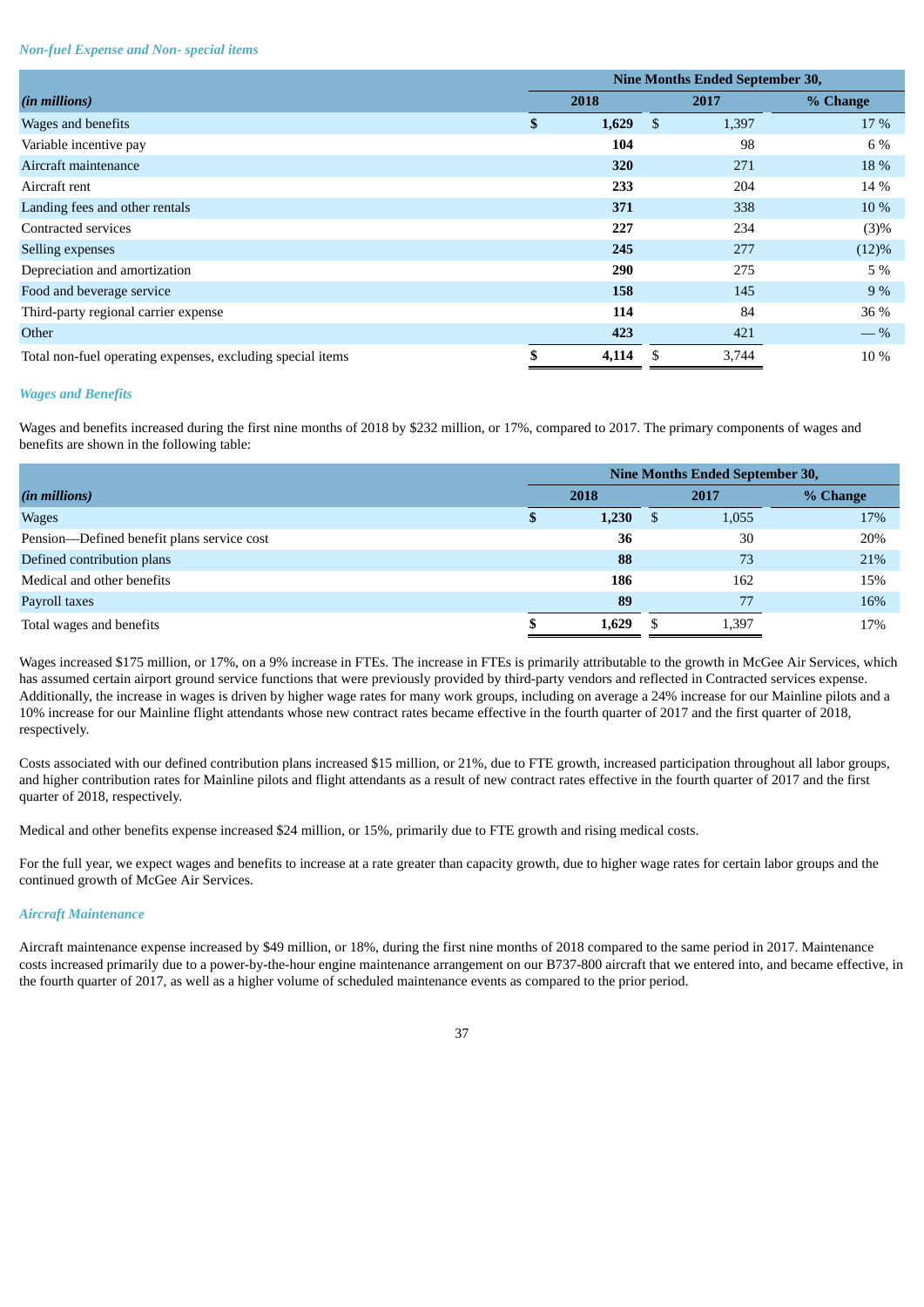#### *Non-fuel Expense and Non- special items*

|                                                            | <b>Nine Months Ended September 30,</b> |                        |                |  |  |  |  |
|------------------------------------------------------------|----------------------------------------|------------------------|----------------|--|--|--|--|
| (in millions)                                              | 2018                                   | 2017                   | % Change       |  |  |  |  |
| Wages and benefits                                         | \$<br>1,629                            | 1,397<br><sup>\$</sup> | $17\%$         |  |  |  |  |
| Variable incentive pay                                     | 104                                    | 98                     | 6 %            |  |  |  |  |
| Aircraft maintenance                                       | 320                                    | 271                    | 18 %           |  |  |  |  |
| Aircraft rent                                              | 233                                    | 204                    | 14 %           |  |  |  |  |
| Landing fees and other rentals                             | 371                                    | 338                    | 10 %           |  |  |  |  |
| Contracted services                                        | 227                                    | 234                    | $(3)\%$        |  |  |  |  |
| Selling expenses                                           | 245                                    | 277                    | (12)%          |  |  |  |  |
| Depreciation and amortization                              | 290                                    | 275                    | $5\%$          |  |  |  |  |
| Food and beverage service                                  | 158                                    | 145                    | $9\%$          |  |  |  |  |
| Third-party regional carrier expense                       | 114                                    | 84                     | 36 %           |  |  |  |  |
| Other                                                      | 423                                    | 421                    | $-\frac{9}{6}$ |  |  |  |  |
| Total non-fuel operating expenses, excluding special items | \$<br>4,114                            | 3,744                  | 10 %           |  |  |  |  |

## *Wages and Benefits*

Wages and benefits increased during the first nine months of 2018 by \$232 million, or 17%, compared to 2017. The primary components of wages and benefits are shown in the following table:

|                                            | <b>Nine Months Ended September 30,</b> |       |      |       |          |  |  |  |
|--------------------------------------------|----------------------------------------|-------|------|-------|----------|--|--|--|
| (in millions)                              |                                        | 2018  | 2017 |       | % Change |  |  |  |
| <b>Wages</b>                               | \$                                     | 1,230 | S    | 1,055 | 17%      |  |  |  |
| Pension—Defined benefit plans service cost |                                        | 36    |      | 30    | 20%      |  |  |  |
| Defined contribution plans                 |                                        | 88    |      | 73    | 21%      |  |  |  |
| Medical and other benefits                 |                                        | 186   |      | 162   | 15%      |  |  |  |
| Payroll taxes                              |                                        | 89    |      | 77    | 16%      |  |  |  |
| Total wages and benefits                   |                                        | 1,629 |      | 1,397 | 17%      |  |  |  |

Wages increased \$175 million, or 17%, on a 9% increase in FTEs. The increase in FTEs is primarily attributable to the growth in McGee Air Services, which has assumed certain airport ground service functions that were previously provided by third-party vendors and reflected in Contracted services expense. Additionally, the increase in wages is driven by higher wage rates for many work groups, including on average a 24% increase for our Mainline pilots and a 10% increase for our Mainline flight attendants whose new contract rates became effective in the fourth quarter of 2017 and the first quarter of 2018, respectively.

Costs associated with our defined contribution plans increased \$15 million, or 21%, due to FTE growth, increased participation throughout all labor groups, and higher contribution rates for Mainline pilots and flight attendants as a result of new contract rates effective in the fourth quarter of 2017 and the first quarter of 2018, respectively.

Medical and other benefits expense increased \$24 million, or 15%, primarily due to FTE growth and rising medical costs.

For the full year, we expect wages and benefits to increase at a rate greater than capacity growth, due to higher wage rates for certain labor groups and the continued growth of McGee Air Services.

## *Aircraft Maintenance*

Aircraft maintenance expense increased by \$49 million, or 18%, during the first nine months of 2018 compared to the same period in 2017. Maintenance costs increased primarily due to a power-by-the-hour engine maintenance arrangement on our B737-800 aircraft that we entered into, and became effective, in the fourth quarter of 2017, as well as a higher volume of scheduled maintenance events as compared to the prior period.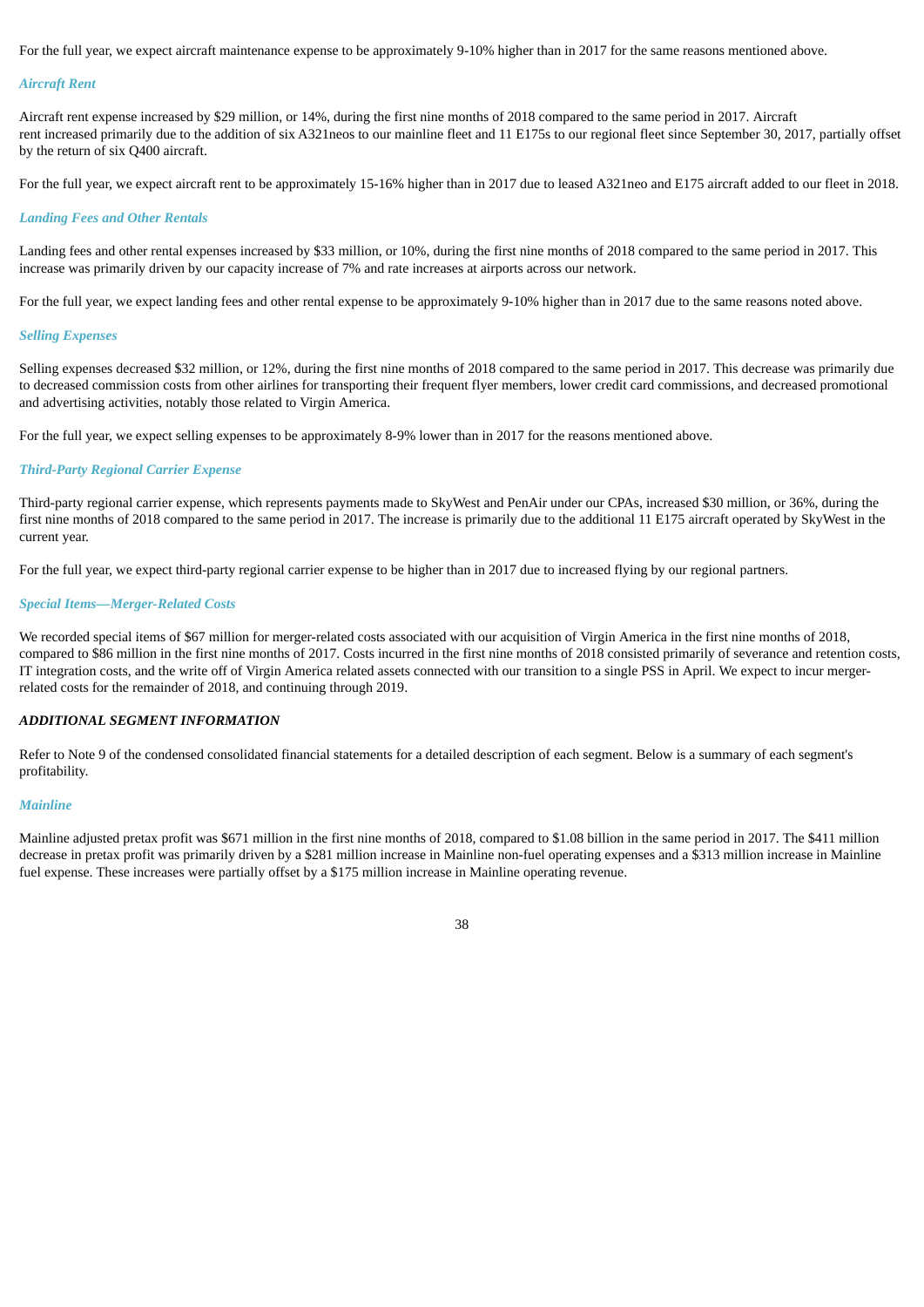For the full year, we expect aircraft maintenance expense to be approximately 9-10% higher than in 2017 for the same reasons mentioned above.

#### *Aircraft Rent*

Aircraft rent expense increased by \$29 million, or 14%, during the first nine months of 2018 compared to the same period in 2017. Aircraft rent increased primarily due to the addition of six A321neos to our mainline fleet and 11 E175s to our regional fleet since September 30, 2017, partially offset by the return of six Q400 aircraft.

For the full year, we expect aircraft rent to be approximately 15-16% higher than in 2017 due to leased A321neo and E175 aircraft added to our fleet in 2018.

#### *Landing Fees and Other Rentals*

Landing fees and other rental expenses increased by \$33 million, or 10%, during the first nine months of 2018 compared to the same period in 2017. This increase was primarily driven by our capacity increase of 7% and rate increases at airports across our network.

For the full year, we expect landing fees and other rental expense to be approximately 9-10% higher than in 2017 due to the same reasons noted above.

#### *Selling Expenses*

Selling expenses decreased \$32 million, or 12%, during the first nine months of 2018 compared to the same period in 2017. This decrease was primarily due to decreased commission costs from other airlines for transporting their frequent flyer members, lower credit card commissions, and decreased promotional and advertising activities, notably those related to Virgin America.

For the full year, we expect selling expenses to be approximately 8-9% lower than in 2017 for the reasons mentioned above.

#### *Third-Party Regional Carrier Expense*

Third-party regional carrier expense, which represents payments made to SkyWest and PenAir under our CPAs, increased \$30 million, or 36%, during the first nine months of 2018 compared to the same period in 2017. The increase is primarily due to the additional 11 E175 aircraft operated by SkyWest in the current year.

For the full year, we expect third-party regional carrier expense to be higher than in 2017 due to increased flying by our regional partners.

#### *Special Items—Merger-Related Costs*

We recorded special items of \$67 million for merger-related costs associated with our acquisition of Virgin America in the first nine months of 2018, compared to \$86 million in the first nine months of 2017. Costs incurred in the first nine months of 2018 consisted primarily of severance and retention costs, IT integration costs, and the write off of Virgin America related assets connected with our transition to a single PSS in April. We expect to incur mergerrelated costs for the remainder of 2018, and continuing through 2019.

#### *ADDITIONAL SEGMENT INFORMATION*

Refer to Note 9 of the condensed consolidated financial statements for a detailed description of each segment. Below is a summary of each segment's profitability.

#### *Mainline*

Mainline adjusted pretax profit was \$671 million in the first nine months of 2018, compared to \$1.08 billion in the same period in 2017. The \$411 million decrease in pretax profit was primarily driven by a \$281 million increase in Mainline non-fuel operating expenses and a \$313 million increase in Mainline fuel expense. These increases were partially offset by a \$175 million increase in Mainline operating revenue.

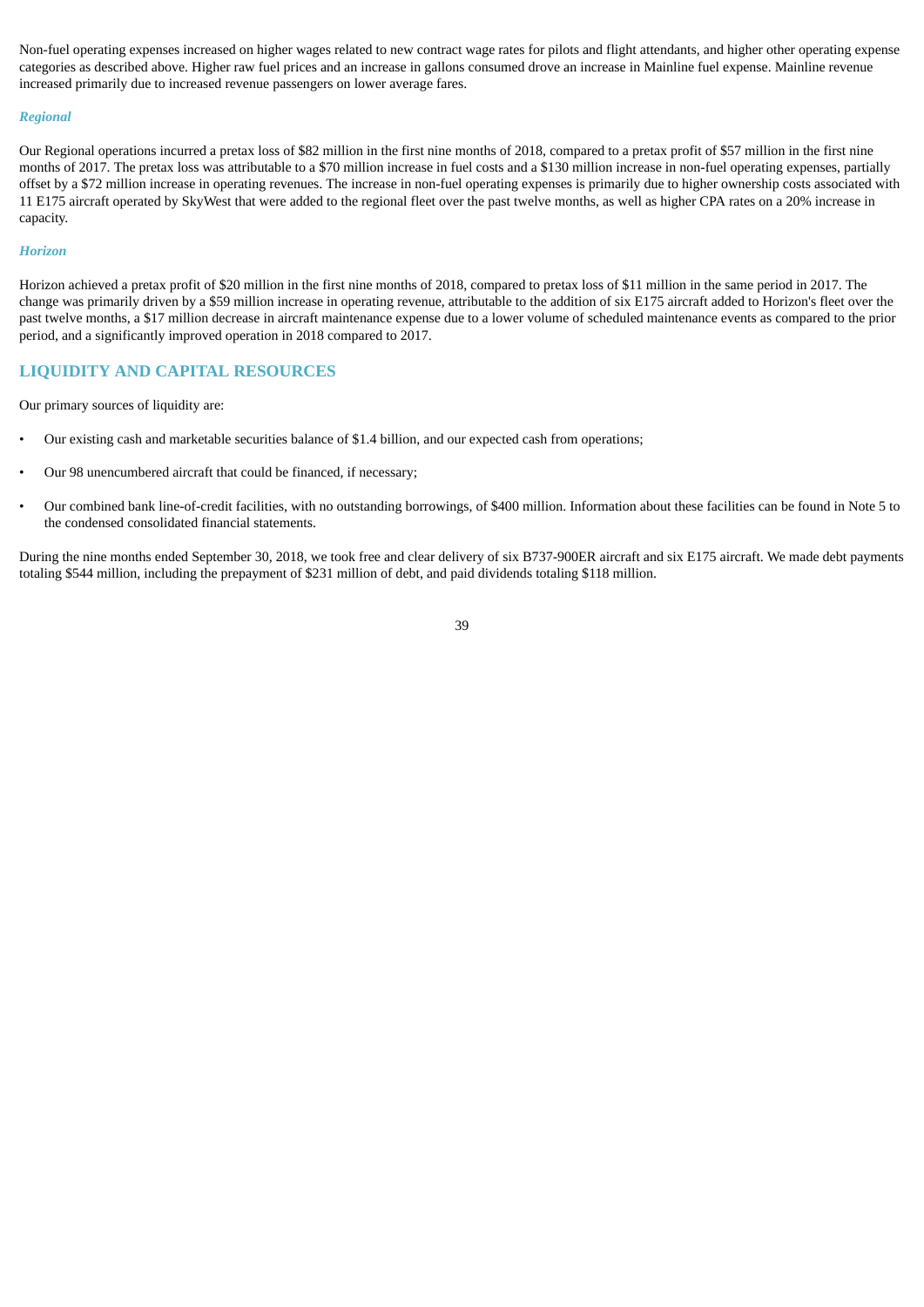Non-fuel operating expenses increased on higher wages related to new contract wage rates for pilots and flight attendants, and higher other operating expense categories as described above. Higher raw fuel prices and an increase in gallons consumed drove an increase in Mainline fuel expense. Mainline revenue increased primarily due to increased revenue passengers on lower average fares.

#### *Regional*

Our Regional operations incurred a pretax loss of \$82 million in the first nine months of 2018, compared to a pretax profit of \$57 million in the first nine months of 2017. The pretax loss was attributable to a \$70 million increase in fuel costs and a \$130 million increase in non-fuel operating expenses, partially offset by a \$72 million increase in operating revenues. The increase in non-fuel operating expenses is primarily due to higher ownership costs associated with 11 E175 aircraft operated by SkyWest that were added to the regional fleet over the past twelve months, as well as higher CPA rates on a 20% increase in capacity.

#### *Horizon*

Horizon achieved a pretax profit of \$20 million in the first nine months of 2018, compared to pretax loss of \$11 million in the same period in 2017. The change was primarily driven by a \$59 million increase in operating revenue, attributable to the addition of six E175 aircraft added to Horizon's fleet over the past twelve months, a \$17 million decrease in aircraft maintenance expense due to a lower volume of scheduled maintenance events as compared to the prior period, and a significantly improved operation in 2018 compared to 2017.

## **LIQUIDITY AND CAPITAL RESOURCES**

Our primary sources of liquidity are:

- Our existing cash and marketable securities balance of \$1.4 billion, and our expected cash from operations;
- Our 98 unencumbered aircraft that could be financed, if necessary;
- Our combined bank line-of-credit facilities, with no outstanding borrowings, of \$400 million. Information about these facilities can be found in Note 5 to the condensed consolidated financial statements.

During the nine months ended September 30, 2018, we took free and clear delivery of six B737-900ER aircraft and six E175 aircraft. We made debt payments totaling \$544 million, including the prepayment of \$231 million of debt, and paid dividends totaling \$118 million.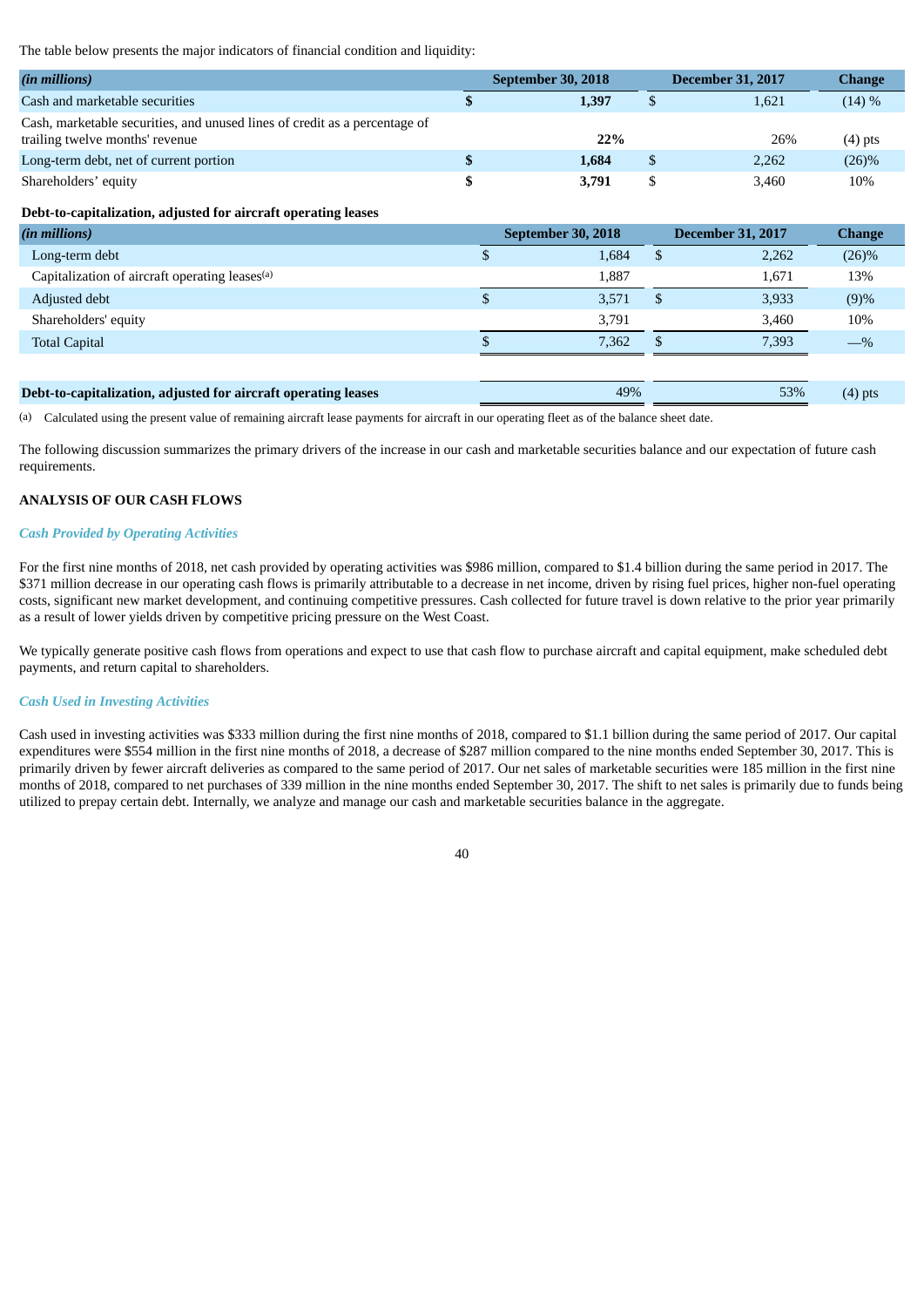The table below presents the major indicators of financial condition and liquidity:

| (in millions)                                                                                                 | September 30, 2018 | <b>December 31, 2017</b> | <b>Change</b> |  |
|---------------------------------------------------------------------------------------------------------------|--------------------|--------------------------|---------------|--|
| Cash and marketable securities                                                                                | 1,397              | 1,621                    | $(14) \%$     |  |
| Cash, marketable securities, and unused lines of credit as a percentage of<br>trailing twelve months' revenue | 22%                | 26%                      | $(4)$ pts     |  |
| Long-term debt, net of current portion                                                                        | 1.684              | 2,262                    | $(26)\%$      |  |
| Shareholders' equity                                                                                          | 3,791              | 3.460                    | 10%           |  |

#### **Debt-to-capitalization, adjusted for aircraft operating leases**

| (in millions)                                                  | September 30, 2018 |               | <b>December 31, 2017</b> | <b>Change</b> |
|----------------------------------------------------------------|--------------------|---------------|--------------------------|---------------|
| Long-term debt                                                 | 1,684              | <sup>\$</sup> | 2,262                    | $(26)\%$      |
| Capitalization of aircraft operating leases <sup>(a)</sup>     | 1,887              |               | 1,671                    | 13%           |
| Adjusted debt                                                  | 3,571              | <sup>\$</sup> | 3,933                    | (9)%          |
| Shareholders' equity                                           | 3,791              |               | 3,460                    | 10%           |
| <b>Total Capital</b>                                           | 7.362              | \$.           | 7.393                    | $-$ %         |
|                                                                |                    |               |                          |               |
| Debt-to-capitalization, adjusted for aircraft operating leases | 49%                |               | 53%                      | $(4)$ pts     |

(a) Calculated using the present value of remaining aircraft lease payments for aircraft in our operating fleet as of the balance sheet date.

The following discussion summarizes the primary drivers of the increase in our cash and marketable securities balance and our expectation of future cash requirements.

#### **ANALYSIS OF OUR CASH FLOWS**

#### *Cash Provided by Operating Activities*

For the first nine months of 2018, net cash provided by operating activities was \$986 million, compared to \$1.4 billion during the same period in 2017. The \$371 million decrease in our operating cash flows is primarily attributable to a decrease in net income, driven by rising fuel prices, higher non-fuel operating costs, significant new market development, and continuing competitive pressures. Cash collected for future travel is down relative to the prior year primarily as a result of lower yields driven by competitive pricing pressure on the West Coast.

We typically generate positive cash flows from operations and expect to use that cash flow to purchase aircraft and capital equipment, make scheduled debt payments, and return capital to shareholders.

#### *Cash Used in Investing Activities*

Cash used in investing activities was \$333 million during the first nine months of 2018, compared to \$1.1 billion during the same period of 2017. Our capital expenditures were \$554 million in the first nine months of 2018, a decrease of \$287 million compared to the nine months ended September 30, 2017. This is primarily driven by fewer aircraft deliveries as compared to the same period of 2017. Our net sales of marketable securities were 185 million in the first nine months of 2018, compared to net purchases of 339 million in the nine months ended September 30, 2017. The shift to net sales is primarily due to funds being utilized to prepay certain debt. Internally, we analyze and manage our cash and marketable securities balance in the aggregate.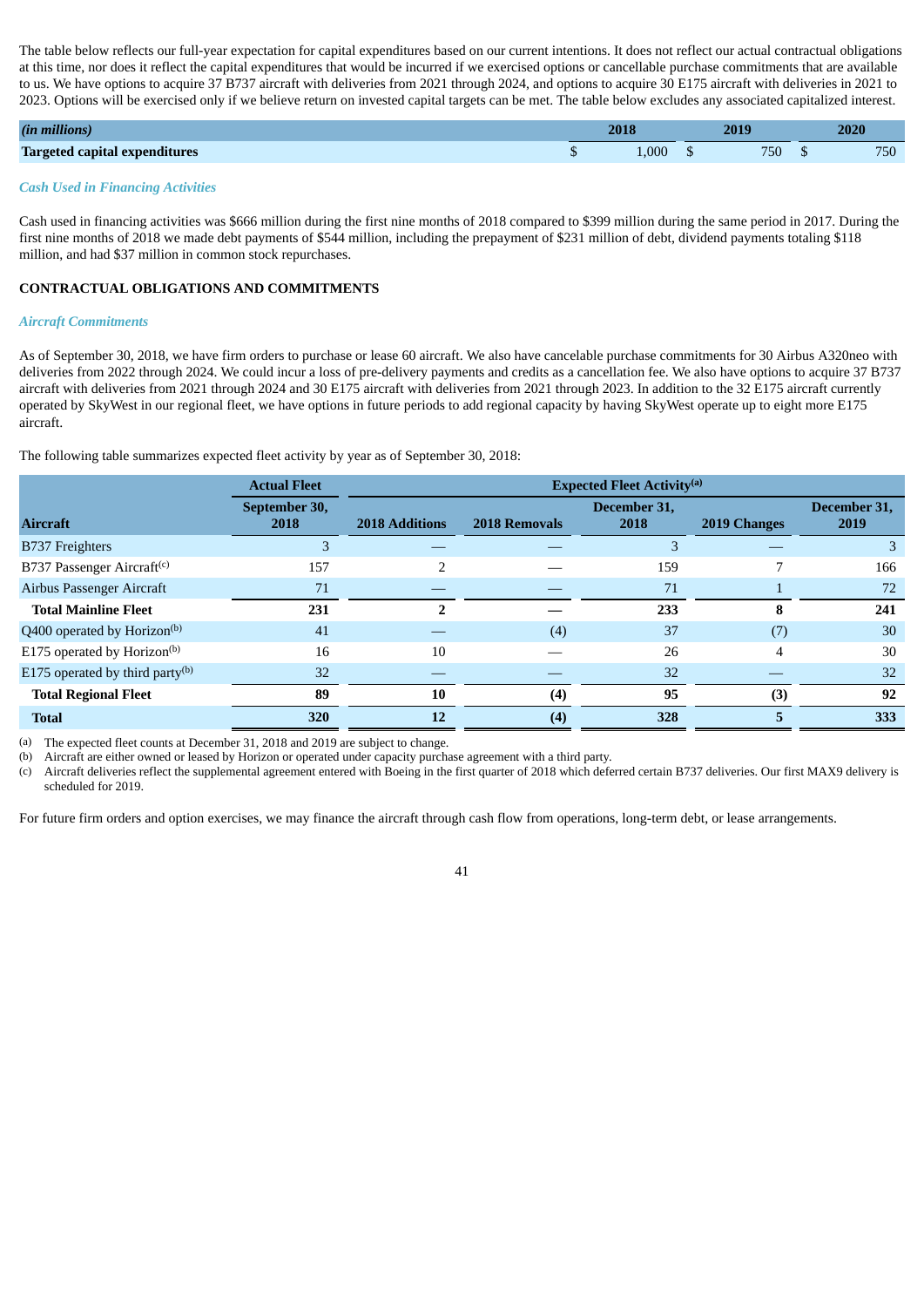The table below reflects our full-year expectation for capital expenditures based on our current intentions. It does not reflect our actual contractual obligations at this time, nor does it reflect the capital expenditures that would be incurred if we exercised options or cancellable purchase commitments that are available to us. We have options to acquire 37 B737 aircraft with deliveries from 2021 through 2024, and options to acquire 30 E175 aircraft with deliveries in 2021 to 2023. Options will be exercised only if we believe return on invested capital targets can be met. The table below excludes any associated capitalized interest.

| (in millions)                        | 2018 |       | 2019 |      | 2020       |
|--------------------------------------|------|-------|------|------|------------|
| <b>Targeted capital expenditures</b> |      | L.000 | υU   | an a | 75C<br>้วน |

#### *Cash Used in Financing Activities*

Cash used in financing activities was \$666 million during the first nine months of 2018 compared to \$399 million during the same period in 2017. During the first nine months of 2018 we made debt payments of \$544 million, including the prepayment of \$231 million of debt, dividend payments totaling \$118 million, and had \$37 million in common stock repurchases.

#### **CONTRACTUAL OBLIGATIONS AND COMMITMENTS**

#### *Aircraft Commitments*

As of September 30, 2018, we have firm orders to purchase or lease 60 aircraft. We also have cancelable purchase commitments for 30 Airbus A320neo with deliveries from 2022 through 2024. We could incur a loss of pre-delivery payments and credits as a cancellation fee. We also have options to acquire 37 B737 aircraft with deliveries from 2021 through 2024 and 30 E175 aircraft with deliveries from 2021 through 2023. In addition to the 32 E175 aircraft currently operated by SkyWest in our regional fleet, we have options in future periods to add regional capacity by having SkyWest operate up to eight more E175 aircraft.

The following table summarizes expected fleet activity by year as of September 30, 2018:

|                                         | <b>Actual Fleet</b>   | <b>Expected Fleet Activity</b> <sup>(a)</sup> |                      |                      |              |                      |  |  |  |  |
|-----------------------------------------|-----------------------|-----------------------------------------------|----------------------|----------------------|--------------|----------------------|--|--|--|--|
| <b>Aircraft</b>                         | September 30,<br>2018 | <b>2018 Additions</b>                         | <b>2018 Removals</b> | December 31,<br>2018 | 2019 Changes | December 31,<br>2019 |  |  |  |  |
| B737 Freighters                         |                       |                                               |                      |                      |              | 3.                   |  |  |  |  |
| B737 Passenger Aircraft(c)              | 157                   |                                               |                      | 159                  |              | 166                  |  |  |  |  |
| Airbus Passenger Aircraft               | 71                    |                                               |                      | 71                   |              | 72                   |  |  |  |  |
| <b>Total Mainline Fleet</b>             | 231                   | $\overline{2}$                                |                      | 233                  | 8            | 241                  |  |  |  |  |
| Q400 operated by Horizon <sup>(b)</sup> | 41                    |                                               | (4)                  | 37                   | (7)          | 30                   |  |  |  |  |
| E175 operated by Horizon $(b)$          | 16                    | 10                                            |                      | 26                   | 4            | 30                   |  |  |  |  |
| E175 operated by third party $(b)$      | 32                    |                                               |                      | 32                   |              | 32                   |  |  |  |  |
| <b>Total Regional Fleet</b>             | 89                    | 10                                            | (4)                  | 95                   | (3)          | 92                   |  |  |  |  |
| <b>Total</b>                            | 320                   | 12                                            | (4)                  | 328                  | Э.           | 333                  |  |  |  |  |

(a) The expected fleet counts at December 31, 2018 and 2019 are subject to change.

(b) Aircraft are either owned or leased by Horizon or operated under capacity purchase agreement with a third party.

(c) Aircraft deliveries reflect the supplemental agreement entered with Boeing in the first quarter of 2018 which deferred certain B737 deliveries. Our first MAX9 delivery is scheduled for 2019.

For future firm orders and option exercises, we may finance the aircraft through cash flow from operations, long-term debt, or lease arrangements.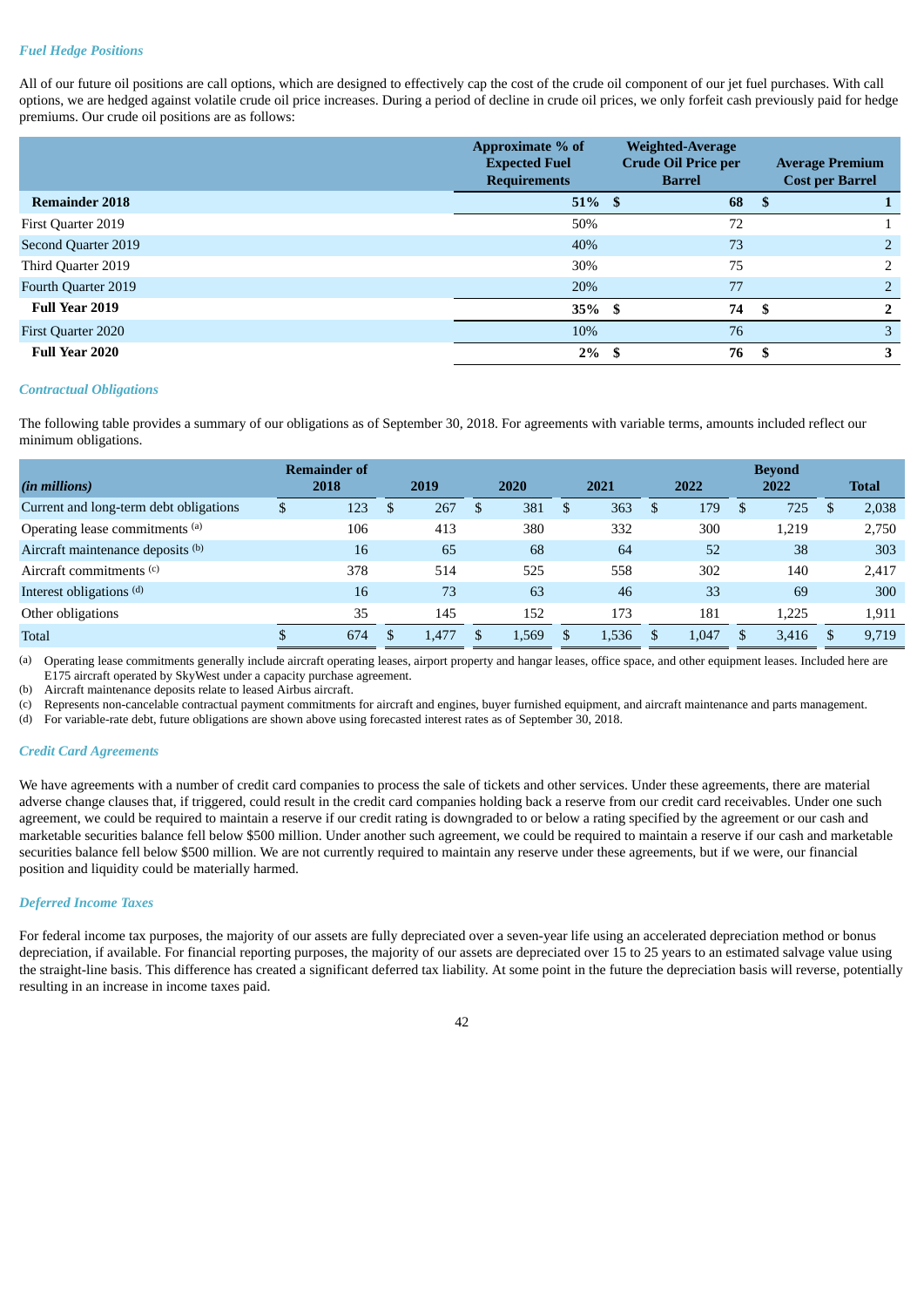#### *Fuel Hedge Positions*

All of our future oil positions are call options, which are designed to effectively cap the cost of the crude oil component of our jet fuel purchases. With call options, we are hedged against volatile crude oil price increases. During a period of decline in crude oil prices, we only forfeit cash previously paid for hedge premiums. Our crude oil positions are as follows:

|                            | Approximate % of<br><b>Expected Fuel</b><br><b>Requirements</b> | <b>Weighted-Average</b><br><b>Crude Oil Price per</b><br><b>Barrel</b> | <b>Average Premium</b><br><b>Cost per Barrel</b> |  |
|----------------------------|-----------------------------------------------------------------|------------------------------------------------------------------------|--------------------------------------------------|--|
| <b>Remainder 2018</b>      | $51\%$ \$                                                       | 68                                                                     | S                                                |  |
| First Quarter 2019         | 50%                                                             | 72                                                                     |                                                  |  |
| Second Quarter 2019        | 40%                                                             | 73                                                                     |                                                  |  |
| Third Quarter 2019         | 30%                                                             | 75                                                                     | $\mathcal{P}$                                    |  |
| <b>Fourth Quarter 2019</b> | 20%                                                             | 77                                                                     | $\mathcal{P}$                                    |  |
| <b>Full Year 2019</b>      | $35\%$ \$                                                       | 74                                                                     | \$<br>2                                          |  |
| <b>First Quarter 2020</b>  | 10%                                                             | 76                                                                     | 3                                                |  |
| <b>Full Year 2020</b>      | $2\%$ \$                                                        | 76                                                                     | 3<br>S                                           |  |

#### *Contractual Obligations*

The following table provides a summary of our obligations as of September 30, 2018. For agreements with variable terms, amounts included reflect our minimum obligations.

|                                        | <b>Remainder of</b> |             |    |       |    |       | <b>Beyond</b> |       |  |       |  |              |
|----------------------------------------|---------------------|-------------|----|-------|----|-------|---------------|-------|--|-------|--|--------------|
| <i>(in millions)</i>                   | 2018                | 2019        |    | 2020  |    | 2021  |               | 2022  |  | 2022  |  | <b>Total</b> |
| Current and long-term debt obligations | 123<br>\$           | 267<br>S    | -S | 381   | -S | 363   |               | 179   |  | 725   |  | 2,038        |
| Operating lease commitments (a)        | 106                 | 413         |    | 380   |    | 332   |               | 300   |  | 1,219 |  | 2,750        |
| Aircraft maintenance deposits (b)      | 16                  |             | 65 | 68    |    | 64    |               | 52    |  | 38    |  | 303          |
| Aircraft commitments <sup>(c)</sup>    | 378                 | 514         |    | 525   |    | 558   |               | 302   |  | 140   |  | 2,417        |
| Interest obligations (d)               | 16                  |             | 73 | 63    |    | 46    |               | 33    |  | 69    |  | 300          |
| Other obligations                      | 35                  | 145         |    | 152   |    | 173   |               | 181   |  | 1,225 |  | 1,911        |
| <b>Total</b>                           | 674                 | 1.477<br>Æ, | £. | 1.569 | -S | 1.536 |               | 1.047 |  | 3.416 |  | 9.719        |

(a) Operating lease commitments generally include aircraft operating leases, airport property and hangar leases, office space, and other equipment leases. Included here are E175 aircraft operated by SkyWest under a capacity purchase agreement.

(b) Aircraft maintenance deposits relate to leased Airbus aircraft.

(c) Represents non-cancelable contractual payment commitments for aircraft and engines, buyer furnished equipment, and aircraft maintenance and parts management.

(d) For variable-rate debt, future obligations are shown above using forecasted interest rates as of September 30, 2018.

#### *Credit Card Agreements*

We have agreements with a number of credit card companies to process the sale of tickets and other services. Under these agreements, there are material adverse change clauses that, if triggered, could result in the credit card companies holding back a reserve from our credit card receivables. Under one such agreement, we could be required to maintain a reserve if our credit rating is downgraded to or below a rating specified by the agreement or our cash and marketable securities balance fell below \$500 million. Under another such agreement, we could be required to maintain a reserve if our cash and marketable securities balance fell below \$500 million. We are not currently required to maintain any reserve under these agreements, but if we were, our financial position and liquidity could be materially harmed.

#### *Deferred Income Taxes*

For federal income tax purposes, the majority of our assets are fully depreciated over a seven-year life using an accelerated depreciation method or bonus depreciation, if available. For financial reporting purposes, the majority of our assets are depreciated over 15 to 25 years to an estimated salvage value using the straight-line basis. This difference has created a significant deferred tax liability. At some point in the future the depreciation basis will reverse, potentially resulting in an increase in income taxes paid.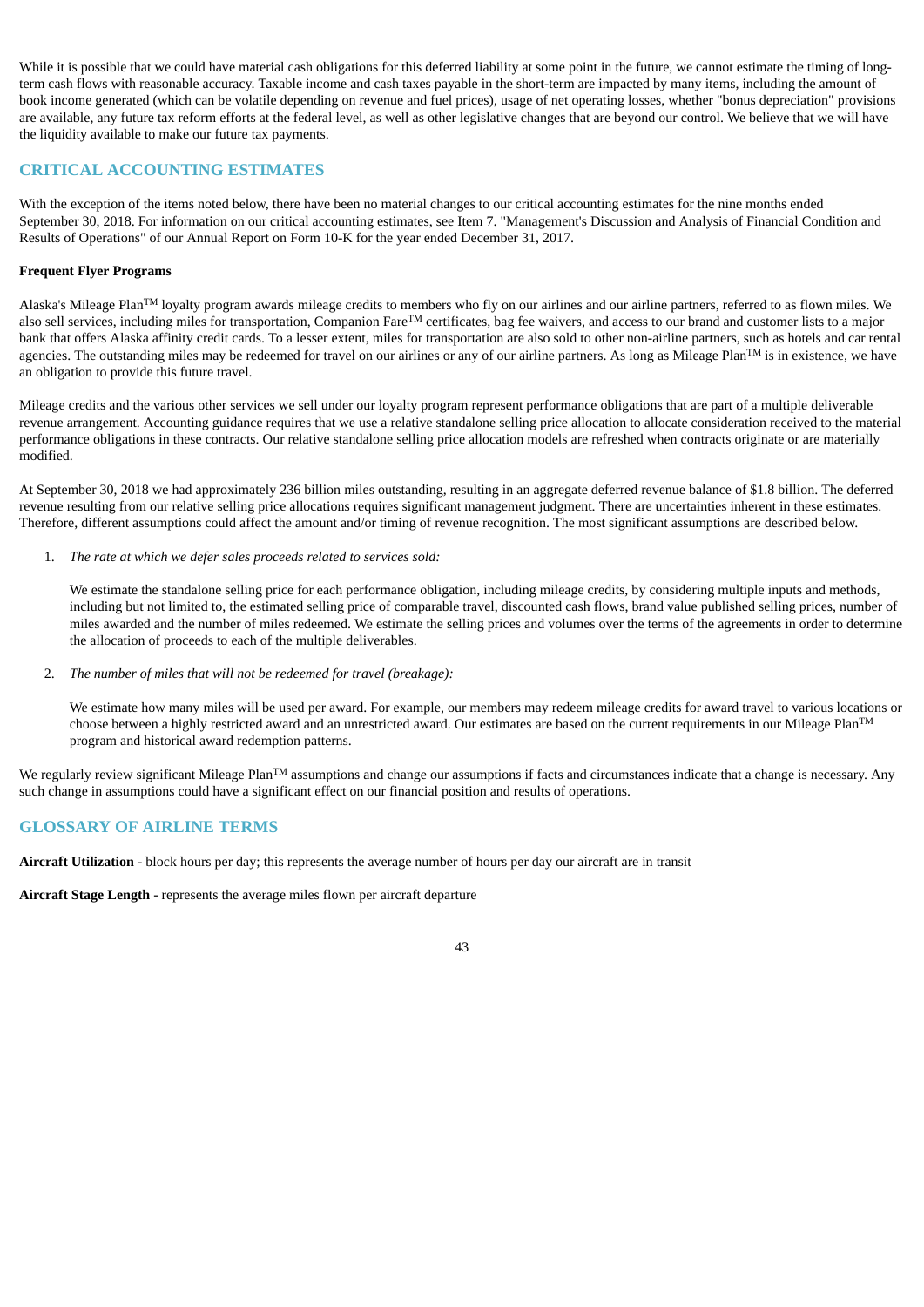While it is possible that we could have material cash obligations for this deferred liability at some point in the future, we cannot estimate the timing of longterm cash flows with reasonable accuracy. Taxable income and cash taxes payable in the short-term are impacted by many items, including the amount of book income generated (which can be volatile depending on revenue and fuel prices), usage of net operating losses, whether "bonus depreciation" provisions are available, any future tax reform efforts at the federal level, as well as other legislative changes that are beyond our control. We believe that we will have the liquidity available to make our future tax payments.

## **CRITICAL ACCOUNTING ESTIMATES**

With the exception of the items noted below, there have been no material changes to our critical accounting estimates for the nine months ended September 30, 2018. For information on our critical accounting estimates, see Item 7. "Management's Discussion and Analysis of Financial Condition and Results of Operations" of our Annual Report on Form 10-K for the year ended December 31, 2017.

#### **Frequent Flyer Programs**

Alaska's Mileage Plan<sup>TM</sup> loyalty program awards mileage credits to members who fly on our airlines and our airline partners, referred to as flown miles. We also sell services, including miles for transportation, Companion Fare<sup>TM</sup> certificates, bag fee waivers, and access to our brand and customer lists to a major bank that offers Alaska affinity credit cards. To a lesser extent, miles for transportation are also sold to other non-airline partners, such as hotels and car rental agencies. The outstanding miles may be redeemed for travel on our airlines or any of our airline partners. As long as Mileage Plan<sup>TM</sup> is in existence, we have an obligation to provide this future travel.

Mileage credits and the various other services we sell under our loyalty program represent performance obligations that are part of a multiple deliverable revenue arrangement. Accounting guidance requires that we use a relative standalone selling price allocation to allocate consideration received to the material performance obligations in these contracts. Our relative standalone selling price allocation models are refreshed when contracts originate or are materially modified.

At September 30, 2018 we had approximately 236 billion miles outstanding, resulting in an aggregate deferred revenue balance of \$1.8 billion. The deferred revenue resulting from our relative selling price allocations requires significant management judgment. There are uncertainties inherent in these estimates. Therefore, different assumptions could affect the amount and/or timing of revenue recognition. The most significant assumptions are described below.

1. *The rate at which we defer sales proceeds related to services sold:*

We estimate the standalone selling price for each performance obligation, including mileage credits, by considering multiple inputs and methods, including but not limited to, the estimated selling price of comparable travel, discounted cash flows, brand value published selling prices, number of miles awarded and the number of miles redeemed. We estimate the selling prices and volumes over the terms of the agreements in order to determine the allocation of proceeds to each of the multiple deliverables.

2. *The number of miles that will not be redeemed for travel (breakage):*

We estimate how many miles will be used per award. For example, our members may redeem mileage credits for award travel to various locations or choose between a highly restricted award and an unrestricted award. Our estimates are based on the current requirements in our Mileage Plan™ program and historical award redemption patterns.

We regularly review significant Mileage Plan<sup>TM</sup> assumptions and change our assumptions if facts and circumstances indicate that a change is necessary. Any such change in assumptions could have a significant effect on our financial position and results of operations.

## **GLOSSARY OF AIRLINE TERMS**

**Aircraft Utilization** - block hours per day; this represents the average number of hours per day our aircraft are in transit

**Aircraft Stage Length** - represents the average miles flown per aircraft departure

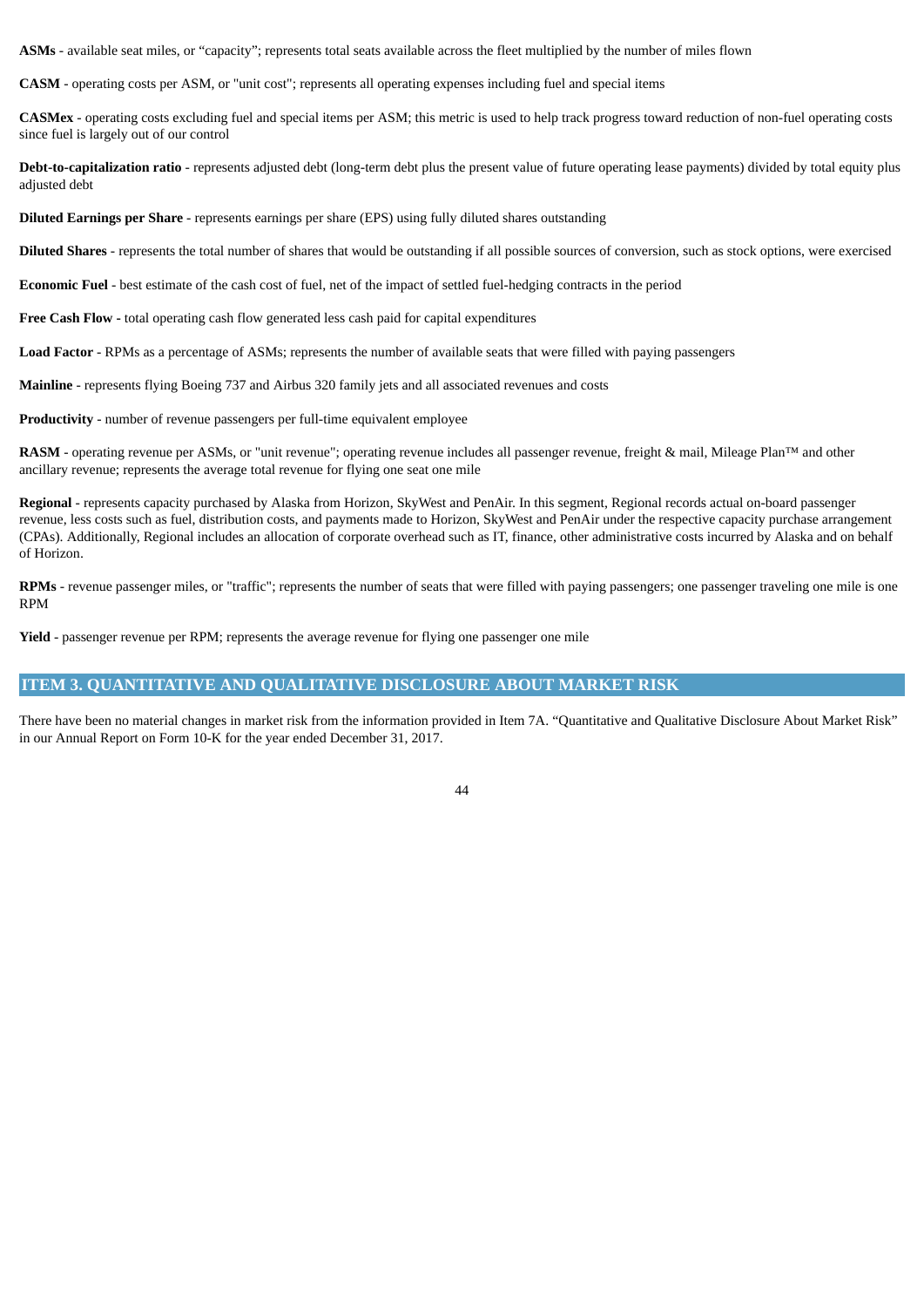**ASMs** - available seat miles, or "capacity"; represents total seats available across the fleet multiplied by the number of miles flown

**CASM** - operating costs per ASM, or "unit cost"; represents all operating expenses including fuel and special items

**CASMex** - operating costs excluding fuel and special items per ASM; this metric is used to help track progress toward reduction of non-fuel operating costs since fuel is largely out of our control

**Debt-to-capitalization ratio** - represents adjusted debt (long-term debt plus the present value of future operating lease payments) divided by total equity plus adjusted debt

**Diluted Earnings per Share** - represents earnings per share (EPS) using fully diluted shares outstanding

**Diluted Shares** - represents the total number of shares that would be outstanding if all possible sources of conversion, such as stock options, were exercised

**Economic Fuel** - best estimate of the cash cost of fuel, net of the impact of settled fuel-hedging contracts in the period

**Free Cash Flow -** total operating cash flow generated less cash paid for capital expenditures

**Load Factor** - RPMs as a percentage of ASMs; represents the number of available seats that were filled with paying passengers

**Mainline** - represents flying Boeing 737 and Airbus 320 family jets and all associated revenues and costs

**Productivity** - number of revenue passengers per full-time equivalent employee

**RASM** - operating revenue per ASMs, or "unit revenue"; operating revenue includes all passenger revenue, freight & mail, Mileage Plan™ and other ancillary revenue; represents the average total revenue for flying one seat one mile

**Regional** - represents capacity purchased by Alaska from Horizon, SkyWest and PenAir. In this segment, Regional records actual on-board passenger revenue, less costs such as fuel, distribution costs, and payments made to Horizon, SkyWest and PenAir under the respective capacity purchase arrangement (CPAs). Additionally, Regional includes an allocation of corporate overhead such as IT, finance, other administrative costs incurred by Alaska and on behalf of Horizon.

**RPMs** - revenue passenger miles, or "traffic"; represents the number of seats that were filled with paying passengers; one passenger traveling one mile is one RPM

**Yield** - passenger revenue per RPM; represents the average revenue for flying one passenger one mile

## <span id="page-43-0"></span>**ITEM 3. QUANTITATIVE AND QUALITATIVE DISCLOSURE ABOUT MARKET RISK**

There have been no material changes in market risk from the information provided in Item 7A. "Quantitative and Qualitative Disclosure About Market Risk" in our Annual Report on Form 10-K for the year ended December 31, 2017.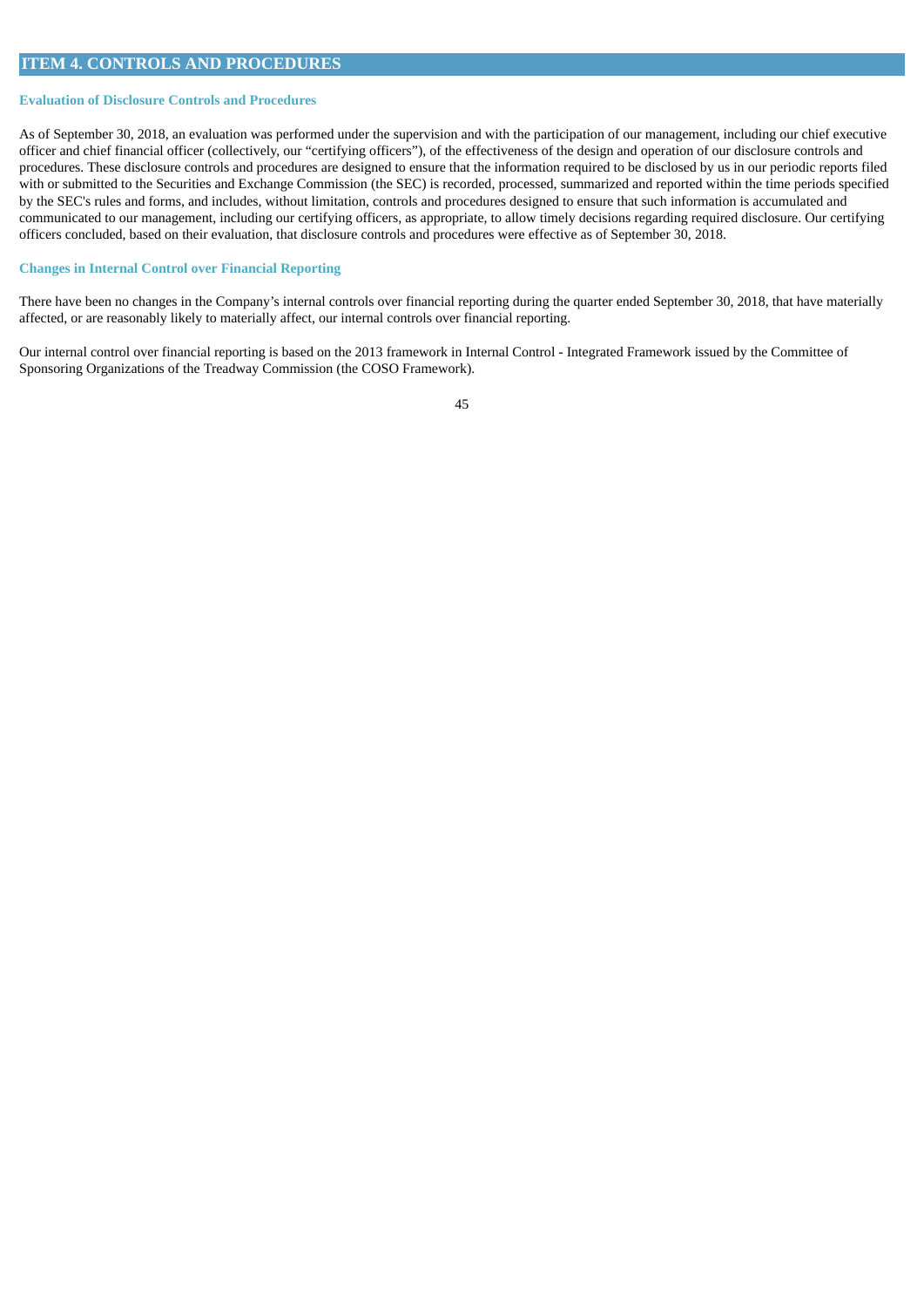#### <span id="page-44-0"></span>**ITEM 4. CONTROLS AND PROCEDURES**

#### **Evaluation of Disclosure Controls and Procedures**

As of September 30, 2018, an evaluation was performed under the supervision and with the participation of our management, including our chief executive officer and chief financial officer (collectively, our "certifying officers"), of the effectiveness of the design and operation of our disclosure controls and procedures. These disclosure controls and procedures are designed to ensure that the information required to be disclosed by us in our periodic reports filed with or submitted to the Securities and Exchange Commission (the SEC) is recorded, processed, summarized and reported within the time periods specified by the SEC's rules and forms, and includes, without limitation, controls and procedures designed to ensure that such information is accumulated and communicated to our management, including our certifying officers, as appropriate, to allow timely decisions regarding required disclosure. Our certifying officers concluded, based on their evaluation, that disclosure controls and procedures were effective as of September 30, 2018.

#### **Changes in Internal Control over Financial Reporting**

There have been no changes in the Company's internal controls over financial reporting during the quarter ended September 30, 2018, that have materially affected, or are reasonably likely to materially affect, our internal controls over financial reporting.

Our internal control over financial reporting is based on the 2013 framework in Internal Control - Integrated Framework issued by the Committee of Sponsoring Organizations of the Treadway Commission (the COSO Framework).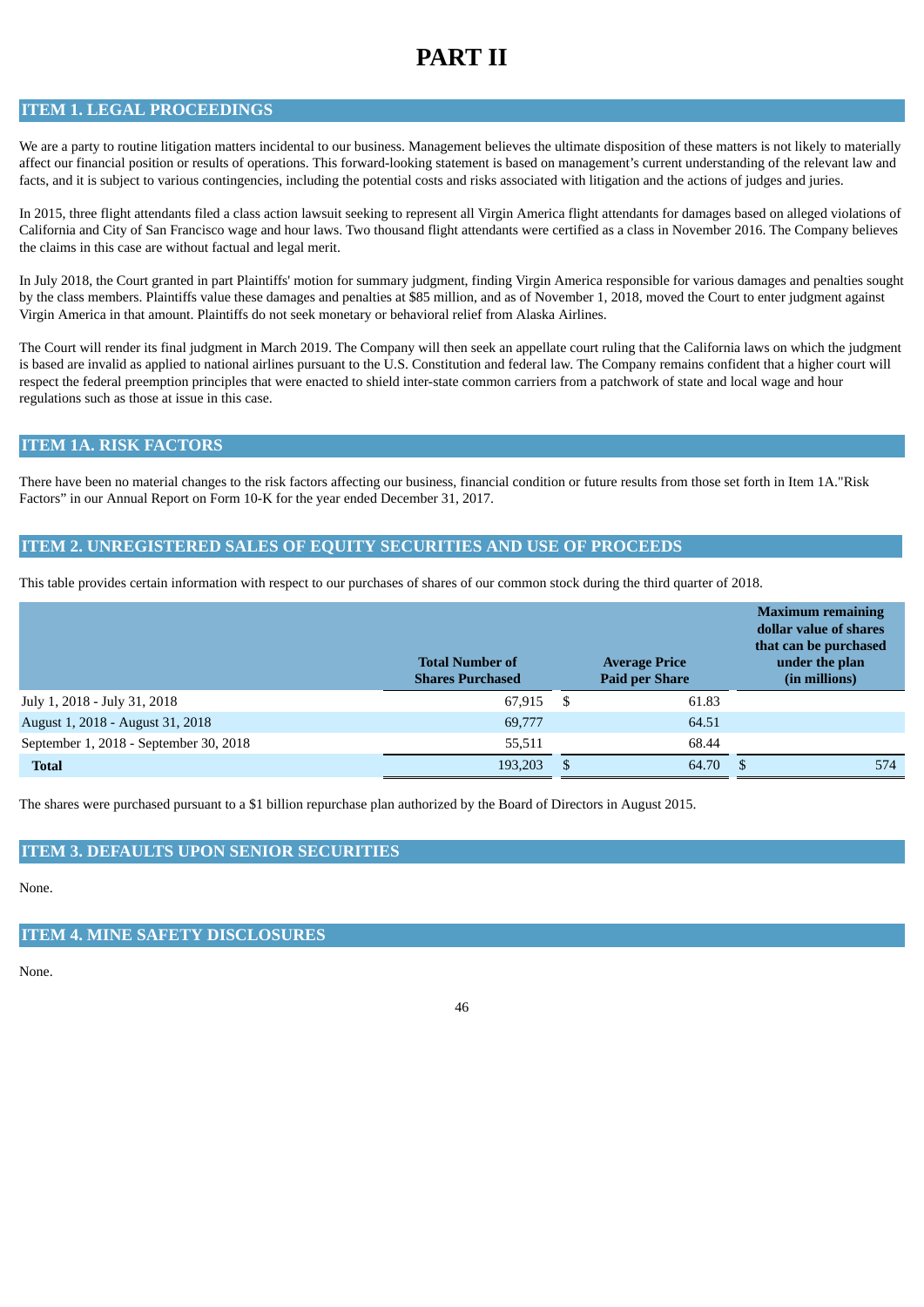## **PART II**

## <span id="page-45-1"></span><span id="page-45-0"></span>**ITEM 1. LEGAL PROCEEDINGS**

We are a party to routine litigation matters incidental to our business. Management believes the ultimate disposition of these matters is not likely to materially affect our financial position or results of operations. This forward-looking statement is based on management's current understanding of the relevant law and facts, and it is subject to various contingencies, including the potential costs and risks associated with litigation and the actions of judges and juries.

In 2015, three flight attendants filed a class action lawsuit seeking to represent all Virgin America flight attendants for damages based on alleged violations of California and City of San Francisco wage and hour laws. Two thousand flight attendants were certified as a class in November 2016. The Company believes the claims in this case are without factual and legal merit.

In July 2018, the Court granted in part Plaintiffs' motion for summary judgment, finding Virgin America responsible for various damages and penalties sought by the class members. Plaintiffs value these damages and penalties at \$85 million, and as of November 1, 2018, moved the Court to enter judgment against Virgin America in that amount. Plaintiffs do not seek monetary or behavioral relief from Alaska Airlines.

The Court will render its final judgment in March 2019. The Company will then seek an appellate court ruling that the California laws on which the judgment is based are invalid as applied to national airlines pursuant to the U.S. Constitution and federal law. The Company remains confident that a higher court will respect the federal preemption principles that were enacted to shield inter-state common carriers from a patchwork of state and local wage and hour regulations such as those at issue in this case.

## <span id="page-45-2"></span>**ITEM 1A. RISK FACTORS**

There have been no material changes to the risk factors affecting our business, financial condition or future results from those set forth in Item 1A."Risk Factors" in our Annual Report on Form 10-K for the year ended December 31, 2017.

## <span id="page-45-3"></span>**ITEM 2. UNREGISTERED SALES OF EQUITY SECURITIES AND USE OF PROCEEDS**

This table provides certain information with respect to our purchases of shares of our common stock during the third quarter of 2018.

|                                        | <b>Total Number of</b><br><b>Shares Purchased</b> |               | <b>Average Price</b><br><b>Paid per Share</b> | <b>Maximum remaining</b><br>dollar value of shares<br>that can be purchased<br>under the plan<br>(in millions) |  |  |
|----------------------------------------|---------------------------------------------------|---------------|-----------------------------------------------|----------------------------------------------------------------------------------------------------------------|--|--|
| July 1, 2018 - July 31, 2018           | 67,915                                            | -S            | 61.83                                         |                                                                                                                |  |  |
| August 1, 2018 - August 31, 2018       | 69,777                                            |               | 64.51                                         |                                                                                                                |  |  |
| September 1, 2018 - September 30, 2018 | 55,511                                            |               | 68.44                                         |                                                                                                                |  |  |
| <b>Total</b>                           | 193,203                                           | <sup>\$</sup> | 64.70                                         | 574<br>£.                                                                                                      |  |  |

The shares were purchased pursuant to a \$1 billion repurchase plan authorized by the Board of Directors in August 2015.

## <span id="page-45-4"></span>**ITEM 3. DEFAULTS UPON SENIOR SECURITIES**

None.

## <span id="page-45-5"></span>**ITEM 4. MINE SAFETY DISCLOSURES**

None.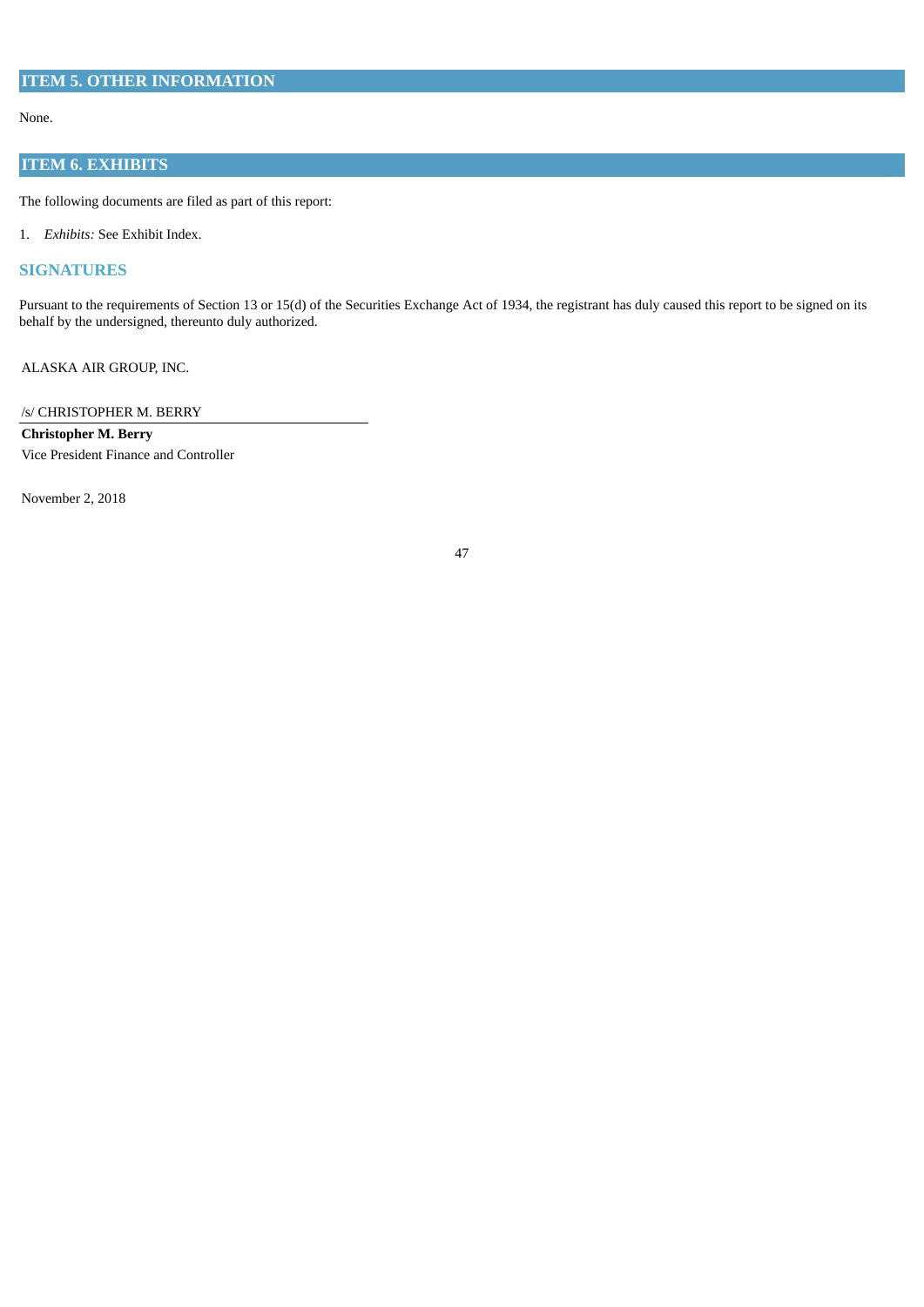## <span id="page-46-0"></span>**ITEM 5. OTHER INFORMATION**

None.

## <span id="page-46-1"></span>**ITEM 6. EXHIBITS**

The following documents are filed as part of this report:

1. *Exhibits:* See Exhibit Index.

## <span id="page-46-2"></span>**SIGNATURES**

Pursuant to the requirements of Section 13 or 15(d) of the Securities Exchange Act of 1934, the registrant has duly caused this report to be signed on its behalf by the undersigned, thereunto duly authorized.

ALASKA AIR GROUP, INC.

/s/ CHRISTOPHER M. BERRY

**Christopher M. Berry** Vice President Finance and Controller

November 2, 2018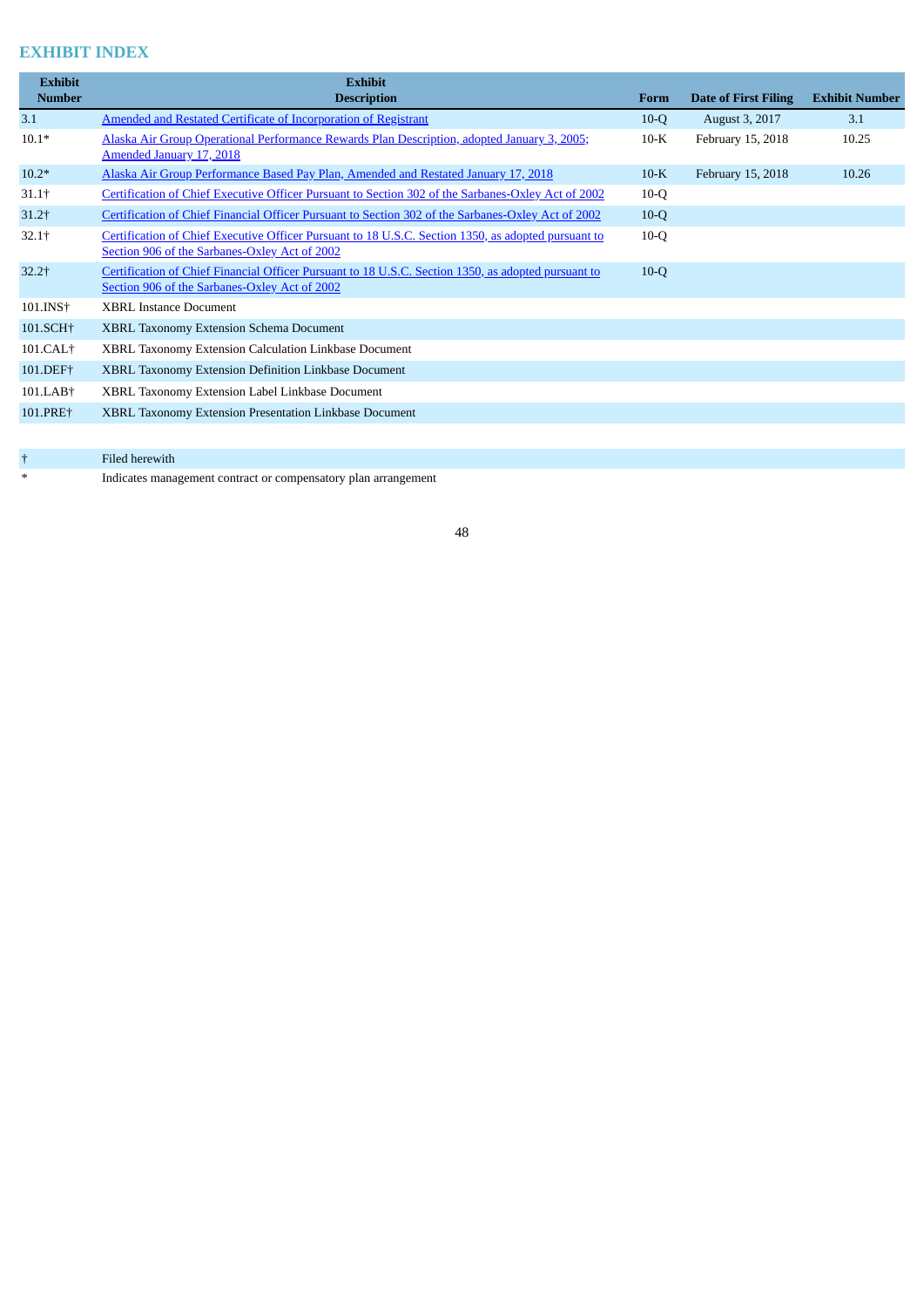## **EXHIBIT INDEX**

| <b>Exhibit</b><br><b>Number</b> | <b>Exhibit</b><br><b>Description</b>                                                                                                                 | Form   | <b>Date of First Filing</b> | <b>Exhibit Number</b> |
|---------------------------------|------------------------------------------------------------------------------------------------------------------------------------------------------|--------|-----------------------------|-----------------------|
| 3.1                             | Amended and Restated Certificate of Incorporation of Registrant                                                                                      | $10-Q$ | August 3, 2017              | 3.1                   |
| $10.1*$                         | Alaska Air Group Operational Performance Rewards Plan Description, adopted January 3, 2005;<br>Amended January 17, 2018                              | $10-K$ | February 15, 2018           | 10.25                 |
| $10.2*$                         | Alaska Air Group Performance Based Pay Plan, Amended and Restated January 17, 2018                                                                   | $10-K$ | February 15, 2018           | 10.26                 |
| 31.1 <sup>†</sup>               | Certification of Chief Executive Officer Pursuant to Section 302 of the Sarbanes-Oxley Act of 2002                                                   | $10-Q$ |                             |                       |
| $31.2+$                         | Certification of Chief Financial Officer Pursuant to Section 302 of the Sarbanes-Oxley Act of 2002                                                   | $10-Q$ |                             |                       |
| $32.1+$                         | Certification of Chief Executive Officer Pursuant to 18 U.S.C. Section 1350, as adopted pursuant to<br>Section 906 of the Sarbanes-Oxley Act of 2002 | $10-Q$ |                             |                       |
| $32.2+$                         | Certification of Chief Financial Officer Pursuant to 18 U.S.C. Section 1350, as adopted pursuant to<br>Section 906 of the Sarbanes-Oxley Act of 2002 | $10-Q$ |                             |                       |
| 101.INS+                        | <b>XBRL Instance Document</b>                                                                                                                        |        |                             |                       |
| 101.SCH+                        | XBRL Taxonomy Extension Schema Document                                                                                                              |        |                             |                       |
| 101.CAL+                        | XBRL Taxonomy Extension Calculation Linkbase Document                                                                                                |        |                             |                       |
| 101.DEF <sup>+</sup>            | XBRL Taxonomy Extension Definition Linkbase Document                                                                                                 |        |                             |                       |
| 101.LAB+                        | XBRL Taxonomy Extension Label Linkbase Document                                                                                                      |        |                             |                       |
| 101.PRE+                        | XBRL Taxonomy Extension Presentation Linkbase Document                                                                                               |        |                             |                       |

† Filed herewith

Indicates management contract or compensatory plan arrangement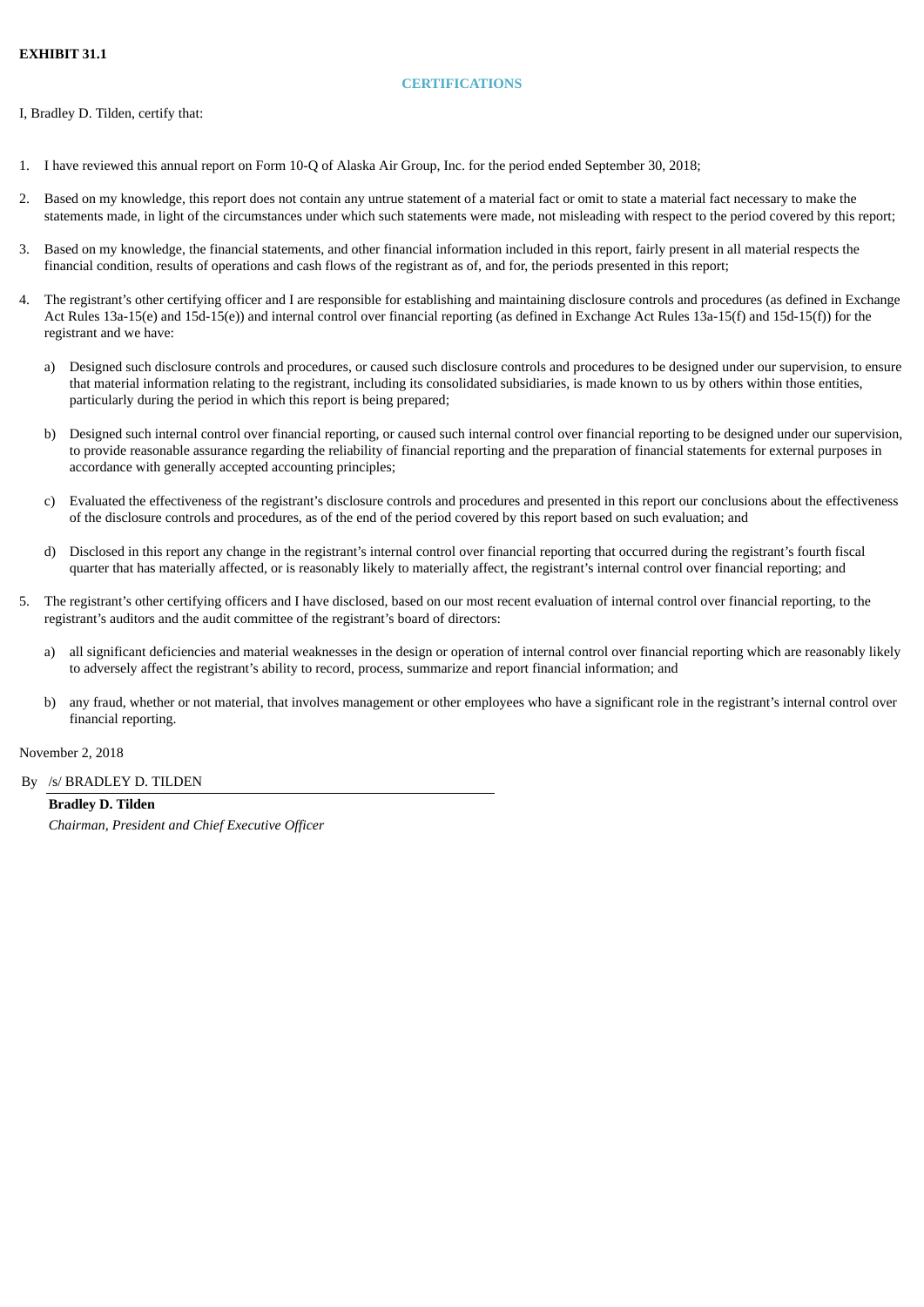## <span id="page-48-0"></span>**EXHIBIT 31.1**

#### **CERTIFICATIONS**

I, Bradley D. Tilden, certify that:

- 1. I have reviewed this annual report on Form 10-Q of Alaska Air Group, Inc. for the period ended September 30, 2018;
- 2. Based on my knowledge, this report does not contain any untrue statement of a material fact or omit to state a material fact necessary to make the statements made, in light of the circumstances under which such statements were made, not misleading with respect to the period covered by this report;
- 3. Based on my knowledge, the financial statements, and other financial information included in this report, fairly present in all material respects the financial condition, results of operations and cash flows of the registrant as of, and for, the periods presented in this report;
- 4. The registrant's other certifying officer and I are responsible for establishing and maintaining disclosure controls and procedures (as defined in Exchange Act Rules 13a-15(e) and 15d-15(e)) and internal control over financial reporting (as defined in Exchange Act Rules 13a-15(f) and 15d-15(f)) for the registrant and we have:
	- a) Designed such disclosure controls and procedures, or caused such disclosure controls and procedures to be designed under our supervision, to ensure that material information relating to the registrant, including its consolidated subsidiaries, is made known to us by others within those entities, particularly during the period in which this report is being prepared;
	- b) Designed such internal control over financial reporting, or caused such internal control over financial reporting to be designed under our supervision, to provide reasonable assurance regarding the reliability of financial reporting and the preparation of financial statements for external purposes in accordance with generally accepted accounting principles;
	- c) Evaluated the effectiveness of the registrant's disclosure controls and procedures and presented in this report our conclusions about the effectiveness of the disclosure controls and procedures, as of the end of the period covered by this report based on such evaluation; and
	- d) Disclosed in this report any change in the registrant's internal control over financial reporting that occurred during the registrant's fourth fiscal quarter that has materially affected, or is reasonably likely to materially affect, the registrant's internal control over financial reporting; and
- 5. The registrant's other certifying officers and I have disclosed, based on our most recent evaluation of internal control over financial reporting, to the registrant's auditors and the audit committee of the registrant's board of directors:
	- a) all significant deficiencies and material weaknesses in the design or operation of internal control over financial reporting which are reasonably likely to adversely affect the registrant's ability to record, process, summarize and report financial information; and
	- b) any fraud, whether or not material, that involves management or other employees who have a significant role in the registrant's internal control over financial reporting.

November 2, 2018

## By /s/ BRADLEY D. TILDEN

### **Bradley D. Tilden**

*Chairman, President and Chief Executive Officer*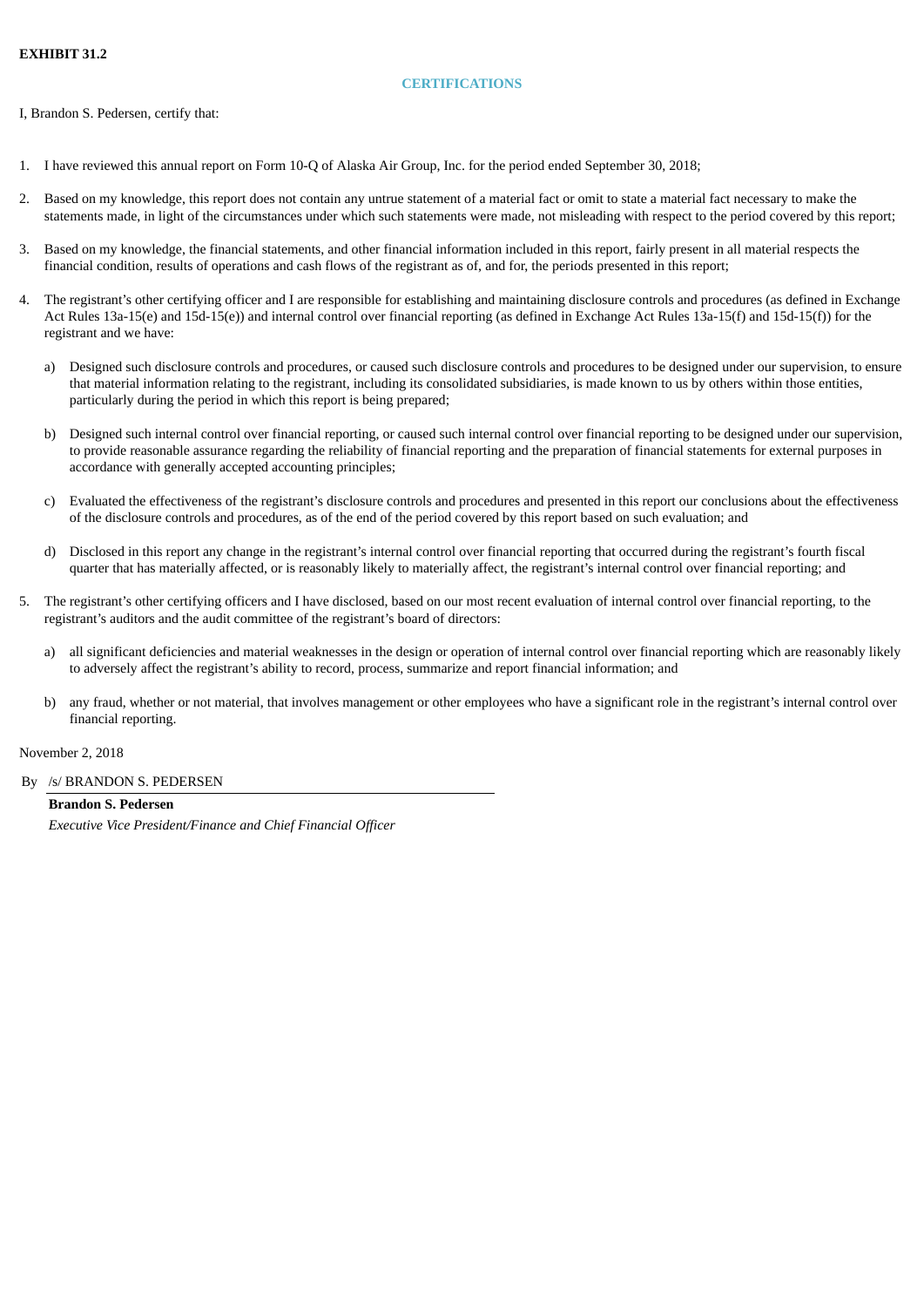## <span id="page-49-0"></span>**EXHIBIT 31.2**

#### **CERTIFICATIONS**

I, Brandon S. Pedersen, certify that:

- 1. I have reviewed this annual report on Form 10-Q of Alaska Air Group, Inc. for the period ended September 30, 2018;
- 2. Based on my knowledge, this report does not contain any untrue statement of a material fact or omit to state a material fact necessary to make the statements made, in light of the circumstances under which such statements were made, not misleading with respect to the period covered by this report;
- 3. Based on my knowledge, the financial statements, and other financial information included in this report, fairly present in all material respects the financial condition, results of operations and cash flows of the registrant as of, and for, the periods presented in this report;
- 4. The registrant's other certifying officer and I are responsible for establishing and maintaining disclosure controls and procedures (as defined in Exchange Act Rules 13a-15(e) and 15d-15(e)) and internal control over financial reporting (as defined in Exchange Act Rules 13a-15(f) and 15d-15(f)) for the registrant and we have:
	- a) Designed such disclosure controls and procedures, or caused such disclosure controls and procedures to be designed under our supervision, to ensure that material information relating to the registrant, including its consolidated subsidiaries, is made known to us by others within those entities, particularly during the period in which this report is being prepared;
	- b) Designed such internal control over financial reporting, or caused such internal control over financial reporting to be designed under our supervision, to provide reasonable assurance regarding the reliability of financial reporting and the preparation of financial statements for external purposes in accordance with generally accepted accounting principles;
	- c) Evaluated the effectiveness of the registrant's disclosure controls and procedures and presented in this report our conclusions about the effectiveness of the disclosure controls and procedures, as of the end of the period covered by this report based on such evaluation; and
	- d) Disclosed in this report any change in the registrant's internal control over financial reporting that occurred during the registrant's fourth fiscal quarter that has materially affected, or is reasonably likely to materially affect, the registrant's internal control over financial reporting; and
- 5. The registrant's other certifying officers and I have disclosed, based on our most recent evaluation of internal control over financial reporting, to the registrant's auditors and the audit committee of the registrant's board of directors:
	- a) all significant deficiencies and material weaknesses in the design or operation of internal control over financial reporting which are reasonably likely to adversely affect the registrant's ability to record, process, summarize and report financial information; and
	- b) any fraud, whether or not material, that involves management or other employees who have a significant role in the registrant's internal control over financial reporting.

November 2, 2018

By /s/ BRANDON S. PEDERSEN

## **Brandon S. Pedersen**

*Executive Vice President/Finance and Chief Financial Officer*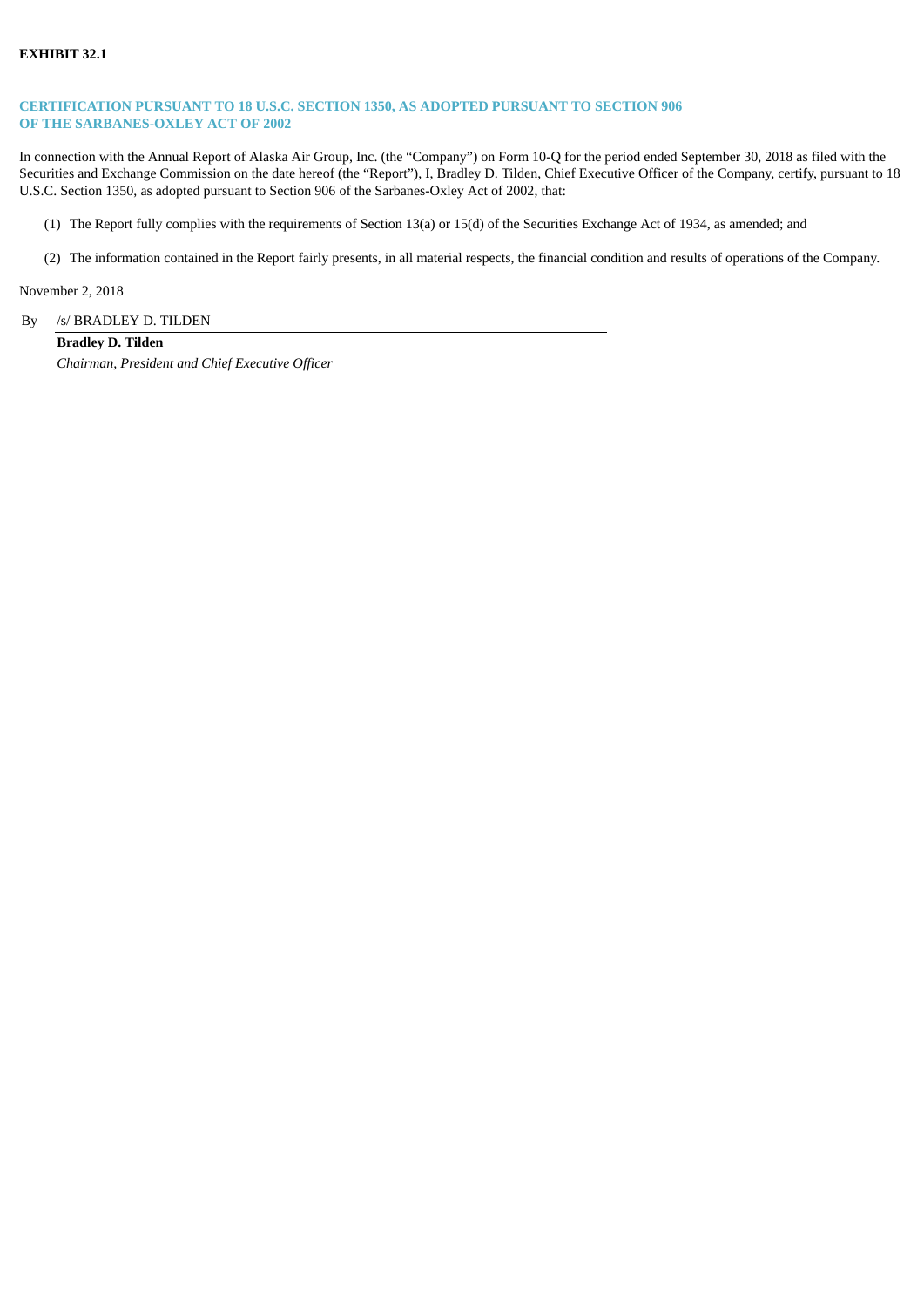#### <span id="page-50-0"></span>**EXHIBIT 32.1**

#### **CERTIFICATION PURSUANT TO 18 U.S.C. SECTION 1350, AS ADOPTED PURSUANT TO SECTION 906 OF THE SARBANES-OXLEY ACT OF 2002**

In connection with the Annual Report of Alaska Air Group, Inc. (the "Company") on Form 10-Q for the period ended September 30, 2018 as filed with the Securities and Exchange Commission on the date hereof (the "Report"), I, Bradley D. Tilden, Chief Executive Officer of the Company, certify, pursuant to 18 U.S.C. Section 1350, as adopted pursuant to Section 906 of the Sarbanes-Oxley Act of 2002, that:

(1) The Report fully complies with the requirements of Section 13(a) or 15(d) of the Securities Exchange Act of 1934, as amended; and

(2) The information contained in the Report fairly presents, in all material respects, the financial condition and results of operations of the Company.

#### November 2, 2018

#### By /s/ BRADLEY D. TILDEN

## **Bradley D. Tilden**

*Chairman, President and Chief Executive Officer*